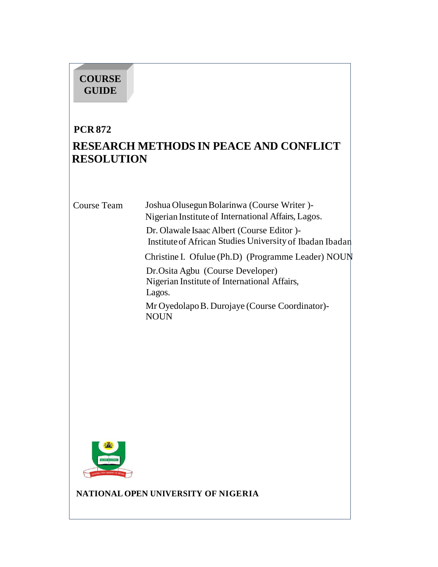# **COURSE GUIDE**

#### **PCR 872**

# **RESEARCH METHODS IN PEACE AND CONFLICT RESOLUTION**

Course Team Joshua Olusegun Bolarinwa (Course Writer )- Nigerian Institute of International Affairs, Lagos.

> Dr. Olawale Isaac Albert (Course Editor )- Institute of African Studies University of Ibadan Ibadan

Christine I. Ofulue (Ph.D) (Programme Leader) NOUN

Dr.Osita Agbu (Course Developer) Nigerian Institute of International Affairs, Lagos.

Mr Oyedolapo B. Durojaye (Course Coordinator)- NOUN



#### **NATIONAL OPEN UNIVERSITY OF NIGERIA**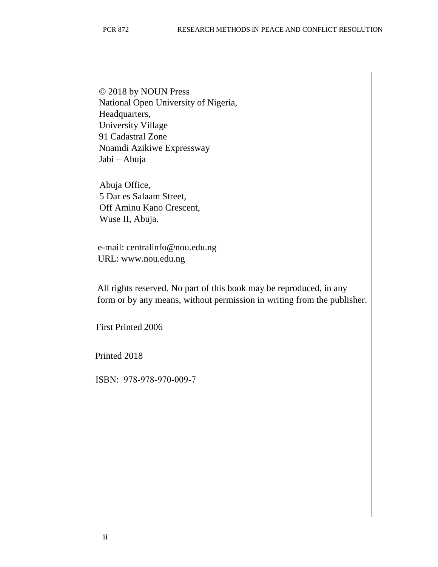© 2018 by NOUN Press National Open University of Nigeria, Headquarters, University Village 91 Cadastral Zone Nnamdi Azikiwe Expressway Jabi – Abuja

Abuja Office, 5 Dar es Salaam Street, Off Aminu Kano Crescent, Wuse II, Abuja.

e-mail: centralinfo@nou.edu.ng URL: www.nou.edu.ng

All rights reserved. No part of this book may be reproduced, in any form or by any means, without permission in writing from the publisher.

First Printed 2006

Printed 2018

ISBN: 978-978-970-009-7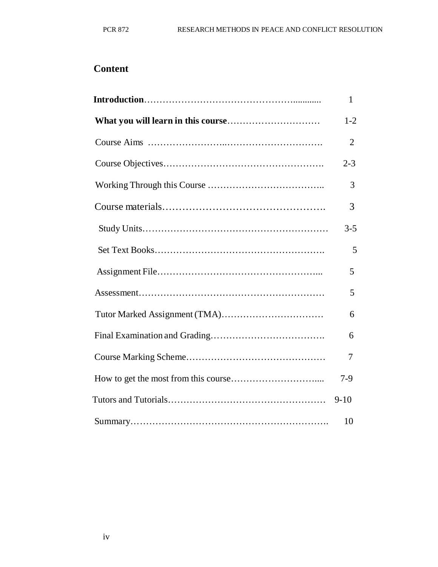## **Content**

| $\mathbf{1}$ |
|--------------|
| $1-2$        |
| 2            |
| $2 - 3$      |
| 3            |
| 3            |
| $3 - 5$      |
| 5            |
| 5            |
| 5            |
| 6            |
| 6            |
| 7            |
| $7-9$        |
| $9-10$       |
| 10           |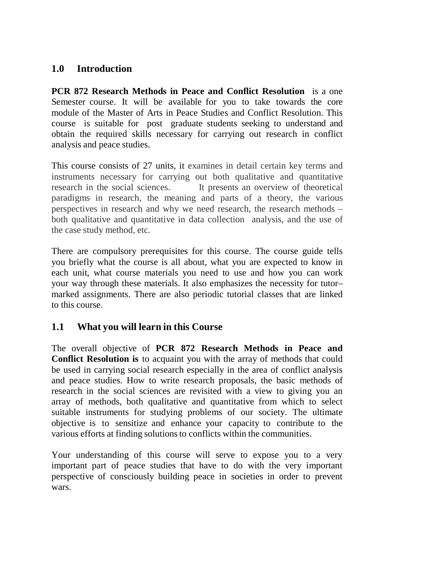#### **1.0 Introduction**

**PCR 872 Research Methods in Peace and Conflict Resolution** is a one Semester course. It will be available for you to take towards the core module of the Master of Arts in Peace Studies and Conflict Resolution. This course is suitable for post graduate students seeking to understand and obtain the required skills necessary for carrying out research in conflict analysis and peace studies.

This course consists of 27 units, it examines in detail certain key terms and instruments necessary for carrying out both qualitative and quantitative research in the social sciences. It presents an overview of theoretical paradigms in research, the meaning and parts of a theory, the various perspectives in research and why we need research, the research methods – both qualitative and quantitative in data collection analysis, and the use of the case study method, etc.

There are compulsory prerequisites for this course. The course guide tells you briefly what the course is all about, what you are expected to know in each unit, what course materials you need to use and how you can work your way through these materials. It also emphasizes the necessity for tutor– marked assignments. There are also periodic tutorial classes that are linked to this course.

## **1.1 What you will learn in this Course**

The overall objective of **PCR 872 Research Methods in Peace and Conflict Resolution is** to acquaint you with the array of methods that could be used in carrying social research especially in the area of conflict analysis and peace studies. How to write research proposals, the basic methods of research in the social sciences are revisited with a view to giving you an array of methods, both qualitative and quantitative from which to select suitable instruments for studying problems of our society. The ultimate objective is to sensitize and enhance your capacity to contribute to the various efforts at finding solutions to conflicts within the communities.

Your understanding of this course will serve to expose you to a very important part of peace studies that have to do with the very important perspective of consciously building peace in societies in order to prevent wars.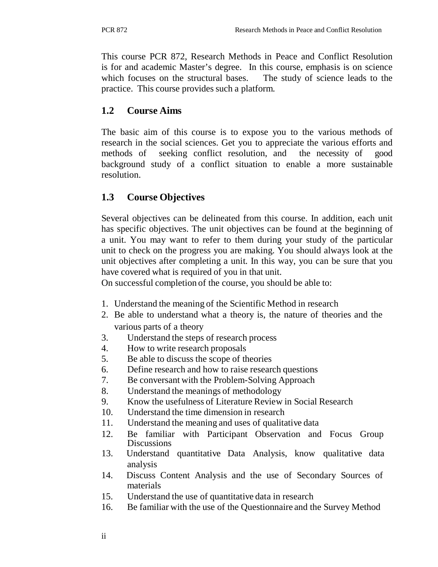This course PCR 872, Research Methods in Peace and Conflict Resolution is for and academic Master's degree. In this course, emphasis is on science which focuses on the structural bases. The study of science leads to the practice. This course provides such a platform.

#### **1.2 Course Aims**

The basic aim of this course is to expose you to the various methods of research in the social sciences. Get you to appreciate the various efforts and methods of seeking conflict resolution, and the necessity of good background study of a conflict situation to enable a more sustainable resolution.

#### **1.3 Course Objectives**

Several objectives can be delineated from this course. In addition, each unit has specific objectives. The unit objectives can be found at the beginning of a unit. You may want to refer to them during your study of the particular unit to check on the progress you are making. You should always look at the unit objectives after completing a unit. In this way, you can be sure that you have covered what is required of you in that unit.

On successful completion of the course, you should be able to:

- 1. Understand the meaning of the Scientific Method in research
- 2. Be able to understand what a theory is, the nature of theories and the various parts of a theory
- 3. Understand the steps of research process
- 4. How to write research proposals
- 5. Be able to discuss the scope of theories
- 6. Define research and how to raise research questions
- 7. Be conversant with the Problem-Solving Approach
- 8. Understand the meanings of methodology
- 9. Know the usefulness of Literature Review in Social Research
- 10. Understand the time dimension in research
- 11. Understand the meaning and uses of qualitative data
- 12. Be familiar with Participant Observation and Focus Group **Discussions**
- 13. Understand quantitative Data Analysis, know qualitative data analysis
- 14. Discuss Content Analysis and the use of Secondary Sources of materials
- 15. Understand the use of quantitative data in research
- 16. Be familiar with the use of the Questionnaire and the Survey Method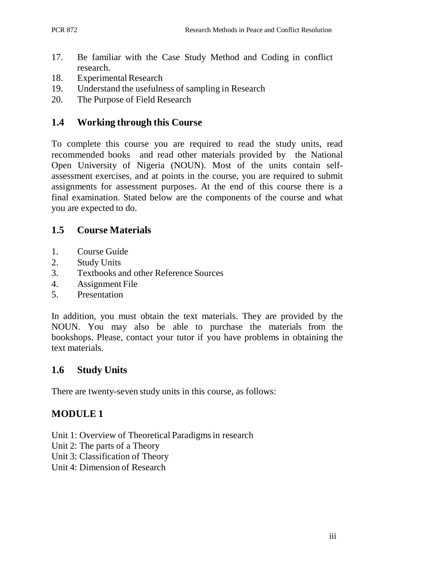- 17. Be familiar with the Case Study Method and Coding in conflict research.
- 18. Experimental Research
- 19. Understand the usefulness of sampling in Research
- 20. The Purpose of Field Research

#### **1.4 Working through this Course**

To complete this course you are required to read the study units, read recommended books and read other materials provided by the National Open University of Nigeria (NOUN). Most of the units contain selfassessment exercises, and at points in the course, you are required to submit assignments for assessment purposes. At the end of this course there is a final examination. Stated below are the components of the course and what you are expected to do.

## **1.5 Course Materials**

- 1. Course Guide
- 2. Study Units
- 3. Textbooks and other Reference Sources
- 4. Assignment File
- 5. Presentation

In addition, you must obtain the text materials. They are provided by the NOUN. You may also be able to purchase the materials from the bookshops. Please, contact your tutor if you have problems in obtaining the text materials.

## **1.6 Study Units**

There are twenty-seven study units in this course, as follows:

## **MODULE 1**

- Unit 1: Overview of Theoretical Paradigms in research
- Unit 2: The parts of a Theory
- Unit 3: Classification of Theory
- Unit 4: Dimension of Research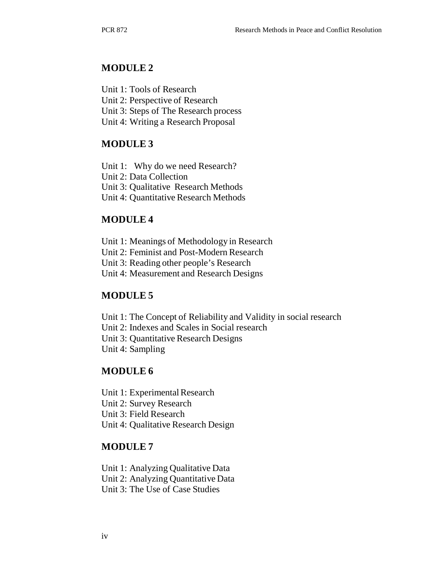## **MODULE 2**

Unit 1: Tools of Research

Unit 2: Perspective of Research

Unit 3: Steps of The Research process

Unit 4: Writing a Research Proposal

#### **MODULE 3**

- Unit 1: Why do we need Research?
- Unit 2: Data Collection

Unit 3: Qualitative Research Methods

Unit 4: Quantitative Research Methods

## **MODULE 4**

- Unit 1: Meanings of Methodology in Research
- Unit 2: Feminist and Post-Modern Research

Unit 3: Reading other people's Research

Unit 4: Measurement and Research Designs

#### **MODULE 5**

- Unit 1: The Concept of Reliability and Validity in social research
- Unit 2: Indexes and Scales in Social research
- Unit 3: Quantitative Research Designs
- Unit 4: Sampling

## **MODULE 6**

- Unit 1: Experimental Research
- Unit 2: Survey Research
- Unit 3: Field Research
- Unit 4: Qualitative Research Design

## **MODULE 7**

Unit 1: Analyzing Qualitative Data

Unit 2: Analyzing Quantitative Data

Unit 3: The Use of Case Studies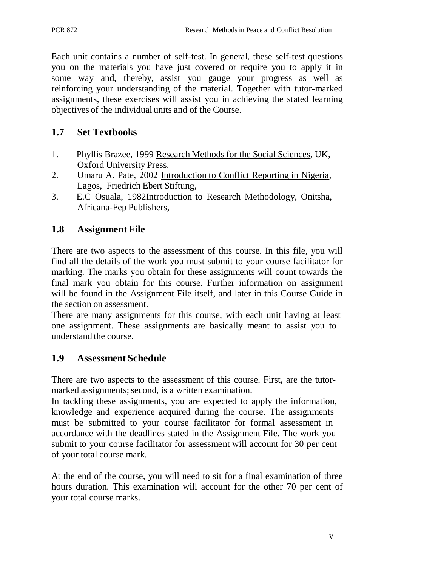Each unit contains a number of self-test. In general, these self-test questions you on the materials you have just covered or require you to apply it in some way and, thereby, assist you gauge your progress as well as reinforcing your understanding of the material. Together with tutor-marked assignments, these exercises will assist you in achieving the stated learning objectives of the individual units and of the Course.

#### **1.7 Set Textbooks**

- 1. Phyllis Brazee, 1999 Research Methods for the Social Sciences, UK, Oxford University Press.
- 2. Umaru A. Pate, 2002 Introduction to Conflict Reporting in Nigeria, Lagos, Friedrich Ebert Stiftung,
- 3. E.C Osuala, 1982Introduction to Research Methodology, Onitsha, Africana-Fep Publishers,

## **1.8 Assignment File**

There are two aspects to the assessment of this course. In this file, you will find all the details of the work you must submit to your course facilitator for marking. The marks you obtain for these assignments will count towards the final mark you obtain for this course. Further information on assignment will be found in the Assignment File itself, and later in this Course Guide in the section on assessment.

There are many assignments for this course, with each unit having at least one assignment. These assignments are basically meant to assist you to understand the course.

## **1.9 Assessment Schedule**

There are two aspects to the assessment of this course. First, are the tutormarked assignments; second, is a written examination.

In tackling these assignments, you are expected to apply the information, knowledge and experience acquired during the course. The assignments must be submitted to your course facilitator for formal assessment in accordance with the deadlines stated in the Assignment File. The work you submit to your course facilitator for assessment will account for 30 per cent of your total course mark.

At the end of the course, you will need to sit for a final examination of three hours duration. This examination will account for the other 70 per cent of your total course marks.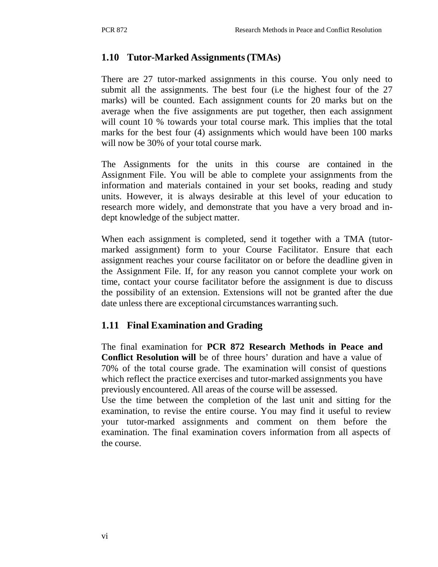## **1.10 Tutor-Marked Assignments (TMAs)**

There are 27 tutor-marked assignments in this course. You only need to submit all the assignments. The best four (i.e the highest four of the 27 marks) will be counted. Each assignment counts for 20 marks but on the average when the five assignments are put together, then each assignment will count 10 % towards your total course mark. This implies that the total marks for the best four (4) assignments which would have been 100 marks will now be 30% of your total course mark.

The Assignments for the units in this course are contained in the Assignment File. You will be able to complete your assignments from the information and materials contained in your set books, reading and study units. However, it is always desirable at this level of your education to research more widely, and demonstrate that you have a very broad and indept knowledge of the subject matter.

When each assignment is completed, send it together with a TMA (tutormarked assignment) form to your Course Facilitator. Ensure that each assignment reaches your course facilitator on or before the deadline given in the Assignment File. If, for any reason you cannot complete your work on time, contact your course facilitator before the assignment is due to discuss the possibility of an extension. Extensions will not be granted after the due date unless there are exceptional circumstances warranting such.

## **1.11 Final Examination and Grading**

The final examination for **PCR 872 Research Methods in Peace and Conflict Resolution will** be of three hours' duration and have a value of 70% of the total course grade. The examination will consist of questions which reflect the practice exercises and tutor-marked assignments you have previously encountered. All areas of the course will be assessed.

Use the time between the completion of the last unit and sitting for the examination, to revise the entire course. You may find it useful to review your tutor-marked assignments and comment on them before the examination. The final examination covers information from all aspects of the course.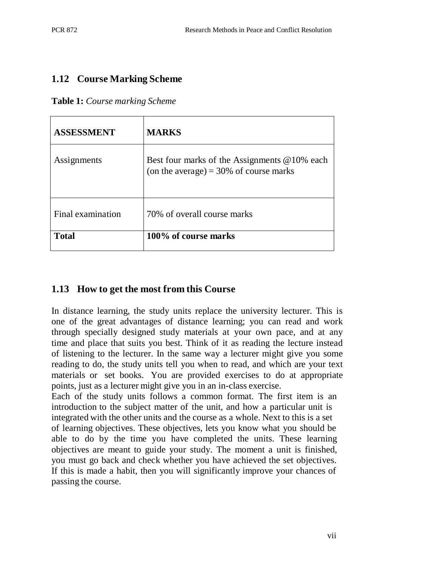#### **1.12 Course Marking Scheme**

**Table 1:** *Course marking Scheme*

| <b>ASSESSMENT</b> | <b>MARKS</b>                                                                              |
|-------------------|-------------------------------------------------------------------------------------------|
| Assignments       | Best four marks of the Assignments @10% each<br>(on the average) = $30\%$ of course marks |
| Final examination | 70% of overall course marks                                                               |
| <b>Total</b>      | 100% of course marks                                                                      |

## **1.13 How to get the most from this Course**

In distance learning, the study units replace the university lecturer. This is one of the great advantages of distance learning; you can read and work through specially designed study materials at your own pace, and at any time and place that suits you best. Think of it as reading the lecture instead of listening to the lecturer. In the same way a lecturer might give you some reading to do, the study units tell you when to read, and which are your text materials or set books. You are provided exercises to do at appropriate points, just as a lecturer might give you in an in-class exercise.

Each of the study units follows a common format. The first item is an introduction to the subject matter of the unit, and how a particular unit is integrated with the other units and the course as a whole. Next to this is a set of learning objectives. These objectives, lets you know what you should be able to do by the time you have completed the units. These learning objectives are meant to guide your study. The moment a unit is finished, you must go back and check whether you have achieved the set objectives. If this is made a habit, then you will significantly improve your chances of passing the course.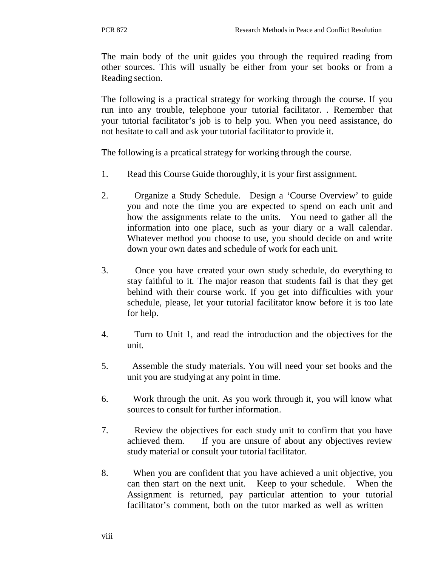The main body of the unit guides you through the required reading from other sources. This will usually be either from your set books or from a Reading section.

The following is a practical strategy for working through the course. If you run into any trouble, telephone your tutorial facilitator. . Remember that your tutorial facilitator's job is to help you. When you need assistance, do not hesitate to call and ask your tutorial facilitator to provide it.

The following is a prcatical strategy for working through the course.

- 1. Read this Course Guide thoroughly, it is your first assignment.
- 2. Organize a Study Schedule. Design a 'Course Overview' to guide you and note the time you are expected to spend on each unit and how the assignments relate to the units. You need to gather all the information into one place, such as your diary or a wall calendar. Whatever method you choose to use, you should decide on and write down your own dates and schedule of work for each unit.
- 3. Once you have created your own study schedule, do everything to stay faithful to it. The major reason that students fail is that they get behind with their course work. If you get into difficulties with your schedule, please, let your tutorial facilitator know before it is too late for help.
- 4. Turn to Unit 1, and read the introduction and the objectives for the unit.
- 5. Assemble the study materials. You will need your set books and the unit you are studying at any point in time.
- 6. Work through the unit. As you work through it, you will know what sources to consult for further information.
- 7. Review the objectives for each study unit to confirm that you have achieved them. If you are unsure of about any objectives review study material or consult your tutorial facilitator.
- 8. When you are confident that you have achieved a unit objective, you can then start on the next unit. Keep to your schedule. When the Assignment is returned, pay particular attention to your tutorial facilitator's comment, both on the tutor marked as well as written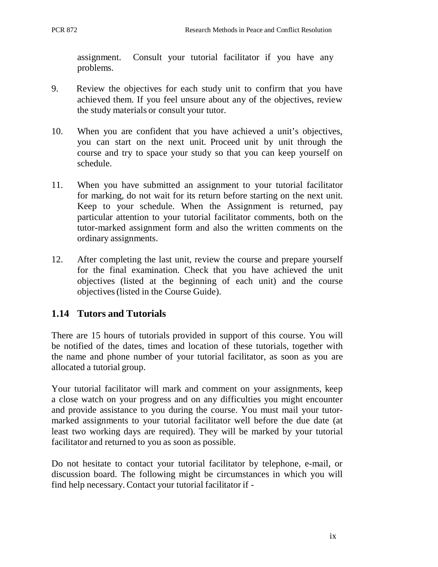assignment. Consult your tutorial facilitator if you have any problems.

- 9. Review the objectives for each study unit to confirm that you have achieved them. If you feel unsure about any of the objectives, review the study materials or consult your tutor.
- 10. When you are confident that you have achieved a unit's objectives, you can start on the next unit. Proceed unit by unit through the course and try to space your study so that you can keep yourself on schedule.
- 11. When you have submitted an assignment to your tutorial facilitator for marking, do not wait for its return before starting on the next unit. Keep to your schedule. When the Assignment is returned, pay particular attention to your tutorial facilitator comments, both on the tutor-marked assignment form and also the written comments on the ordinary assignments.
- 12. After completing the last unit, review the course and prepare yourself for the final examination. Check that you have achieved the unit objectives (listed at the beginning of each unit) and the course objectives (listed in the Course Guide).

## **1.14 Tutors and Tutorials**

There are 15 hours of tutorials provided in support of this course. You will be notified of the dates, times and location of these tutorials, together with the name and phone number of your tutorial facilitator, as soon as you are allocated a tutorial group.

Your tutorial facilitator will mark and comment on your assignments, keep a close watch on your progress and on any difficulties you might encounter and provide assistance to you during the course. You must mail your tutormarked assignments to your tutorial facilitator well before the due date (at least two working days are required). They will be marked by your tutorial facilitator and returned to you as soon as possible.

Do not hesitate to contact your tutorial facilitator by telephone, e-mail, or discussion board. The following might be circumstances in which you will find help necessary. Contact your tutorial facilitator if -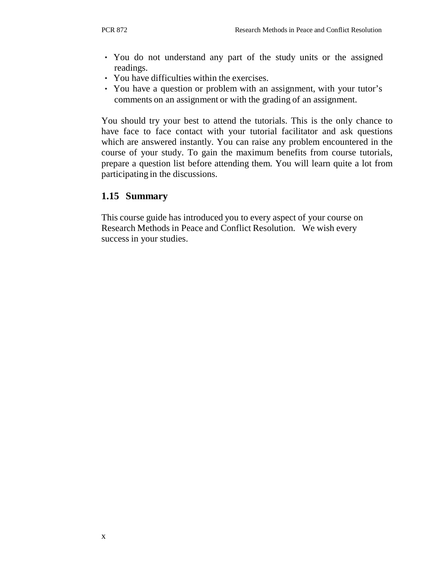- ・ You do not understand any part of the study units or the assigned readings.
- ・ You have difficulties within the exercises.
- ・ You have a question or problem with an assignment, with your tutor's comments on an assignment or with the grading of an assignment.

You should try your best to attend the tutorials. This is the only chance to have face to face contact with your tutorial facilitator and ask questions which are answered instantly. You can raise any problem encountered in the course of your study. To gain the maximum benefits from course tutorials, prepare a question list before attending them. You will learn quite a lot from participating in the discussions.

#### **1.15 Summary**

This course guide has introduced you to every aspect of your course on Research Methods in Peace and Conflict Resolution. We wish every success in your studies.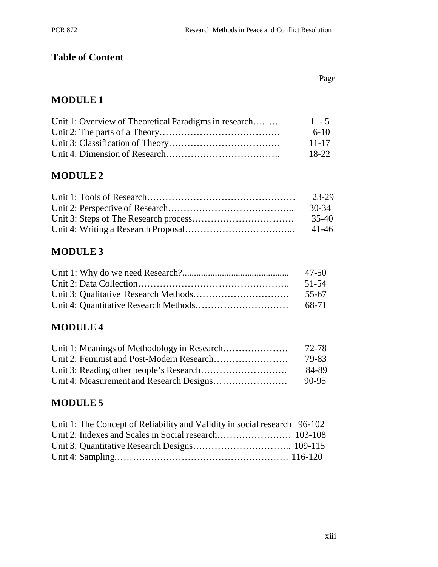## **Table of Content**

Page

## **MODULE 1**

| Unit 1: Overview of Theoretical Paradigms in research | $1 - 5$   |
|-------------------------------------------------------|-----------|
|                                                       | $6-10$    |
|                                                       | $11 - 17$ |
|                                                       | 18-22     |

## **MODULE 2**

| 23-29 |
|-------|
| 30-34 |
| 35-40 |
| 41-46 |
|       |

## **MODULE 3**

| 47-50   |
|---------|
| 51-54   |
| - 55-67 |
| 68-71   |

## **MODULE 4**

| 72-78 |
|-------|
| 79-83 |
| 84-89 |
| 90-95 |

## **MODULE 5**

| Unit 1: The Concept of Reliability and Validity in social research 96-102 |  |
|---------------------------------------------------------------------------|--|
|                                                                           |  |
|                                                                           |  |
|                                                                           |  |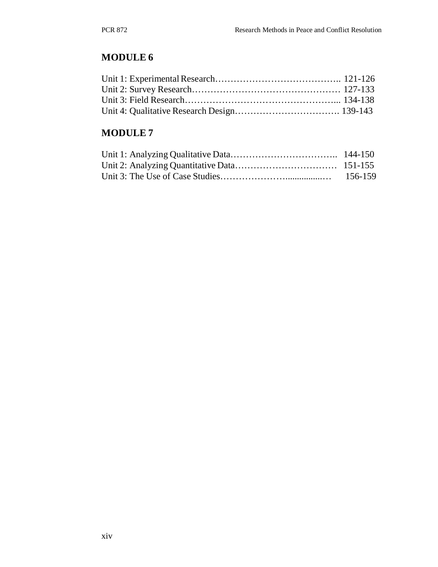## **MODULE 6**

## **MODULE 7**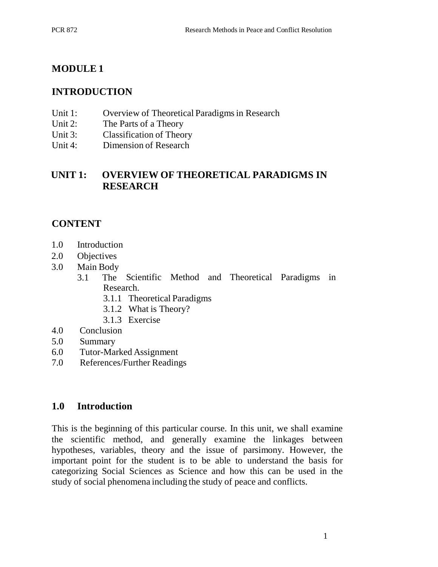## **MODULE 1**

## **INTRODUCTION**

- Unit 1: Overview of Theoretical Paradigms in Research
- Unit 2: The Parts of a Theory
- Unit 3: Classification of Theory
- Unit 4: Dimension of Research

## **UNIT 1: OVERVIEW OF THEORETICAL PARADIGMS IN RESEARCH**

## **CONTENT**

- 1.0 Introduction
- 2.0 Objectives
- 3.0 Main Body
	- 3.1 The Scientific Method and Theoretical Paradigms in Research.
		- 3.1.1 Theoretical Paradigms
		- 3.1.2 What is Theory?
		- 3.1.3 Exercise
- 4.0 Conclusion
- 5.0 Summary
- 6.0 Tutor-Marked Assignment
- 7.0 References/Further Readings

## **1.0 Introduction**

This is the beginning of this particular course. In this unit, we shall examine the scientific method, and generally examine the linkages between hypotheses, variables, theory and the issue of parsimony. However, the important point for the student is to be able to understand the basis for categorizing Social Sciences as Science and how this can be used in the study of social phenomena including the study of peace and conflicts.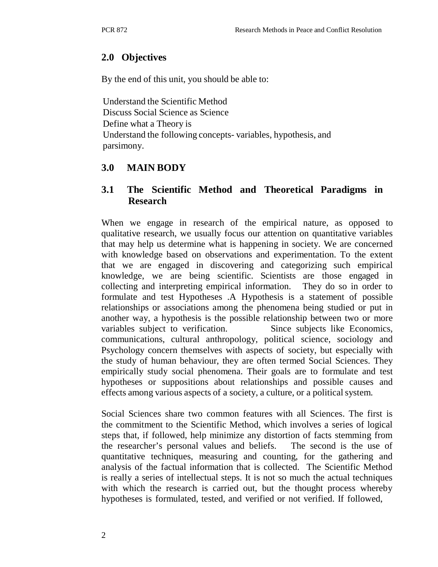## **2.0 Objectives**

By the end of this unit, you should be able to:

Understand the Scientific Method Discuss Social Science as Science Define what a Theory is Understand the following concepts- variables, hypothesis, and parsimony.

## **3.0 MAIN BODY**

#### **3.1 The Scientific Method and Theoretical Paradigms in Research**

When we engage in research of the empirical nature, as opposed to qualitative research, we usually focus our attention on quantitative variables that may help us determine what is happening in society. We are concerned with knowledge based on observations and experimentation. To the extent that we are engaged in discovering and categorizing such empirical knowledge, we are being scientific. Scientists are those engaged in collecting and interpreting empirical information. They do so in order to formulate and test Hypotheses .A Hypothesis is a statement of possible relationships or associations among the phenomena being studied or put in another way, a hypothesis is the possible relationship between two or more variables subject to verification. Since subjects like Economics, communications, cultural anthropology, political science, sociology and Psychology concern themselves with aspects of society, but especially with the study of human behaviour, they are often termed Social Sciences. They empirically study social phenomena. Their goals are to formulate and test hypotheses or suppositions about relationships and possible causes and effects among various aspects of a society, a culture, or a political system.

Social Sciences share two common features with all Sciences. The first is the commitment to the Scientific Method, which involves a series of logical steps that, if followed, help minimize any distortion of facts stemming from the researcher's personal values and beliefs. The second is the use of quantitative techniques, measuring and counting, for the gathering and analysis of the factual information that is collected. The Scientific Method is really a series of intellectual steps. It is not so much the actual techniques with which the research is carried out, but the thought process whereby hypotheses is formulated, tested, and verified or not verified. If followed,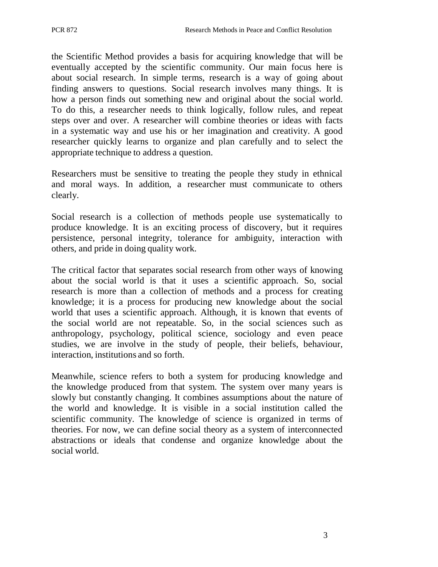the Scientific Method provides a basis for acquiring knowledge that will be eventually accepted by the scientific community. Our main focus here is about social research. In simple terms, research is a way of going about finding answers to questions. Social research involves many things. It is how a person finds out something new and original about the social world. To do this, a researcher needs to think logically, follow rules, and repeat steps over and over. A researcher will combine theories or ideas with facts in a systematic way and use his or her imagination and creativity. A good researcher quickly learns to organize and plan carefully and to select the appropriate technique to address a question.

Researchers must be sensitive to treating the people they study in ethnical and moral ways. In addition, a researcher must communicate to others clearly.

Social research is a collection of methods people use systematically to produce knowledge. It is an exciting process of discovery, but it requires persistence, personal integrity, tolerance for ambiguity, interaction with others, and pride in doing quality work.

The critical factor that separates social research from other ways of knowing about the social world is that it uses a scientific approach. So, social research is more than a collection of methods and a process for creating knowledge; it is a process for producing new knowledge about the social world that uses a scientific approach. Although, it is known that events of the social world are not repeatable. So, in the social sciences such as anthropology, psychology, political science, sociology and even peace studies, we are involve in the study of people, their beliefs, behaviour, interaction, institutions and so forth.

Meanwhile, science refers to both a system for producing knowledge and the knowledge produced from that system. The system over many years is slowly but constantly changing. It combines assumptions about the nature of the world and knowledge. It is visible in a social institution called the scientific community. The knowledge of science is organized in terms of theories. For now, we can define social theory as a system of interconnected abstractions or ideals that condense and organize knowledge about the social world.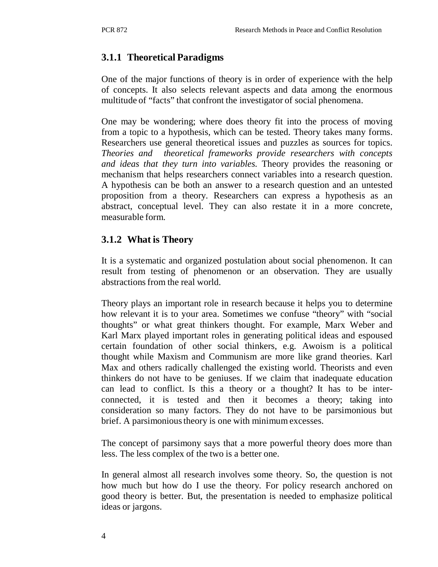#### **3.1.1 Theoretical Paradigms**

One of the major functions of theory is in order of experience with the help of concepts. It also selects relevant aspects and data among the enormous multitude of "facts" that confront the investigator of social phenomena.

One may be wondering; where does theory fit into the process of moving from a topic to a hypothesis, which can be tested. Theory takes many forms. Researchers use general theoretical issues and puzzles as sources for topics. *Theories and theoretical frameworks provide researchers with concepts and ideas that they turn into variables.* Theory provides the reasoning or mechanism that helps researchers connect variables into a research question. A hypothesis can be both an answer to a research question and an untested proposition from a theory. Researchers can express a hypothesis as an abstract, conceptual level. They can also restate it in a more concrete, measurable form.

#### **3.1.2 What is Theory**

It is a systematic and organized postulation about social phenomenon. It can result from testing of phenomenon or an observation. They are usually abstractions from the real world.

Theory plays an important role in research because it helps you to determine how relevant it is to your area. Sometimes we confuse "theory" with "social thoughts" or what great thinkers thought. For example, Marx Weber and Karl Marx played important roles in generating political ideas and espoused certain foundation of other social thinkers, e.g. Awoism is a political thought while Maxism and Communism are more like grand theories. Karl Max and others radically challenged the existing world. Theorists and even thinkers do not have to be geniuses. If we claim that inadequate education can lead to conflict. Is this a theory or a thought? It has to be interconnected, it is tested and then it becomes a theory; taking into consideration so many factors. They do not have to be parsimonious but brief. A parsimonious theory is one with minimum excesses.

The concept of parsimony says that a more powerful theory does more than less. The less complex of the two is a better one.

In general almost all research involves some theory. So, the question is not how much but how do I use the theory. For policy research anchored on good theory is better. But, the presentation is needed to emphasize political ideas or jargons.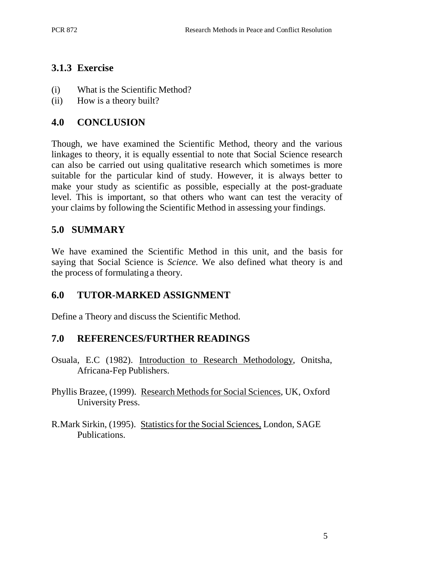## **3.1.3 Exercise**

- (i) What is the Scientific Method?
- (ii) How is a theory built?

## **4.0 CONCLUSION**

Though, we have examined the Scientific Method, theory and the various linkages to theory, it is equally essential to note that Social Science research can also be carried out using qualitative research which sometimes is more suitable for the particular kind of study. However, it is always better to make your study as scientific as possible, especially at the post-graduate level. This is important, so that others who want can test the veracity of your claims by following the Scientific Method in assessing your findings.

## **5.0 SUMMARY**

We have examined the Scientific Method in this unit, and the basis for saying that Social Science is *Science.* We also defined what theory is and the process of formulating a theory.

## **6.0 TUTOR-MARKED ASSIGNMENT**

Define a Theory and discuss the Scientific Method.

## **7.0 REFERENCES/FURTHER READINGS**

- Osuala, E.C (1982). Introduction to Research Methodology, Onitsha, Africana-Fep Publishers.
- Phyllis Brazee, (1999). Research Methods for Social Sciences, UK, Oxford University Press.
- R.Mark Sirkin, (1995). Statistics for the Social Sciences, London, SAGE Publications.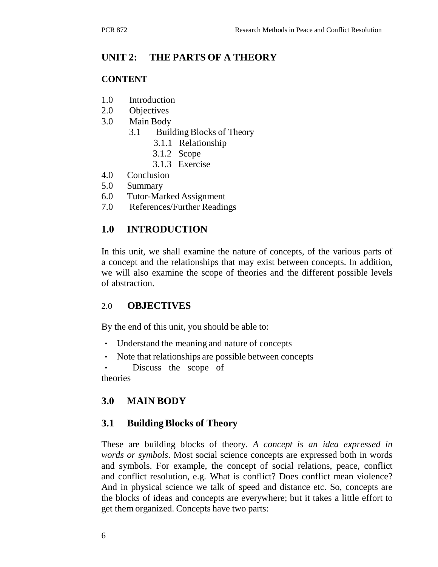## **UNIT 2: THE PARTS OF A THEORY**

#### **CONTENT**

- 1.0 Introduction
- 2.0 Objectives
- 3.0 Main Body
	- 3.1 Building Blocks of Theory
		- 3.1.1 Relationship
		- 3.1.2 Scope
		- 3.1.3 Exercise
- 4.0 Conclusion
- 5.0 Summary
- 6.0 Tutor-Marked Assignment
- 7.0 References/Further Readings

## **1.0 INTRODUCTION**

In this unit, we shall examine the nature of concepts, of the various parts of a concept and the relationships that may exist between concepts. In addition, we will also examine the scope of theories and the different possible levels of abstraction.

#### 2.0 **OBJECTIVES**

By the end of this unit, you should be able to:

- Understand the meaning and nature of concepts
- Note that relationships are possible between concepts
- Discuss the scope of theories

## **3.0 MAIN BODY**

## **3.1 Building Blocks of Theory**

These are building blocks of theory. *A concept is an idea expressed in words or symbols*. Most social science concepts are expressed both in words and symbols. For example, the concept of social relations, peace, conflict and conflict resolution, e.g. What is conflict? Does conflict mean violence? And in physical science we talk of speed and distance etc. So, concepts are the blocks of ideas and concepts are everywhere; but it takes a little effort to get them organized. Concepts have two parts: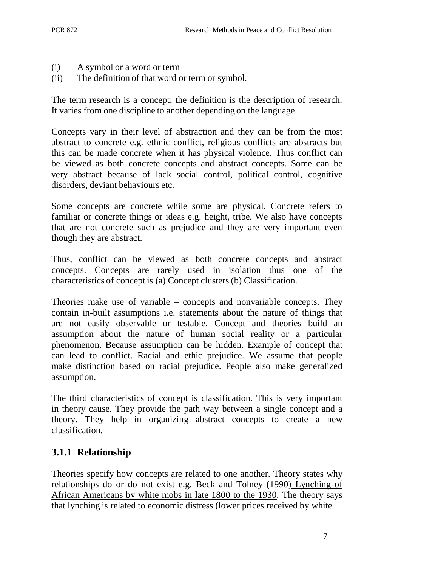- (i) A symbol or a word or term
- (ii) The definition of that word or term or symbol.

The term research is a concept; the definition is the description of research. It varies from one discipline to another depending on the language.

Concepts vary in their level of abstraction and they can be from the most abstract to concrete e.g. ethnic conflict, religious conflicts are abstracts but this can be made concrete when it has physical violence. Thus conflict can be viewed as both concrete concepts and abstract concepts. Some can be very abstract because of lack social control, political control, cognitive disorders, deviant behaviours etc.

Some concepts are concrete while some are physical. Concrete refers to familiar or concrete things or ideas e.g. height, tribe. We also have concepts that are not concrete such as prejudice and they are very important even though they are abstract.

Thus, conflict can be viewed as both concrete concepts and abstract concepts. Concepts are rarely used in isolation thus one of the characteristics of concept is (a) Concept clusters (b) Classification.

Theories make use of variable – concepts and nonvariable concepts. They contain in-built assumptions i.e. statements about the nature of things that are not easily observable or testable. Concept and theories build an assumption about the nature of human social reality or a particular phenomenon. Because assumption can be hidden. Example of concept that can lead to conflict. Racial and ethic prejudice. We assume that people make distinction based on racial prejudice. People also make generalized assumption.

The third characteristics of concept is classification. This is very important in theory cause. They provide the path way between a single concept and a theory. They help in organizing abstract concepts to create a new classification.

## **3.1.1 Relationship**

Theories specify how concepts are related to one another. Theory states why relationships do or do not exist e.g. Beck and Tolney (1990) Lynching of African Americans by white mobs in late 1800 to the 1930. The theory says that lynching is related to economic distress (lower prices received by white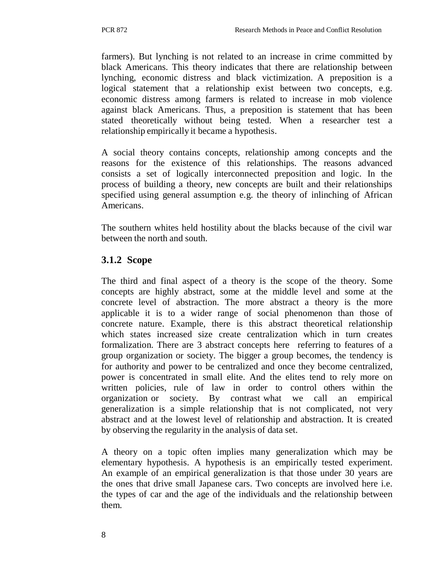farmers). But lynching is not related to an increase in crime committed by black Americans. This theory indicates that there are relationship between lynching, economic distress and black victimization. A preposition is a logical statement that a relationship exist between two concepts, e.g. economic distress among farmers is related to increase in mob violence against black Americans. Thus, a preposition is statement that has been stated theoretically without being tested. When a researcher test a relationship empirically it became a hypothesis.

A social theory contains concepts, relationship among concepts and the reasons for the existence of this relationships. The reasons advanced consists a set of logically interconnected preposition and logic. In the process of building a theory, new concepts are built and their relationships specified using general assumption e.g. the theory of inlinching of African Americans.

The southern whites held hostility about the blacks because of the civil war between the north and south.

#### **3.1.2 Scope**

The third and final aspect of a theory is the scope of the theory. Some concepts are highly abstract, some at the middle level and some at the concrete level of abstraction. The more abstract a theory is the more applicable it is to a wider range of social phenomenon than those of concrete nature. Example, there is this abstract theoretical relationship which states increased size create centralization which in turn creates formalization. There are 3 abstract concepts here referring to features of a group organization or society. The bigger a group becomes, the tendency is for authority and power to be centralized and once they become centralized, power is concentrated in small elite. And the elites tend to rely more on written policies, rule of law in order to control others within the organization or society. By contrast what we call an empirical generalization is a simple relationship that is not complicated, not very abstract and at the lowest level of relationship and abstraction. It is created by observing the regularity in the analysis of data set.

A theory on a topic often implies many generalization which may be elementary hypothesis. A hypothesis is an empirically tested experiment. An example of an empirical generalization is that those under 30 years are the ones that drive small Japanese cars. Two concepts are involved here i.e. the types of car and the age of the individuals and the relationship between them.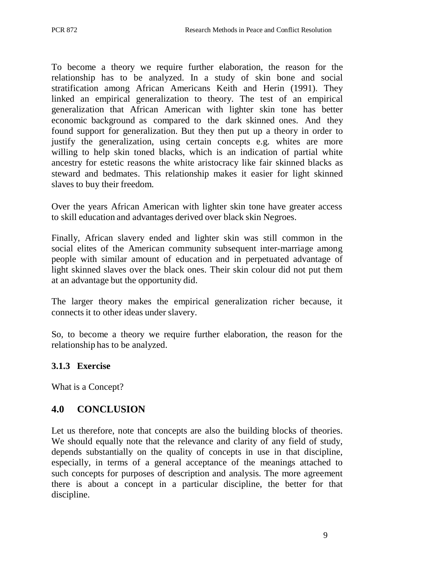To become a theory we require further elaboration, the reason for the relationship has to be analyzed. In a study of skin bone and social stratification among African Americans Keith and Herin (1991). They linked an empirical generalization to theory. The test of an empirical generalization that African American with lighter skin tone has better economic background as compared to the dark skinned ones. And they found support for generalization. But they then put up a theory in order to justify the generalization, using certain concepts e.g. whites are more willing to help skin toned blacks, which is an indication of partial white ancestry for estetic reasons the white aristocracy like fair skinned blacks as steward and bedmates. This relationship makes it easier for light skinned slaves to buy their freedom.

Over the years African American with lighter skin tone have greater access to skill education and advantages derived over black skin Negroes.

Finally, African slavery ended and lighter skin was still common in the social elites of the American community subsequent inter-marriage among people with similar amount of education and in perpetuated advantage of light skinned slaves over the black ones. Their skin colour did not put them at an advantage but the opportunity did.

The larger theory makes the empirical generalization richer because, it connects it to other ideas under slavery.

So, to become a theory we require further elaboration, the reason for the relationship has to be analyzed.

#### **3.1.3 Exercise**

What is a Concept?

#### **4.0 CONCLUSION**

Let us therefore, note that concepts are also the building blocks of theories. We should equally note that the relevance and clarity of any field of study, depends substantially on the quality of concepts in use in that discipline, especially, in terms of a general acceptance of the meanings attached to such concepts for purposes of description and analysis. The more agreement there is about a concept in a particular discipline, the better for that discipline.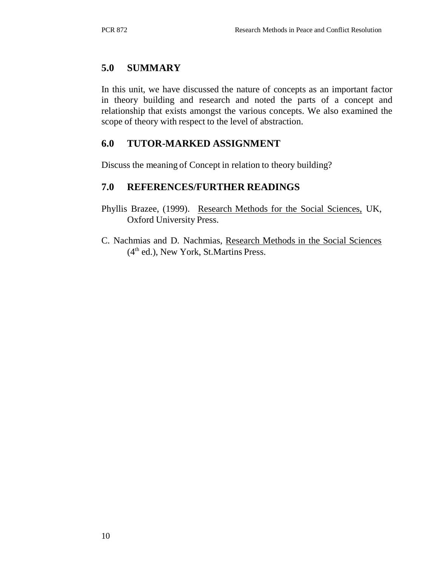## **5.0 SUMMARY**

In this unit, we have discussed the nature of concepts as an important factor in theory building and research and noted the parts of a concept and relationship that exists amongst the various concepts. We also examined the scope of theory with respect to the level of abstraction.

#### **6.0 TUTOR-MARKED ASSIGNMENT**

Discuss the meaning of Concept in relation to theory building?

## **7.0 REFERENCES/FURTHER READINGS**

- Phyllis Brazee, (1999). Research Methods for the Social Sciences, UK, Oxford University Press.
- C. Nachmias and D. Nachmias, Research Methods in the Social Sciences (4th ed.), New York, St.Martins Press.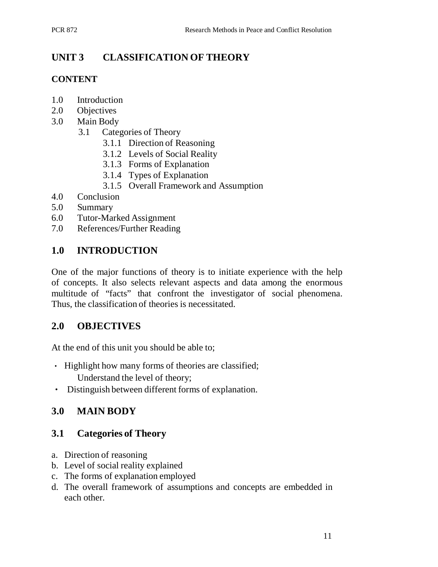## **UNIT 3 CLASSIFICATION OF THEORY**

#### **CONTENT**

- 1.0 Introduction
- 2.0 Objectives
- 3.0 Main Body
	- 3.1 Categories of Theory
		- 3.1.1 Direction of Reasoning
		- 3.1.2 Levels of Social Reality
		- 3.1.3 Forms of Explanation
		- 3.1.4 Types of Explanation
		- 3.1.5 Overall Framework and Assumption
- 4.0 Conclusion
- 5.0 Summary
- 6.0 Tutor-Marked Assignment
- 7.0 References/Further Reading

## **1.0 INTRODUCTION**

One of the major functions of theory is to initiate experience with the help of concepts. It also selects relevant aspects and data among the enormous multitude of "facts" that confront the investigator of social phenomena. Thus, the classification of theories is necessitated.

## **2.0 OBJECTIVES**

At the end of this unit you should be able to;

- ・ Highlight how many forms of theories are classified; Understand the level of theory;
- ・ Distinguish between different forms of explanation.

## **3.0 MAIN BODY**

## **3.1 Categories of Theory**

- a. Direction of reasoning
- b. Level of social reality explained
- c. The forms of explanation employed
- d. The overall framework of assumptions and concepts are embedded in each other.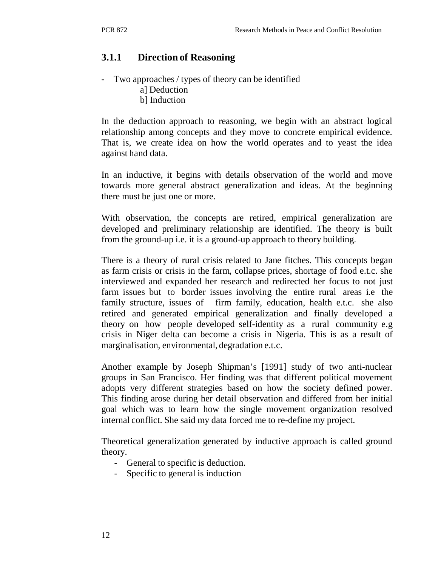## **3.1.1 Direction of Reasoning**

- Two approaches / types of theory can be identified a] Deduction b] Induction

In the deduction approach to reasoning, we begin with an abstract logical relationship among concepts and they move to concrete empirical evidence. That is, we create idea on how the world operates and to yeast the idea against hand data.

In an inductive, it begins with details observation of the world and move towards more general abstract generalization and ideas. At the beginning there must be just one or more.

With observation, the concepts are retired, empirical generalization are developed and preliminary relationship are identified. The theory is built from the ground-up i.e. it is a ground-up approach to theory building.

There is a theory of rural crisis related to Jane fitches. This concepts began as farm crisis or crisis in the farm, collapse prices, shortage of food e.t.c. she interviewed and expanded her research and redirected her focus to not just farm issues but to border issues involving the entire rural areas i.e the family structure, issues of firm family, education, health e.t.c. she also retired and generated empirical generalization and finally developed a theory on how people developed self-identity as a rural community e.g crisis in Niger delta can become a crisis in Nigeria. This is as a result of marginalisation, environmental, degradation e.t.c.

Another example by Joseph Shipman's [1991] study of two anti-nuclear groups in San Francisco. Her finding was that different political movement adopts very different strategies based on how the society defined power. This finding arose during her detail observation and differed from her initial goal which was to learn how the single movement organization resolved internal conflict. She said my data forced me to re-define my project.

Theoretical generalization generated by inductive approach is called ground theory.

- General to specific is deduction.
- Specific to general is induction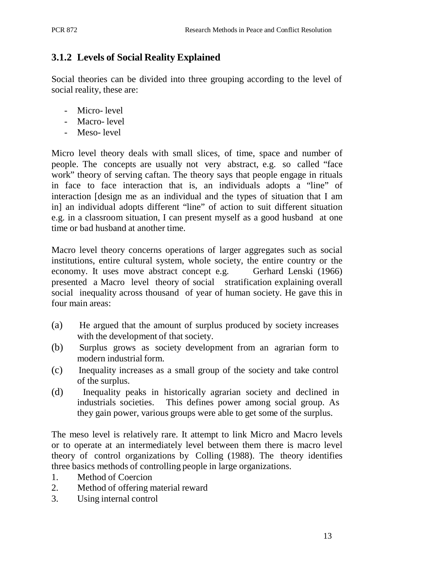#### **3.1.2 Levels of Social Reality Explained**

Social theories can be divided into three grouping according to the level of social reality, these are:

- Micro- level
- Macro- level
- Meso- level

Micro level theory deals with small slices, of time, space and number of people. The concepts are usually not very abstract, e.g. so called "face work" theory of serving caftan. The theory says that people engage in rituals in face to face interaction that is, an individuals adopts a "line" of interaction [design me as an individual and the types of situation that I am in] an individual adopts different "line" of action to suit different situation e.g. in a classroom situation, I can present myself as a good husband at one time or bad husband at another time.

Macro level theory concerns operations of larger aggregates such as social institutions, entire cultural system, whole society, the entire country or the economy. It uses move abstract concept e.g. Gerhard Lenski (1966) presented a Macro level theory of social stratification explaining overall social inequality across thousand of year of human society. He gave this in four main areas:

- (a) He argued that the amount of surplus produced by society increases with the development of that society.
- (b) Surplus grows as society development from an agrarian form to modern industrial form.
- (c) Inequality increases as a small group of the society and take control of the surplus.
- (d) Inequality peaks in historically agrarian society and declined in industrials societies. This defines power among social group. As they gain power, various groups were able to get some of the surplus.

The meso level is relatively rare. It attempt to link Micro and Macro levels or to operate at an intermediately level between them there is macro level theory of control organizations by Colling (1988). The theory identifies three basics methods of controlling people in large organizations.

- 1. Method of Coercion
- 2. Method of offering material reward
- 3. Using internal control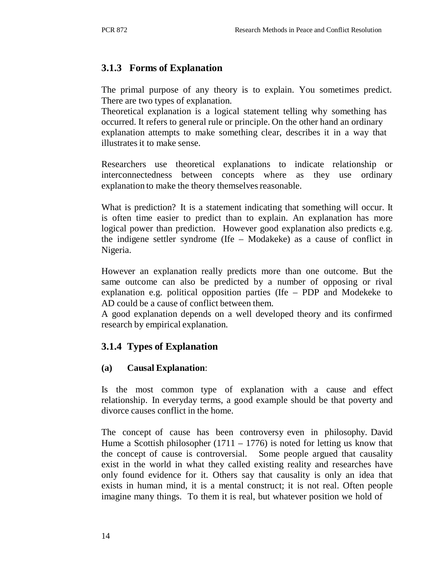## **3.1.3 Forms of Explanation**

The primal purpose of any theory is to explain. You sometimes predict. There are two types of explanation.

Theoretical explanation is a logical statement telling why something has occurred. It refers to general rule or principle. On the other hand an ordinary explanation attempts to make something clear, describes it in a way that illustrates it to make sense.

Researchers use theoretical explanations to indicate relationship or interconnectedness between concepts where as they use ordinary explanation to make the theory themselves reasonable.

What is prediction? It is a statement indicating that something will occur. It is often time easier to predict than to explain. An explanation has more logical power than prediction. However good explanation also predicts e.g. the indigene settler syndrome (Ife – Modakeke) as a cause of conflict in Nigeria.

However an explanation really predicts more than one outcome. But the same outcome can also be predicted by a number of opposing or rival explanation e.g. political opposition parties (Ife – PDP and Modekeke to AD could be a cause of conflict between them.

A good explanation depends on a well developed theory and its confirmed research by empirical explanation.

## **3.1.4 Types of Explanation**

#### **(a) Causal Explanation**:

Is the most common type of explanation with a cause and effect relationship. In everyday terms, a good example should be that poverty and divorce causes conflict in the home.

The concept of cause has been controversy even in philosophy. David Hume a Scottish philosopher  $(1711 - 1776)$  is noted for letting us know that the concept of cause is controversial. Some people argued that causality exist in the world in what they called existing reality and researches have only found evidence for it. Others say that causality is only an idea that exists in human mind, it is a mental construct; it is not real. Often people imagine many things. To them it is real, but whatever position we hold of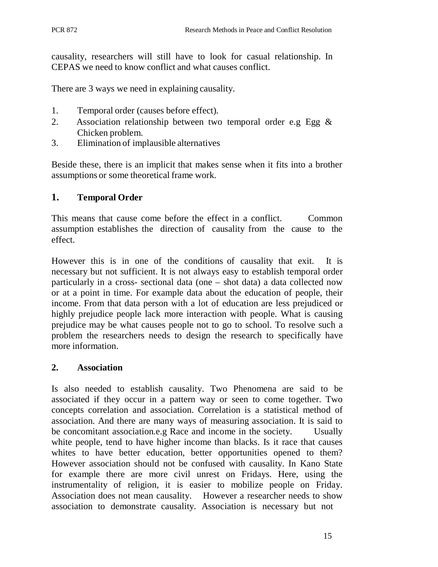causality, researchers will still have to look for casual relationship. In CEPAS we need to know conflict and what causes conflict.

There are 3 ways we need in explaining causality.

- 1. Temporal order (causes before effect).
- 2. Association relationship between two temporal order e.g Egg & Chicken problem.
- 3. Elimination of implausible alternatives

Beside these, there is an implicit that makes sense when it fits into a brother assumptions or some theoretical frame work.

#### **1. Temporal Order**

This means that cause come before the effect in a conflict. Common assumption establishes the direction of causality from the cause to the effect.

However this is in one of the conditions of causality that exit. It is necessary but not sufficient. It is not always easy to establish temporal order particularly in a cross- sectional data (one – shot data) a data collected now or at a point in time. For example data about the education of people, their income. From that data person with a lot of education are less prejudiced or highly prejudice people lack more interaction with people. What is causing prejudice may be what causes people not to go to school. To resolve such a problem the researchers needs to design the research to specifically have more information.

#### **2. Association**

Is also needed to establish causality. Two Phenomena are said to be associated if they occur in a pattern way or seen to come together. Two concepts correlation and association. Correlation is a statistical method of association. And there are many ways of measuring association. It is said to be concomitant association.e.g Race and income in the society. Usually white people, tend to have higher income than blacks. Is it race that causes whites to have better education, better opportunities opened to them? However association should not be confused with causality. In Kano State for example there are more civil unrest on Fridays. Here, using the instrumentality of religion, it is easier to mobilize people on Friday. Association does not mean causality. However a researcher needs to show association to demonstrate causality. Association is necessary but not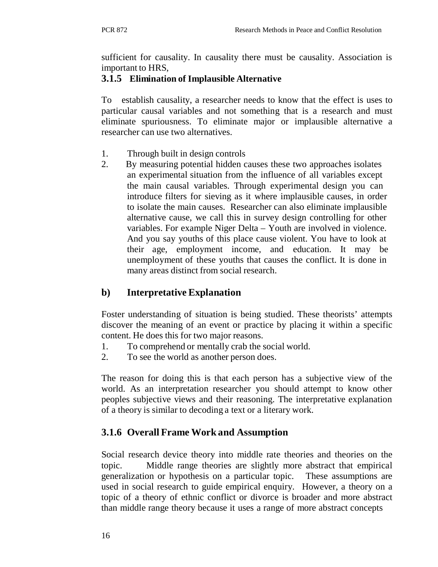sufficient for causality. In causality there must be causality. Association is important to HRS,

#### **3.1.5 Elimination of Implausible Alternative**

To establish causality, a researcher needs to know that the effect is uses to particular causal variables and not something that is a research and must eliminate spuriousness. To eliminate major or implausible alternative a researcher can use two alternatives.

- 1. Through built in design controls
- 2. By measuring potential hidden causes these two approaches isolates an experimental situation from the influence of all variables except the main causal variables. Through experimental design you can introduce filters for sieving as it where implausible causes, in order to isolate the main causes. Researcher can also eliminate implausible alternative cause, we call this in survey design controlling for other variables. For example Niger Delta – Youth are involved in violence. And you say youths of this place cause violent. You have to look at their age, employment income, and education. It may be unemployment of these youths that causes the conflict. It is done in many areas distinct from social research.

## **b) Interpretative Explanation**

Foster understanding of situation is being studied. These theorists' attempts discover the meaning of an event or practice by placing it within a specific content. He does this for two major reasons.

- 1. To comprehend or mentally crab the social world.
- 2. To see the world as another person does.

The reason for doing this is that each person has a subjective view of the world. As an interpretation researcher you should attempt to know other peoples subjective views and their reasoning. The interpretative explanation of a theory is similar to decoding a text or a literary work.

## **3.1.6 Overall Frame Work and Assumption**

Social research device theory into middle rate theories and theories on the topic. Middle range theories are slightly more abstract that empirical generalization or hypothesis on a particular topic. These assumptions are used in social research to guide empirical enquiry. However, a theory on a topic of a theory of ethnic conflict or divorce is broader and more abstract than middle range theory because it uses a range of more abstract concepts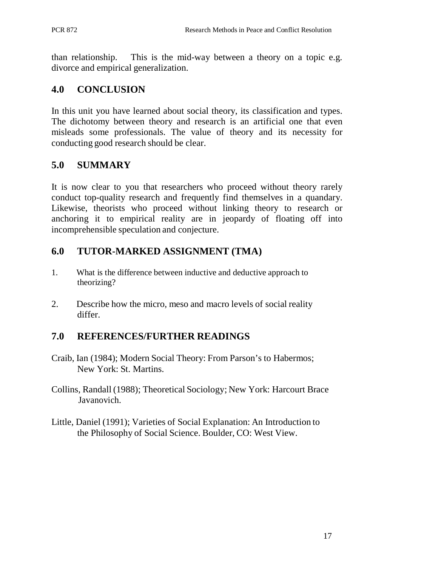than relationship. This is the mid-way between a theory on a topic e.g. divorce and empirical generalization.

## **4.0 CONCLUSION**

In this unit you have learned about social theory, its classification and types. The dichotomy between theory and research is an artificial one that even misleads some professionals. The value of theory and its necessity for conducting good research should be clear.

## **5.0 SUMMARY**

It is now clear to you that researchers who proceed without theory rarely conduct top-quality research and frequently find themselves in a quandary. Likewise, theorists who proceed without linking theory to research or anchoring it to empirical reality are in jeopardy of floating off into incomprehensible speculation and conjecture.

## **6.0 TUTOR-MARKED ASSIGNMENT (TMA)**

- 1. What is the difference between inductive and deductive approach to theorizing?
- 2. Describe how the micro, meso and macro levels of social reality differ.

## **7.0 REFERENCES/FURTHER READINGS**

- Craib, Ian (1984); Modern Social Theory: From Parson's to Habermos; New York: St. Martins.
- Collins, Randall (1988); Theoretical Sociology; New York: Harcourt Brace Javanovich.
- Little, Daniel (1991); Varieties of Social Explanation: An Introduction to the Philosophy of Social Science. Boulder, CO: West View.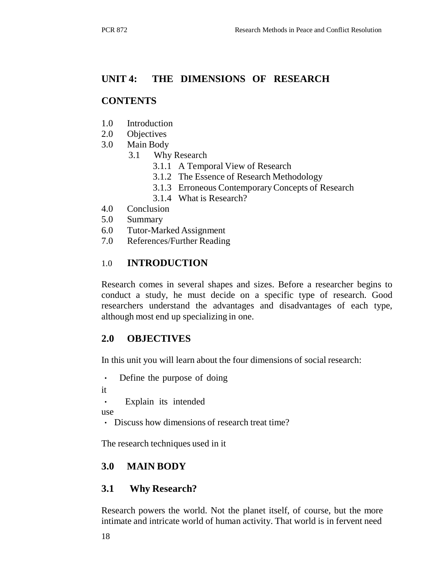## **UNIT 4: THE DIMENSIONS OF RESEARCH**

#### **CONTENTS**

- 1.0 Introduction
- 2.0 Objectives
- 3.0 Main Body
	- 3.1 Why Research
		- 3.1.1 A Temporal View of Research
		- 3.1.2 The Essence of Research Methodology
		- 3.1.3 Erroneous Contemporary Concepts of Research
		- 3.1.4 What is Research?
- 4.0 Conclusion
- 5.0 Summary
- 6.0 Tutor-Marked Assignment
- 7.0 References/Further Reading

## 1.0 **INTRODUCTION**

Research comes in several shapes and sizes. Before a researcher begins to conduct a study, he must decide on a specific type of research. Good researchers understand the advantages and disadvantages of each type, although most end up specializing in one.

## **2.0 OBJECTIVES**

In this unit you will learn about the four dimensions of social research:

• Define the purpose of doing it Explain its intended use

Discuss how dimensions of research treat time?

The research techniques used in it

## **3.0 MAIN BODY**

## **3.1 Why Research?**

Research powers the world. Not the planet itself, of course, but the more intimate and intricate world of human activity. That world is in fervent need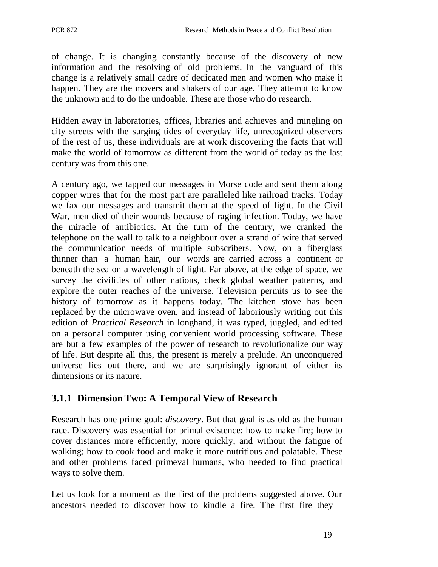of change. It is changing constantly because of the discovery of new information and the resolving of old problems. In the vanguard of this change is a relatively small cadre of dedicated men and women who make it happen. They are the movers and shakers of our age. They attempt to know the unknown and to do the undoable. These are those who do research.

Hidden away in laboratories, offices, libraries and achieves and mingling on city streets with the surging tides of everyday life, unrecognized observers of the rest of us, these individuals are at work discovering the facts that will make the world of tomorrow as different from the world of today as the last century was from this one.

A century ago, we tapped our messages in Morse code and sent them along copper wires that for the most part are paralleled like railroad tracks. Today we fax our messages and transmit them at the speed of light. In the Civil War, men died of their wounds because of raging infection. Today, we have the miracle of antibiotics. At the turn of the century, we cranked the telephone on the wall to talk to a neighbour over a strand of wire that served the communication needs of multiple subscribers. Now, on a fiberglass thinner than a human hair, our words are carried across a continent or beneath the sea on a wavelength of light. Far above, at the edge of space, we survey the civilities of other nations, check global weather patterns, and explore the outer reaches of the universe. Television permits us to see the history of tomorrow as it happens today. The kitchen stove has been replaced by the microwave oven, and instead of laboriously writing out this edition of *Practical Research* in longhand, it was typed, juggled, and edited on a personal computer using convenient world processing software. These are but a few examples of the power of research to revolutionalize our way of life. But despite all this, the present is merely a prelude. An unconquered universe lies out there, and we are surprisingly ignorant of either its dimensions or its nature.

#### **3.1.1 Dimension Two: A Temporal View of Research**

Research has one prime goal: *discovery*. But that goal is as old as the human race. Discovery was essential for primal existence: how to make fire; how to cover distances more efficiently, more quickly, and without the fatigue of walking; how to cook food and make it more nutritious and palatable. These and other problems faced primeval humans, who needed to find practical ways to solve them.

Let us look for a moment as the first of the problems suggested above. Our ancestors needed to discover how to kindle a fire. The first fire they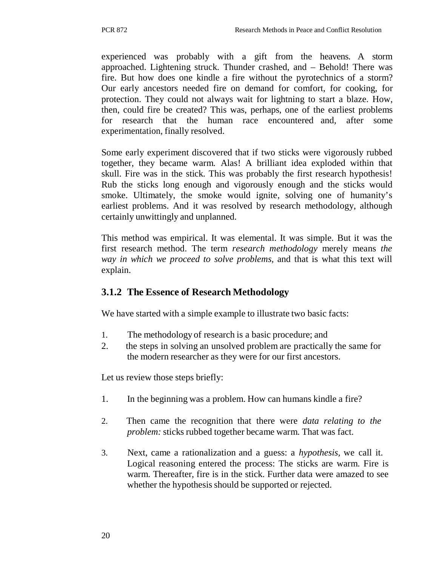experienced was probably with a gift from the heavens. A storm approached. Lightening struck. Thunder crashed, and – Behold! There was fire. But how does one kindle a fire without the pyrotechnics of a storm? Our early ancestors needed fire on demand for comfort, for cooking, for protection. They could not always wait for lightning to start a blaze. How, then, could fire be created? This was, perhaps, one of the earliest problems for research that the human race encountered and, after some experimentation, finally resolved.

Some early experiment discovered that if two sticks were vigorously rubbed together, they became warm. Alas! A brilliant idea exploded within that skull. Fire was in the stick. This was probably the first research hypothesis! Rub the sticks long enough and vigorously enough and the sticks would smoke. Ultimately, the smoke would ignite, solving one of humanity's earliest problems. And it was resolved by research methodology, although certainly unwittingly and unplanned.

This method was empirical. It was elemental. It was simple. But it was the first research method. The term *research methodology* merely means *the way in which we proceed to solve problems,* and that is what this text will explain.

## **3.1.2 The Essence of Research Methodology**

We have started with a simple example to illustrate two basic facts:

- 1. The methodology of research is a basic procedure; and
- 2. the steps in solving an unsolved problem are practically the same for the modern researcher as they were for our first ancestors.

Let us review those steps briefly:

- 1. In the beginning was a problem. How can humans kindle a fire?
- 2. Then came the recognition that there were *data relating to the problem:* sticks rubbed together became warm. That was fact.
- 3. Next, came a rationalization and a guess: a *hypothesis,* we call it. Logical reasoning entered the process: The sticks are warm. Fire is warm. Thereafter, fire is in the stick. Further data were amazed to see whether the hypothesis should be supported or rejected.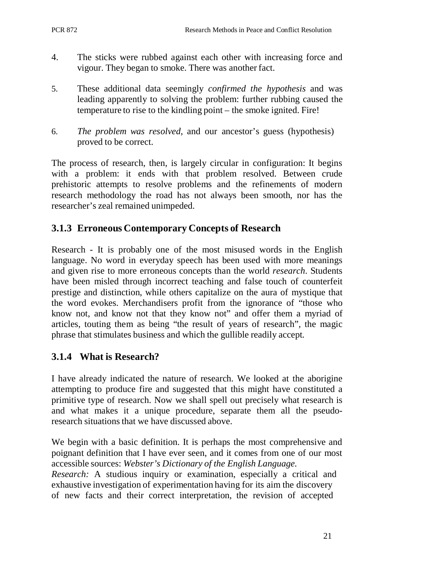- 4. The sticks were rubbed against each other with increasing force and vigour. They began to smoke. There was another fact.
- 5. These additional data seemingly *confirmed the hypothesis* and was leading apparently to solving the problem: further rubbing caused the temperature to rise to the kindling point – the smoke ignited. Fire!
- 6. *The problem was resolved*, and our ancestor's guess (hypothesis) proved to be correct.

The process of research, then, is largely circular in configuration: It begins with a problem: it ends with that problem resolved. Between crude prehistoric attempts to resolve problems and the refinements of modern research methodology the road has not always been smooth, nor has the researcher's zeal remained unimpeded.

## **3.1.3 Erroneous Contemporary Concepts of Research**

Research *-* It is probably one of the most misused words in the English language. No word in everyday speech has been used with more meanings and given rise to more erroneous concepts than the world *research*. Students have been misled through incorrect teaching and false touch of counterfeit prestige and distinction, while others capitalize on the aura of mystique that the word evokes. Merchandisers profit from the ignorance of "those who know not, and know not that they know not" and offer them a myriad of articles, touting them as being "the result of years of research", the magic phrase that stimulates business and which the gullible readily accept.

## **3.1.4 What is Research?**

I have already indicated the nature of research. We looked at the aborigine attempting to produce fire and suggested that this might have constituted a primitive type of research. Now we shall spell out precisely what research is and what makes it a unique procedure, separate them all the pseudoresearch situations that we have discussed above.

We begin with a basic definition. It is perhaps the most comprehensive and poignant definition that I have ever seen, and it comes from one of our most accessible sources: *Webster's Dictionary of the English Language.*

*Research:* A studious inquiry or examination, especially a critical and exhaustive investigation of experimentation having for its aim the discovery of new facts and their correct interpretation, the revision of accepted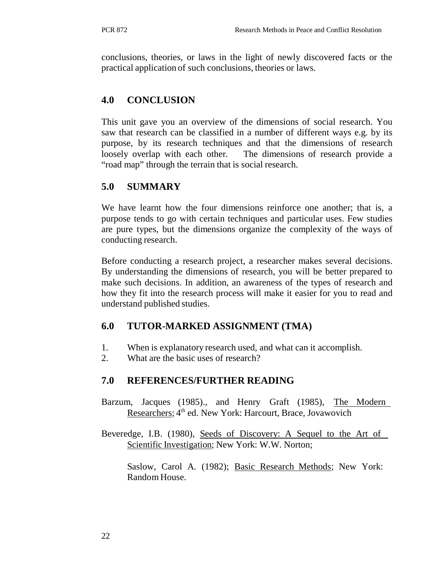conclusions, theories, or laws in the light of newly discovered facts or the practical application of such conclusions, theories or laws.

### **4.0 CONCLUSION**

This unit gave you an overview of the dimensions of social research. You saw that research can be classified in a number of different ways e.g. by its purpose, by its research techniques and that the dimensions of research loosely overlap with each other. The dimensions of research provide a The dimensions of research provide a "road map" through the terrain that is social research.

### **5.0 SUMMARY**

We have learnt how the four dimensions reinforce one another; that is, a purpose tends to go with certain techniques and particular uses. Few studies are pure types, but the dimensions organize the complexity of the ways of conducting research.

Before conducting a research project, a researcher makes several decisions. By understanding the dimensions of research, you will be better prepared to make such decisions. In addition, an awareness of the types of research and how they fit into the research process will make it easier for you to read and understand published studies.

### **6.0 TUTOR-MARKED ASSIGNMENT (TMA)**

- 1. When is explanatory research used, and what can it accomplish.
- 2. What are the basic uses of research?

#### **7.0 REFERENCES/FURTHER READING**

- Barzum, Jacques (1985)., and Henry Graft (1985), The Modern Researchers; 4<sup>th</sup> ed. New York: Harcourt, Brace, Jovawovich
- Beveredge, I.B. (1980), Seeds of Discovery: A Sequel to the Art of Scientific Investigation; New York: W.W. Norton;

Saslow, Carol A. (1982); Basic Research Methods; New York: Random House.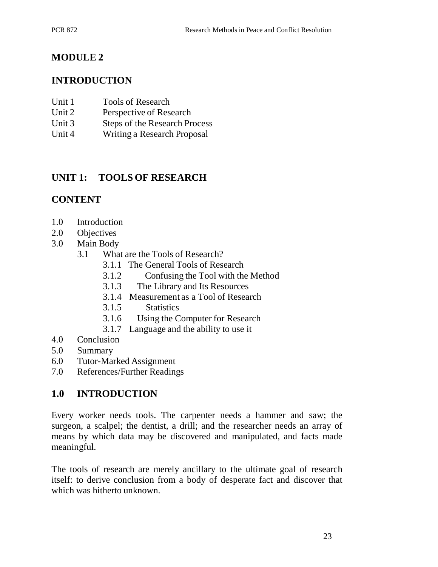# **MODULE 2**

### **INTRODUCTION**

- Unit 1 Tools of Research
- Unit 2 Perspective of Research
- Unit 3 Steps of the Research Process
- Unit 4 Writing a Research Proposal

# **UNIT 1: TOOLS OF RESEARCH**

# **CONTENT**

- 1.0 Introduction
- 2.0 Objectives
- 3.0 Main Body
	- 3.1 What are the Tools of Research?
		- 3.1.1 The General Tools of Research
		- 3.1.2 Confusing the Tool with the Method
		- 3.1.3 The Library and Its Resources
		- 3.1.4 Measurement as a Tool of Research
		- 3.1.5 Statistics
		- 3.1.6 Using the Computer for Research
		- 3.1.7 Language and the ability to use it
- 4.0 Conclusion
- 5.0 Summary
- 6.0 Tutor-Marked Assignment
- 7.0 References/Further Readings

# **1.0 INTRODUCTION**

Every worker needs tools. The carpenter needs a hammer and saw; the surgeon, a scalpel; the dentist, a drill; and the researcher needs an array of means by which data may be discovered and manipulated, and facts made meaningful.

The tools of research are merely ancillary to the ultimate goal of research itself: to derive conclusion from a body of desperate fact and discover that which was hitherto unknown.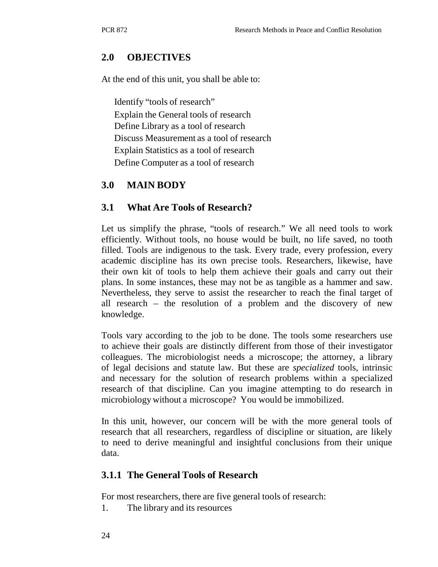#### **2.0 OBJECTIVES**

At the end of this unit, you shall be able to:

Identify "tools of research" Explain the General tools of research Define Library as a tool of research Discuss Measurement as a tool of research Explain Statistics as a tool of research Define Computer as a tool of research

#### **3.0 MAIN BODY**

#### **3.1 What Are Tools of Research?**

Let us simplify the phrase, "tools of research." We all need tools to work efficiently. Without tools, no house would be built, no life saved, no tooth filled. Tools are indigenous to the task. Every trade, every profession, every academic discipline has its own precise tools. Researchers, likewise, have their own kit of tools to help them achieve their goals and carry out their plans. In some instances, these may not be as tangible as a hammer and saw. Nevertheless, they serve to assist the researcher to reach the final target of all research – the resolution of a problem and the discovery of new knowledge.

Tools vary according to the job to be done. The tools some researchers use to achieve their goals are distinctly different from those of their investigator colleagues. The microbiologist needs a microscope; the attorney, a library of legal decisions and statute law. But these are *specialized* tools, intrinsic and necessary for the solution of research problems within a specialized research of that discipline. Can you imagine attempting to do research in microbiology without a microscope? You would be immobilized.

In this unit, however, our concern will be with the more general tools of research that all researchers, regardless of discipline or situation, are likely to need to derive meaningful and insightful conclusions from their unique data.

#### **3.1.1 The General Tools of Research**

For most researchers, there are five general tools of research:

1. The library and its resources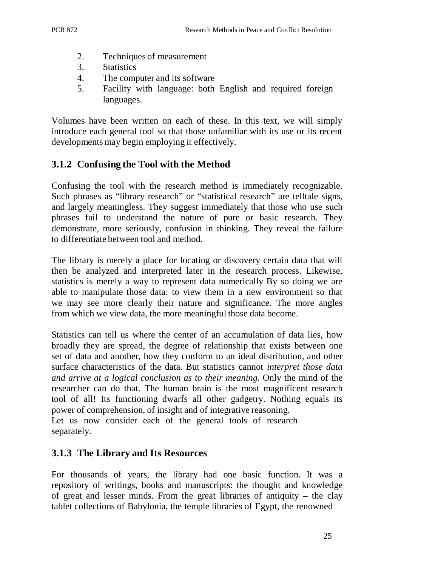- 2. Techniques of measurement
- 3. Statistics
- 4. The computer and its software
- 5. Facility with language: both English and required foreign languages.

Volumes have been written on each of these. In this text, we will simply introduce each general tool so that those unfamiliar with its use or its recent developments may begin employing it effectively.

# **3.1.2 Confusing the Tool with the Method**

Confusing the tool with the research method is immediately recognizable. Such phrases as "library research" or "statistical research" are telltale signs, and largely meaningless. They suggest immediately that those who use such phrases fail to understand the nature of pure or basic research. They demonstrate, more seriously, confusion in thinking. They reveal the failure to differentiate between tool and method.

The library is merely a place for locating or discovery certain data that will then be analyzed and interpreted later in the research process. Likewise, statistics is merely a way to represent data numerically By so doing we are able to manipulate those data: to view them in a new environment so that we may see more clearly their nature and significance. The more angles from which we view data, the more meaningful those data become.

Statistics can tell us where the center of an accumulation of data lies, how broadly they are spread, the degree of relationship that exists between one set of data and another, how they conform to an ideal distribution, and other surface characteristics of the data. But statistics cannot *interpret those data and arrive at a logical conclusion as to their meaning.* Only the mind of the researcher can do that. The human brain is the most magnificent research tool of all! Its functioning dwarfs all other gadgetry. Nothing equals its power of comprehension, of insight and of integrative reasoning. Let us now consider each of the general tools of research

separately.

# **3.1.3 The Library and Its Resources**

For thousands of years, the library had one basic function. It was a repository of writings, books and manuscripts: the thought and knowledge of great and lesser minds. From the great libraries of antiquity – the clay tablet collections of Babylonia, the temple libraries of Egypt, the renowned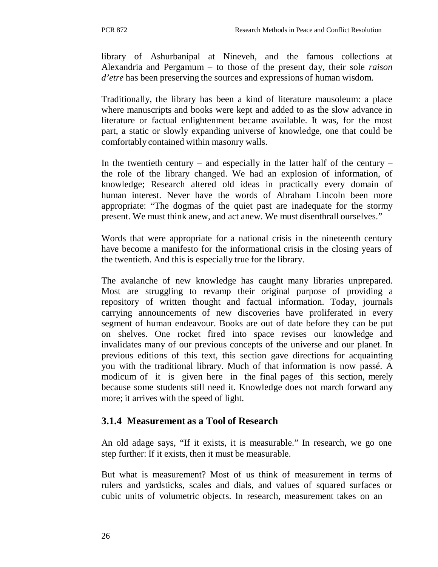library of Ashurbanipal at Nineveh, and the famous collections at Alexandria and Pergamum – to those of the present day, their sole *raison d'etre* has been preserving the sources and expressions of human wisdom.

Traditionally, the library has been a kind of literature mausoleum: a place where manuscripts and books were kept and added to as the slow advance in literature or factual enlightenment became available. It was, for the most part, a static or slowly expanding universe of knowledge, one that could be comfortably contained within masonry walls.

In the twentieth century – and especially in the latter half of the century – the role of the library changed. We had an explosion of information, of knowledge; Research altered old ideas in practically every domain of human interest. Never have the words of Abraham Lincoln been more appropriate: "The dogmas of the quiet past are inadequate for the stormy present. We must think anew, and act anew. We must disenthrall ourselves."

Words that were appropriate for a national crisis in the nineteenth century have become a manifesto for the informational crisis in the closing years of the twentieth. And this is especially true for the library.

The avalanche of new knowledge has caught many libraries unprepared. Most are struggling to revamp their original purpose of providing a repository of written thought and factual information. Today, journals carrying announcements of new discoveries have proliferated in every segment of human endeavour. Books are out of date before they can be put on shelves. One rocket fired into space revises our knowledge and invalidates many of our previous concepts of the universe and our planet. In previous editions of this text, this section gave directions for acquainting you with the traditional library. Much of that information is now passé. A modicum of it is given here in the final pages of this section, merely because some students still need it. Knowledge does not march forward any more; it arrives with the speed of light.

#### **3.1.4 Measurement as a Tool of Research**

An old adage says, "If it exists, it is measurable." In research, we go one step further: If it exists, then it must be measurable.

But what is measurement? Most of us think of measurement in terms of rulers and yardsticks, scales and dials, and values of squared surfaces or cubic units of volumetric objects. In research, measurement takes on an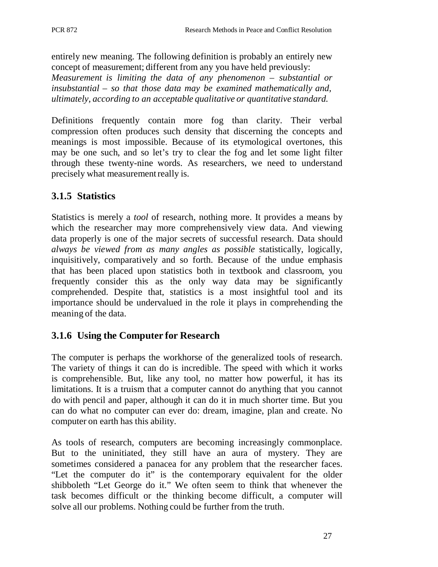entirely new meaning. The following definition is probably an entirely new concept of measurement; different from any you have held previously: *Measurement is limiting the data of any phenomenon – substantial or insubstantial – so that those data may be examined mathematically and, ultimately, according to an acceptable qualitative or quantitative standard.*

Definitions frequently contain more fog than clarity. Their verbal compression often produces such density that discerning the concepts and meanings is most impossible. Because of its etymological overtones, this may be one such, and so let's try to clear the fog and let some light filter through these twenty-nine words. As researchers, we need to understand precisely what measurement really is.

# **3.1.5 Statistics**

Statistics is merely a *tool* of research, nothing more. It provides a means by which the researcher may more comprehensively view data. And viewing data properly is one of the major secrets of successful research. Data should *always be viewed from as many angles as possible* statistically, logically, inquisitively, comparatively and so forth. Because of the undue emphasis that has been placed upon statistics both in textbook and classroom, you frequently consider this as the only way data may be significantly comprehended. Despite that, statistics is a most insightful tool and its importance should be undervalued in the role it plays in comprehending the meaning of the data.

### **3.1.6 Using the Computer for Research**

The computer is perhaps the workhorse of the generalized tools of research. The variety of things it can do is incredible. The speed with which it works is comprehensible. But, like any tool, no matter how powerful, it has its limitations. It is a truism that a computer cannot do anything that you cannot do with pencil and paper, although it can do it in much shorter time. But you can do what no computer can ever do: dream, imagine, plan and create. No computer on earth has this ability.

As tools of research, computers are becoming increasingly commonplace. But to the uninitiated, they still have an aura of mystery. They are sometimes considered a panacea for any problem that the researcher faces. "Let the computer do it" is the contemporary equivalent for the older shibboleth "Let George do it." We often seem to think that whenever the task becomes difficult or the thinking become difficult, a computer will solve all our problems. Nothing could be further from the truth.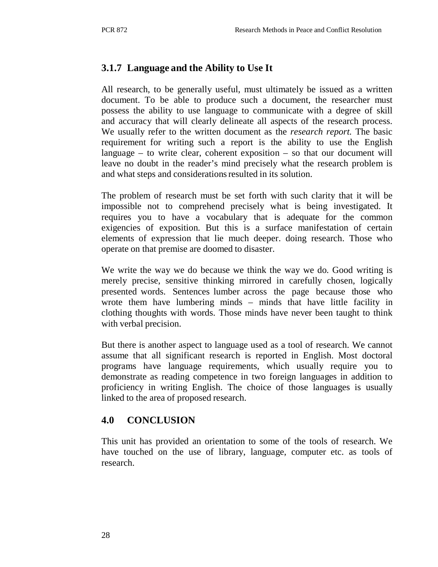# **3.1.7 Language and the Ability to Use It**

All research, to be generally useful, must ultimately be issued as a written document. To be able to produce such a document, the researcher must possess the ability to use language to communicate with a degree of skill and accuracy that will clearly delineate all aspects of the research process. We usually refer to the written document as the *research report.* The basic requirement for writing such a report is the ability to use the English language – to write clear, coherent exposition – so that our document will leave no doubt in the reader's mind precisely what the research problem is and what steps and considerations resulted in its solution.

The problem of research must be set forth with such clarity that it will be impossible not to comprehend precisely what is being investigated. It requires you to have a vocabulary that is adequate for the common exigencies of exposition. But this is a surface manifestation of certain elements of expression that lie much deeper. doing research. Those who operate on that premise are doomed to disaster.

We write the way we do because we think the way we do. Good writing is merely precise, sensitive thinking mirrored in carefully chosen, logically presented words. Sentences lumber across the page because those who wrote them have lumbering minds – minds that have little facility in clothing thoughts with words. Those minds have never been taught to think with verbal precision.

But there is another aspect to language used as a tool of research. We cannot assume that all significant research is reported in English. Most doctoral programs have language requirements, which usually require you to demonstrate as reading competence in two foreign languages in addition to proficiency in writing English. The choice of those languages is usually linked to the area of proposed research.

### **4.0 CONCLUSION**

This unit has provided an orientation to some of the tools of research. We have touched on the use of library, language, computer etc. as tools of research.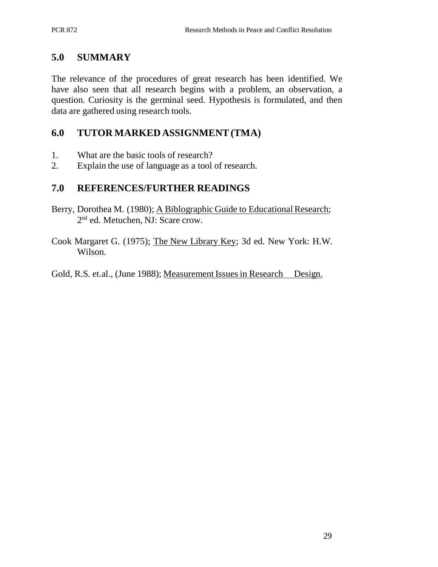#### **5.0 SUMMARY**

The relevance of the procedures of great research has been identified. We have also seen that all research begins with a problem, an observation, a question. Curiosity is the germinal seed. Hypothesis is formulated, and then data are gathered using research tools.

# **6.0 TUTOR MARKED ASSIGNMENT (TMA)**

- 1. What are the basic tools of research?
- 2. Explain the use of language as a tool of research.

#### **7.0 REFERENCES/FURTHER READINGS**

- Berry, Dorothea M. (1980); A Biblographic Guide to Educational Research; 2 nd ed. Metuchen, NJ: Scare crow.
- Cook Margaret G. (1975); The New Library Key; 3d ed. New York: H.W. Wilson.

Gold, R.S. et.al., (June 1988); Measurement Issues in Research Design.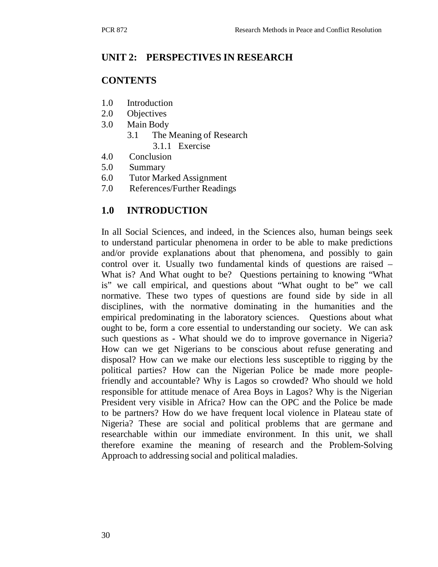# **UNIT 2: PERSPECTIVES IN RESEARCH**

### **CONTENTS**

- 1.0 Introduction
- 2.0 Objectives
- 3.0 Main Body
	- 3.1 The Meaning of Research 3.1.1 Exercise
- 4.0 Conclusion
- 5.0 Summary
- 6.0 Tutor Marked Assignment
- 7.0 References/Further Readings

# **1.0 INTRODUCTION**

In all Social Sciences, and indeed, in the Sciences also, human beings seek to understand particular phenomena in order to be able to make predictions and/or provide explanations about that phenomena, and possibly to gain control over it. Usually two fundamental kinds of questions are raised – What is? And What ought to be? Questions pertaining to knowing "What is" we call empirical, and questions about "What ought to be" we call normative. These two types of questions are found side by side in all disciplines, with the normative dominating in the humanities and the empirical predominating in the laboratory sciences. Questions about what ought to be, form a core essential to understanding our society. We can ask such questions as - What should we do to improve governance in Nigeria? How can we get Nigerians to be conscious about refuse generating and disposal? How can we make our elections less susceptible to rigging by the political parties? How can the Nigerian Police be made more peoplefriendly and accountable? Why is Lagos so crowded? Who should we hold responsible for attitude menace of Area Boys in Lagos? Why is the Nigerian President very visible in Africa? How can the OPC and the Police be made to be partners? How do we have frequent local violence in Plateau state of Nigeria? These are social and political problems that are germane and researchable within our immediate environment. In this unit, we shall therefore examine the meaning of research and the Problem-Solving Approach to addressing social and political maladies.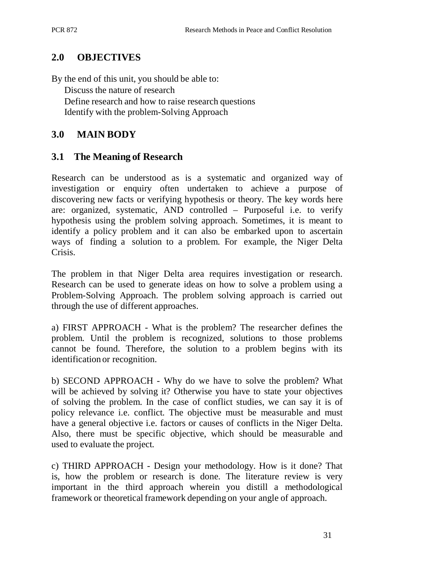### **2.0 OBJECTIVES**

By the end of this unit, you should be able to: Discuss the nature of research Define research and how to raise research questions Identify with the problem-Solving Approach

#### **3.0 MAIN BODY**

#### **3.1 The Meaning of Research**

Research can be understood as is a systematic and organized way of investigation or enquiry often undertaken to achieve a purpose of discovering new facts or verifying hypothesis or theory. The key words here are: organized, systematic, AND controlled – Purposeful i.e. to verify hypothesis using the problem solving approach. Sometimes, it is meant to identify a policy problem and it can also be embarked upon to ascertain ways of finding a solution to a problem. For example, the Niger Delta Crisis.

The problem in that Niger Delta area requires investigation or research. Research can be used to generate ideas on how to solve a problem using a Problem-Solving Approach. The problem solving approach is carried out through the use of different approaches.

a) FIRST APPROACH - What is the problem? The researcher defines the problem. Until the problem is recognized, solutions to those problems cannot be found. Therefore, the solution to a problem begins with its identification or recognition.

b) SECOND APPROACH - Why do we have to solve the problem? What will be achieved by solving it? Otherwise you have to state your objectives of solving the problem. In the case of conflict studies, we can say it is of policy relevance i.e. conflict. The objective must be measurable and must have a general objective i.e. factors or causes of conflicts in the Niger Delta. Also, there must be specific objective, which should be measurable and used to evaluate the project.

c) THIRD APPROACH - Design your methodology. How is it done? That is, how the problem or research is done. The literature review is very important in the third approach wherein you distill a methodological framework or theoretical framework depending on your angle of approach.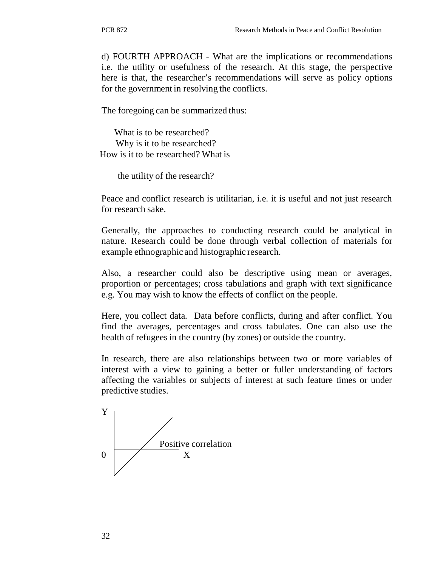d) FOURTH APPROACH - What are the implications or recommendations i.e. the utility or usefulness of the research. At this stage, the perspective here is that, the researcher's recommendations will serve as policy options for the government in resolving the conflicts.

The foregoing can be summarized thus:

What is to be researched? Why is it to be researched? How is it to be researched? What is

the utility of the research?

Peace and conflict research is utilitarian, i.e. it is useful and not just research for research sake.

Generally, the approaches to conducting research could be analytical in nature. Research could be done through verbal collection of materials for example ethnographic and histographic research.

Also, a researcher could also be descriptive using mean or averages, proportion or percentages; cross tabulations and graph with text significance e.g. You may wish to know the effects of conflict on the people.

Here, you collect data. Data before conflicts, during and after conflict. You find the averages, percentages and cross tabulates. One can also use the health of refugees in the country (by zones) or outside the country.

In research, there are also relationships between two or more variables of interest with a view to gaining a better or fuller understanding of factors affecting the variables or subjects of interest at such feature times or under predictive studies.

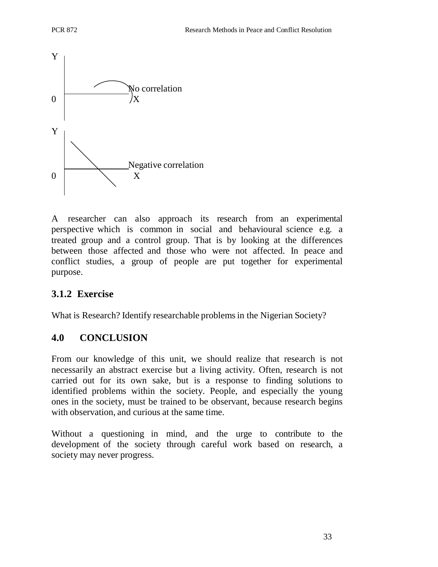

A researcher can also approach its research from an experimental perspective which is common in social and behavioural science e.g. a treated group and a control group. That is by looking at the differences between those affected and those who were not affected. In peace and conflict studies, a group of people are put together for experimental purpose.

#### **3.1.2 Exercise**

What is Research? Identify researchable problems in the Nigerian Society?

#### **4.0 CONCLUSION**

From our knowledge of this unit, we should realize that research is not necessarily an abstract exercise but a living activity. Often, research is not carried out for its own sake, but is a response to finding solutions to identified problems within the society. People, and especially the young ones in the society, must be trained to be observant, because research begins with observation, and curious at the same time.

Without a questioning in mind, and the urge to contribute to the development of the society through careful work based on research, a society may never progress.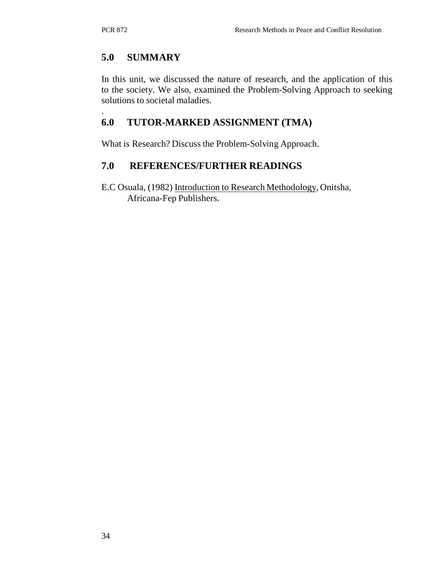# **5.0 SUMMARY**

In this unit, we discussed the nature of research, and the application of this to the society. We also, examined the Problem-Solving Approach to seeking solutions to societal maladies.

#### . **6.0 TUTOR-MARKED ASSIGNMENT (TMA)**

What is Research? Discuss the Problem-Solving Approach.

# **7.0 REFERENCES/FURTHER READINGS**

E.C Osuala, (1982) Introduction to Research Methodology, Onitsha, Africana-Fep Publishers.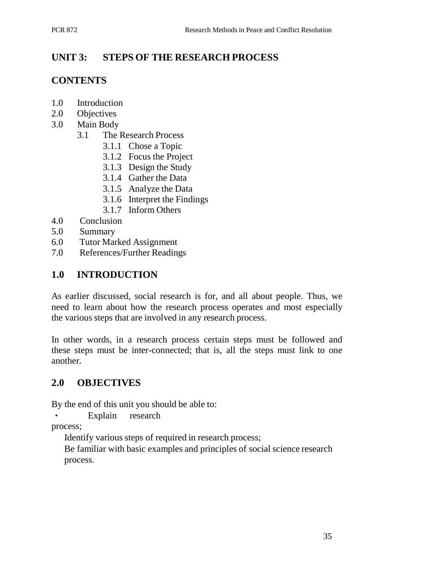### **UNIT 3: STEPS OF THE RESEARCH PROCESS**

### **CONTENTS**

- 1.0 Introduction
- 2.0 Objectives
- 3.0 Main Body
	- 3.1 The Research Process
		- 3.1.1 Chose a Topic
		- 3.1.2 Focus the Project
		- 3.1.3 Design the Study
		- 3.1.4 Gather the Data
		- 3.1.5 Analyze the Data
		- 3.1.6 Interpret the Findings
		- 3.1.7 Inform Others
- 4.0 Conclusion
- 5.0 Summary
- 6.0 Tutor Marked Assignment
- 7.0 References/Further Readings

### **1.0 INTRODUCTION**

As earlier discussed, social research is for, and all about people. Thus, we need to learn about how the research process operates and most especially the various steps that are involved in any research process.

In other words, in a research process certain steps must be followed and these steps must be inter-connected; that is, all the steps must link to one another.

# **2.0 OBJECTIVES**

By the end of this unit you should be able to:

Explain research

process;

Identify various steps of required in research process;

Be familiar with basic examples and principles of social science research process.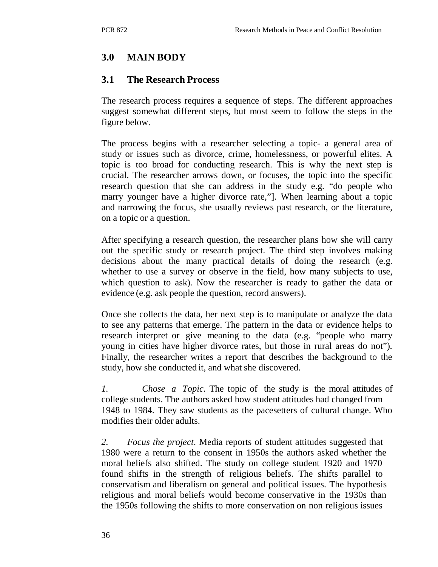# **3.0 MAIN BODY**

#### **3.1 The Research Process**

The research process requires a sequence of steps. The different approaches suggest somewhat different steps, but most seem to follow the steps in the figure below.

The process begins with a researcher selecting a topic- a general area of study or issues such as divorce, crime, homelessness, or powerful elites. A topic is too broad for conducting research. This is why the next step is crucial. The researcher arrows down, or focuses, the topic into the specific research question that she can address in the study e.g. "do people who marry younger have a higher divorce rate,"]. When learning about a topic and narrowing the focus, she usually reviews past research, or the literature, on a topic or a question.

After specifying a research question, the researcher plans how she will carry out the specific study or research project. The third step involves making decisions about the many practical details of doing the research (e.g. whether to use a survey or observe in the field, how many subjects to use, which question to ask). Now the researcher is ready to gather the data or evidence (e.g. ask people the question, record answers).

Once she collects the data, her next step is to manipulate or analyze the data to see any patterns that emerge. The pattern in the data or evidence helps to research interpret or give meaning to the data (e.g. "people who marry young in cities have higher divorce rates, but those in rural areas do not"). Finally, the researcher writes a report that describes the background to the study, how she conducted it, and what she discovered.

*1. Chose a Topic*. The topic of the study is the moral attitudes of college students. The authors asked how student attitudes had changed from 1948 to 1984. They saw students as the pacesetters of cultural change. Who modifies their older adults.

*2. Focus the project*. Media reports of student attitudes suggested that 1980 were a return to the consent in 1950s the authors asked whether the moral beliefs also shifted. The study on college student 1920 and 1970 found shifts in the strength of religious beliefs. The shifts parallel to conservatism and liberalism on general and political issues. The hypothesis religious and moral beliefs would become conservative in the 1930s than the 1950s following the shifts to more conservation on non religious issues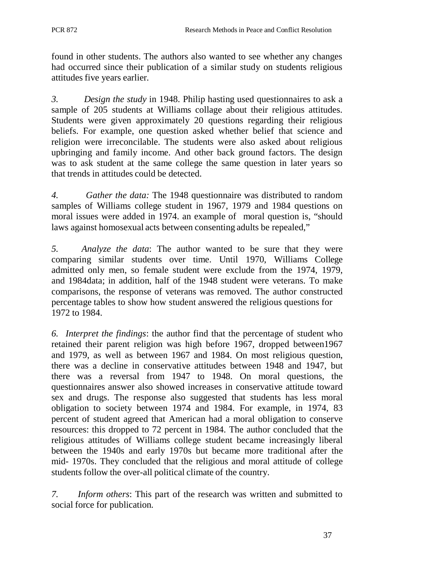found in other students. The authors also wanted to see whether any changes had occurred since their publication of a similar study on students religious attitudes five years earlier.

*3. Design the study* in 1948. Philip hasting used questionnaires to ask a sample of 205 students at Williams collage about their religious attitudes. Students were given approximately 20 questions regarding their religious beliefs. For example, one question asked whether belief that science and religion were irreconcilable. The students were also asked about religious upbringing and family income. And other back ground factors. The design was to ask student at the same college the same question in later years so that trends in attitudes could be detected.

*4. Gather the data:* The 1948 questionnaire was distributed to random samples of Williams college student in 1967, 1979 and 1984 questions on moral issues were added in 1974. an example of moral question is, "should laws against homosexual acts between consenting adults be repealed,"

*5. Analyze the data*: The author wanted to be sure that they were comparing similar students over time. Until 1970, Williams College admitted only men, so female student were exclude from the 1974, 1979, and 1984data; in addition, half of the 1948 student were veterans. To make comparisons, the response of veterans was removed. The author constructed percentage tables to show how student answered the religious questions for 1972 to 1984.

*6. Interpret the findings*: the author find that the percentage of student who retained their parent religion was high before 1967, dropped between1967 and 1979, as well as between 1967 and 1984. On most religious question, there was a decline in conservative attitudes between 1948 and 1947, but there was a reversal from 1947 to 1948. On moral questions, the questionnaires answer also showed increases in conservative attitude toward sex and drugs. The response also suggested that students has less moral obligation to society between 1974 and 1984. For example, in 1974, 83 percent of student agreed that American had a moral obligation to conserve resources: this dropped to 72 percent in 1984. The author concluded that the religious attitudes of Williams college student became increasingly liberal between the 1940s and early 1970s but became more traditional after the mid- 1970s. They concluded that the religious and moral attitude of college students follow the over-all political climate of the country.

*7. Inform others*: This part of the research was written and submitted to social force for publication.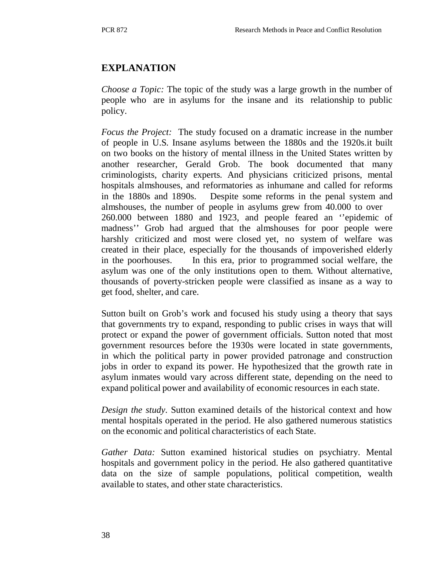### **EXPLANATION**

*Choose a Topic:* The topic of the study was a large growth in the number of people who are in asylums for the insane and its relationship to public policy.

*Focus the Project:* The study focused on a dramatic increase in the number of people in U.S. Insane asylums between the 1880s and the 1920s.it built on two books on the history of mental illness in the United States written by another researcher, Gerald Grob. The book documented that many criminologists, charity experts. And physicians criticized prisons, mental hospitals almshouses, and reformatories as inhumane and called for reforms in the 1880s and 1890s. Despite some reforms in the penal system and almshouses, the number of people in asylums grew from 40.000 to over 260.000 between 1880 and 1923, and people feared an ''epidemic of madness'' Grob had argued that the almshouses for poor people were harshly criticized and most were closed yet, no system of welfare was created in their place, especially for the thousands of impoverished elderly in the poorhouses. In this era, prior to programmed social welfare, the asylum was one of the only institutions open to them. Without alternative, thousands of poverty-stricken people were classified as insane as a way to get food, shelter, and care.

Sutton built on Grob's work and focused his study using a theory that says that governments try to expand, responding to public crises in ways that will protect or expand the power of government officials. Sutton noted that most government resources before the 1930s were located in state governments, in which the political party in power provided patronage and construction jobs in order to expand its power. He hypothesized that the growth rate in asylum inmates would vary across different state, depending on the need to expand political power and availability of economic resources in each state.

*Design the study*. Sutton examined details of the historical context and how mental hospitals operated in the period. He also gathered numerous statistics on the economic and political characteristics of each State.

*Gather Data:* Sutton examined historical studies on psychiatry. Mental hospitals and government policy in the period. He also gathered quantitative data on the size of sample populations, political competition, wealth available to states, and other state characteristics.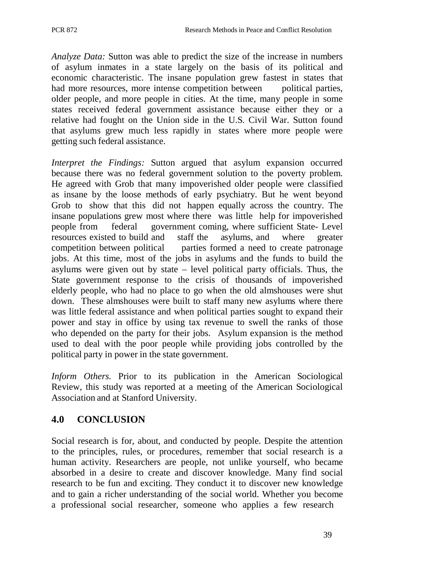*Analyze Data:* Sutton was able to predict the size of the increase in numbers of asylum inmates in a state largely on the basis of its political and economic characteristic. The insane population grew fastest in states that had more resources, more intense competition between political parties, older people, and more people in cities. At the time, many people in some states received federal government assistance because either they or a relative had fought on the Union side in the U.S. Civil War. Sutton found that asylums grew much less rapidly in states where more people were getting such federal assistance.

*Interpret the Findings:* Sutton argued that asylum expansion occurred because there was no federal government solution to the poverty problem. He agreed with Grob that many impoverished older people were classified as insane by the loose methods of early psychiatry. But he went beyond Grob to show that this did not happen equally across the country. The insane populations grew most where there was little help for impoverished people from federal government coming, where sufficient State- Level resources existed to build and staff the asylums, and where greater competition between political parties formed a need to create patronage jobs. At this time, most of the jobs in asylums and the funds to build the asylums were given out by state – level political party officials. Thus, the State government response to the crisis of thousands of impoverished elderly people, who had no place to go when the old almshouses were shut down. These almshouses were built to staff many new asylums where there was little federal assistance and when political parties sought to expand their power and stay in office by using tax revenue to swell the ranks of those who depended on the party for their jobs. Asylum expansion is the method used to deal with the poor people while providing jobs controlled by the political party in power in the state government.

*Inform Others.* Prior to its publication in the American Sociological Review, this study was reported at a meeting of the American Sociological Association and at Stanford University.

# **4.0 CONCLUSION**

Social research is for, about, and conducted by people. Despite the attention to the principles, rules, or procedures, remember that social research is a human activity. Researchers are people, not unlike yourself, who became absorbed in a desire to create and discover knowledge. Many find social research to be fun and exciting. They conduct it to discover new knowledge and to gain a richer understanding of the social world. Whether you become a professional social researcher, someone who applies a few research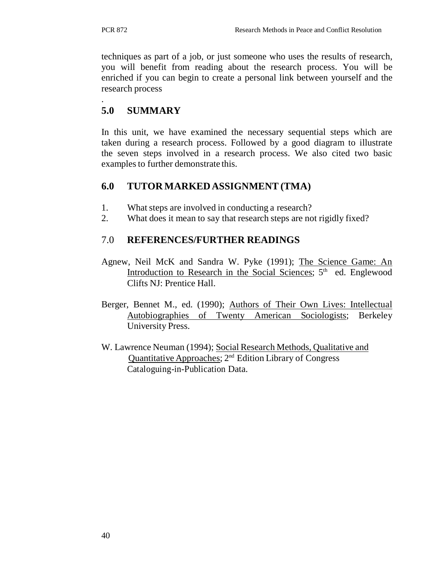techniques as part of a job, or just someone who uses the results of research, you will benefit from reading about the research process. You will be enriched if you can begin to create a personal link between yourself and the research process

#### . **5.0 SUMMARY**

In this unit, we have examined the necessary sequential steps which are taken during a research process. Followed by a good diagram to illustrate the seven steps involved in a research process. We also cited two basic examples to further demonstrate this.

# **6.0 TUTOR MARKED ASSIGNMENT (TMA)**

- 1. What steps are involved in conducting a research?
- 2. What does it mean to say that research steps are not rigidly fixed?

### 7.0 **REFERENCES/FURTHER READINGS**

- Agnew, Neil McK and Sandra W. Pyke (1991); The Science Game: An Introduction to Research in the Social Sciences;  $5<sup>th</sup>$  ed. Englewood Clifts NJ: Prentice Hall.
- Berger, Bennet M., ed. (1990); Authors of Their Own Lives: Intellectual Autobiographies of Twenty American Sociologists; Berkeley University Press.
- W. Lawrence Neuman (1994); Social Research Methods, Qualitative and Quantitative Approaches;  $2<sup>nd</sup>$  Edition Library of Congress Cataloguing-in-Publication Data.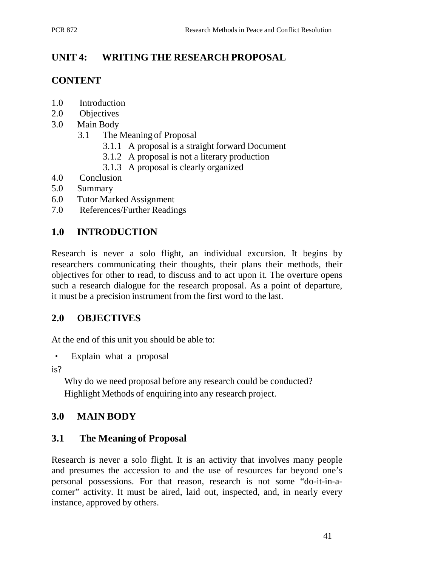# **UNIT 4: WRITING THE RESEARCH PROPOSAL**

# **CONTENT**

- 1.0 Introduction
- 2.0 Objectives
- 3.0 Main Body
	- 3.1 The Meaning of Proposal
		- 3.1.1 A proposal is a straight forward Document
		- 3.1.2 A proposal is not a literary production
		- 3.1.3 A proposal is clearly organized
- 4.0 Conclusion
- 5.0 Summary
- 6.0 Tutor Marked Assignment
- 7.0 References/Further Readings

# **1.0 INTRODUCTION**

Research is never a solo flight, an individual excursion. It begins by researchers communicating their thoughts, their plans their methods, their objectives for other to read, to discuss and to act upon it. The overture opens such a research dialogue for the research proposal. As a point of departure, it must be a precision instrument from the first word to the last.

# **2.0 OBJECTIVES**

At the end of this unit you should be able to:

・ Explain what a proposal

is?

Why do we need proposal before any research could be conducted? Highlight Methods of enquiring into any research project.

# **3.0 MAIN BODY**

# **3.1 The Meaning of Proposal**

Research is never a solo flight. It is an activity that involves many people and presumes the accession to and the use of resources far beyond one's personal possessions. For that reason, research is not some "do-it-in-acorner" activity. It must be aired, laid out, inspected, and, in nearly every instance, approved by others.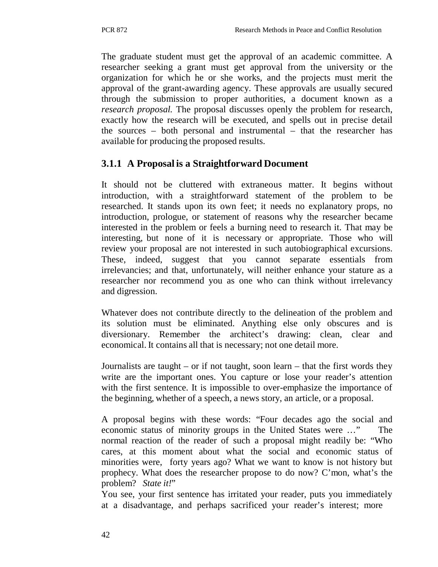The graduate student must get the approval of an academic committee. A researcher seeking a grant must get approval from the university or the organization for which he or she works, and the projects must merit the approval of the grant-awarding agency. These approvals are usually secured through the submission to proper authorities, a document known as a *research proposal.* The proposal discusses openly the problem for research, exactly how the research will be executed, and spells out in precise detail the sources – both personal and instrumental – that the researcher has available for producing the proposed results.

#### **3.1.1 A Proposal is a Straightforward Document**

It should not be cluttered with extraneous matter. It begins without introduction, with a straightforward statement of the problem to be researched. It stands upon its own feet; it needs no explanatory props, no introduction, prologue, or statement of reasons why the researcher became interested in the problem or feels a burning need to research it. That may be interesting, but none of it is necessary or appropriate. Those who will review your proposal are not interested in such autobiographical excursions. These, indeed, suggest that you cannot separate essentials from irrelevancies; and that, unfortunately, will neither enhance your stature as a researcher nor recommend you as one who can think without irrelevancy and digression.

Whatever does not contribute directly to the delineation of the problem and its solution must be eliminated. Anything else only obscures and is diversionary. Remember the architect's drawing: clean, clear and economical. It contains all that is necessary; not one detail more.

Journalists are taught – or if not taught, soon learn – that the first words they write are the important ones. You capture or lose your reader's attention with the first sentence. It is impossible to over-emphasize the importance of the beginning, whether of a speech, a news story, an article, or a proposal.

A proposal begins with these words: "Four decades ago the social and economic status of minority groups in the United States were …" The normal reaction of the reader of such a proposal might readily be: "Who cares, at this moment about what the social and economic status of minorities were, forty years ago? What we want to know is not history but prophecy. What does the researcher propose to do now? C'mon, what's the problem? *State it!*"

You see, your first sentence has irritated your reader, puts you immediately at a disadvantage, and perhaps sacrificed your reader's interest; more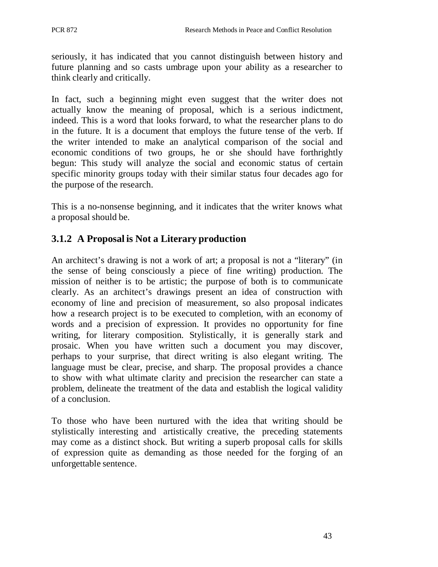seriously, it has indicated that you cannot distinguish between history and future planning and so casts umbrage upon your ability as a researcher to think clearly and critically.

In fact, such a beginning might even suggest that the writer does not actually know the meaning of proposal, which is a serious indictment, indeed. This is a word that looks forward, to what the researcher plans to do in the future. It is a document that employs the future tense of the verb. If the writer intended to make an analytical comparison of the social and economic conditions of two groups, he or she should have forthrightly begun: This study will analyze the social and economic status of certain specific minority groups today with their similar status four decades ago for the purpose of the research.

This is a no-nonsense beginning, and it indicates that the writer knows what a proposal should be.

# **3.1.2 A Proposal is Not a Literary production**

An architect's drawing is not a work of art; a proposal is not a "literary" (in the sense of being consciously a piece of fine writing) production. The mission of neither is to be artistic; the purpose of both is to communicate clearly. As an architect's drawings present an idea of construction with economy of line and precision of measurement, so also proposal indicates how a research project is to be executed to completion, with an economy of words and a precision of expression. It provides no opportunity for fine writing, for literary composition. Stylistically, it is generally stark and prosaic. When you have written such a document you may discover, perhaps to your surprise, that direct writing is also elegant writing. The language must be clear, precise, and sharp. The proposal provides a chance to show with what ultimate clarity and precision the researcher can state a problem, delineate the treatment of the data and establish the logical validity of a conclusion.

To those who have been nurtured with the idea that writing should be stylistically interesting and artistically creative, the preceding statements may come as a distinct shock. But writing a superb proposal calls for skills of expression quite as demanding as those needed for the forging of an unforgettable sentence.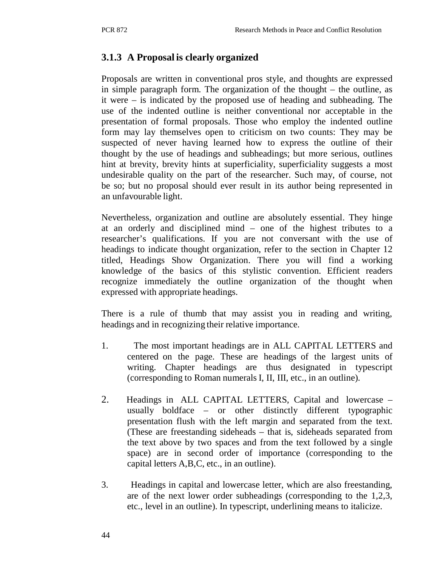# **3.1.3 A Proposal is clearly organized**

Proposals are written in conventional pros style, and thoughts are expressed in simple paragraph form. The organization of the thought – the outline, as it were – is indicated by the proposed use of heading and subheading. The use of the indented outline is neither conventional nor acceptable in the presentation of formal proposals. Those who employ the indented outline form may lay themselves open to criticism on two counts: They may be suspected of never having learned how to express the outline of their thought by the use of headings and subheadings; but more serious, outlines hint at brevity, brevity hints at superficiality, superficiality suggests a most undesirable quality on the part of the researcher. Such may, of course, not be so; but no proposal should ever result in its author being represented in an unfavourable light.

Nevertheless, organization and outline are absolutely essential. They hinge at an orderly and disciplined mind – one of the highest tributes to a researcher's qualifications. If you are not conversant with the use of headings to indicate thought organization, refer to the section in Chapter 12 titled, Headings Show Organization. There you will find a working knowledge of the basics of this stylistic convention. Efficient readers recognize immediately the outline organization of the thought when expressed with appropriate headings.

There is a rule of thumb that may assist you in reading and writing, headings and in recognizing their relative importance.

- 1. The most important headings are in ALL CAPITAL LETTERS and centered on the page. These are headings of the largest units of writing. Chapter headings are thus designated in typescript (corresponding to Roman numerals I, II, III, etc., in an outline).
- 2. Headings in ALL CAPITAL LETTERS, Capital and lowercase usually boldface – or other distinctly different typographic presentation flush with the left margin and separated from the text. (These are freestanding sideheads – that is, sideheads separated from the text above by two spaces and from the text followed by a single space) are in second order of importance (corresponding to the capital letters A,B,C, etc., in an outline).
- 3. Headings in capital and lowercase letter, which are also freestanding, are of the next lower order subheadings (corresponding to the 1,2,3, etc., level in an outline). In typescript, underlining means to italicize.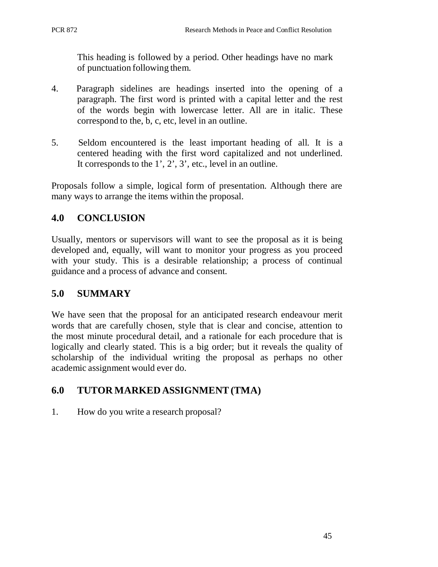This heading is followed by a period. Other headings have no mark of punctuation following them.

- 4. Paragraph sidelines are headings inserted into the opening of a paragraph. The first word is printed with a capital letter and the rest of the words begin with lowercase letter. All are in italic. These correspond to the, b, c, etc, level in an outline.
- 5. Seldom encountered is the least important heading of all. It is a centered heading with the first word capitalized and not underlined. It corresponds to the 1', 2', 3', etc., level in an outline.

Proposals follow a simple, logical form of presentation. Although there are many ways to arrange the items within the proposal.

# **4.0 CONCLUSION**

Usually, mentors or supervisors will want to see the proposal as it is being developed and, equally, will want to monitor your progress as you proceed with your study. This is a desirable relationship; a process of continual guidance and a process of advance and consent.

### **5.0 SUMMARY**

We have seen that the proposal for an anticipated research endeavour merit words that are carefully chosen, style that is clear and concise, attention to the most minute procedural detail, and a rationale for each procedure that is logically and clearly stated. This is a big order; but it reveals the quality of scholarship of the individual writing the proposal as perhaps no other academic assignment would ever do.

# **6.0 TUTOR MARKED ASSIGNMENT (TMA)**

1. How do you write a research proposal?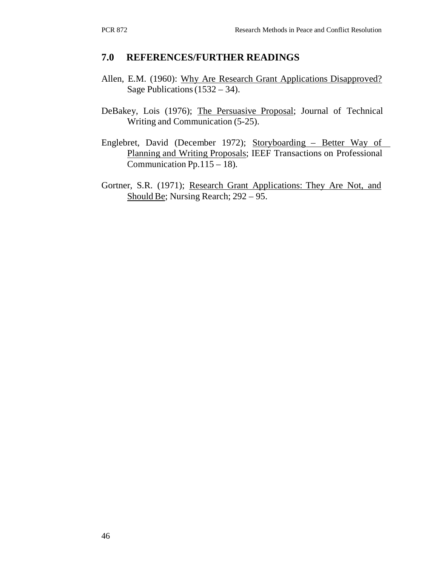#### **7.0 REFERENCES/FURTHER READINGS**

- Allen, E.M. (1960): Why Are Research Grant Applications Disapproved? Sage Publications (1532 – 34).
- DeBakey, Lois (1976); The Persuasive Proposal; Journal of Technical Writing and Communication (5-25).
- Englebret, David (December 1972); Storyboarding Better Way of Planning and Writing Proposals; IEEF Transactions on Professional Communication Pp.115 – 18).
- Gortner, S.R. (1971); Research Grant Applications: They Are Not, and Should Be; Nursing Rearch; 292 – 95.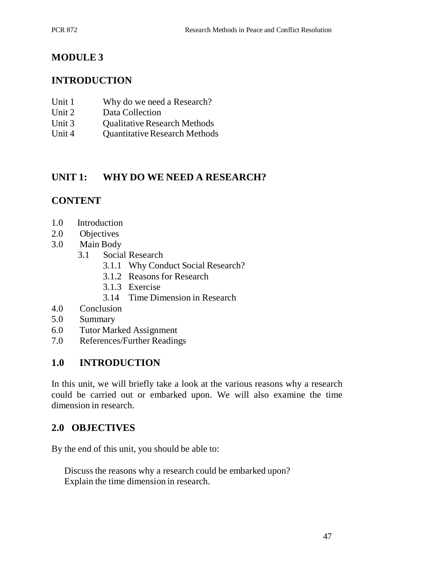# **MODULE 3**

#### **INTRODUCTION**

- Unit 1 Why do we need a Research?
- Unit 2 Data Collection
- Unit 3 Oualitative Research Methods
- Unit 4 Quantitative Research Methods

### **UNIT 1: WHY DO WE NEED A RESEARCH?**

#### **CONTENT**

- 1.0 Introduction
- 2.0 Objectives
- 3.0 Main Body
	- 3.1 Social Research
		- 3.1.1 Why Conduct Social Research?
		- 3.1.2 Reasons for Research
		- 3.1.3 Exercise
		- 3.14 Time Dimension in Research
- 4.0 Conclusion
- 5.0 Summary
- 6.0 Tutor Marked Assignment
- 7.0 References/Further Readings

### **1.0 INTRODUCTION**

In this unit, we will briefly take a look at the various reasons why a research could be carried out or embarked upon. We will also examine the time dimension in research.

### **2.0 OBJECTIVES**

By the end of this unit, you should be able to:

Discuss the reasons why a research could be embarked upon? Explain the time dimension in research.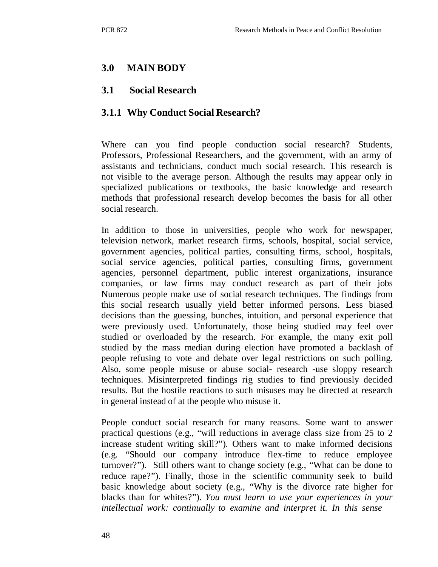# **3.0 MAIN BODY**

#### **3.1 Social Research**

#### **3.1.1 Why Conduct Social Research?**

Where can you find people conduction social research? Students, Professors, Professional Researchers, and the government, with an army of assistants and technicians, conduct much social research. This research is not visible to the average person. Although the results may appear only in specialized publications or textbooks, the basic knowledge and research methods that professional research develop becomes the basis for all other social research.

In addition to those in universities, people who work for newspaper, television network, market research firms, schools, hospital, social service, government agencies, political parties, consulting firms, school, hospitals, social service agencies, political parties, consulting firms, government agencies, personnel department, public interest organizations, insurance companies, or law firms may conduct research as part of their jobs Numerous people make use of social research techniques. The findings from this social research usually yield better informed persons. Less biased decisions than the guessing, bunches, intuition, and personal experience that were previously used. Unfortunately, those being studied may feel over studied or overloaded by the research. For example, the many exit poll studied by the mass median during election have promoted a backlash of people refusing to vote and debate over legal restrictions on such polling. Also, some people misuse or abuse social- research -use sloppy research techniques. Misinterpreted findings rig studies to find previously decided results. But the hostile reactions to such misuses may be directed at research in general instead of at the people who misuse it.

People conduct social research for many reasons. Some want to answer practical questions (e.g., "will reductions in average class size from 25 to 2 increase student writing skill?"). Others want to make informed decisions (e.g. "Should our company introduce flex-time to reduce employee turnover?"). Still others want to change society (e.g., "What can be done to reduce rape?"). Finally, those in the scientific community seek to build basic knowledge about society (e.g., "Why is the divorce rate higher for blacks than for whites?"). *You must learn to use your experiences in your intellectual work: continually to examine and interpret it. In this sense*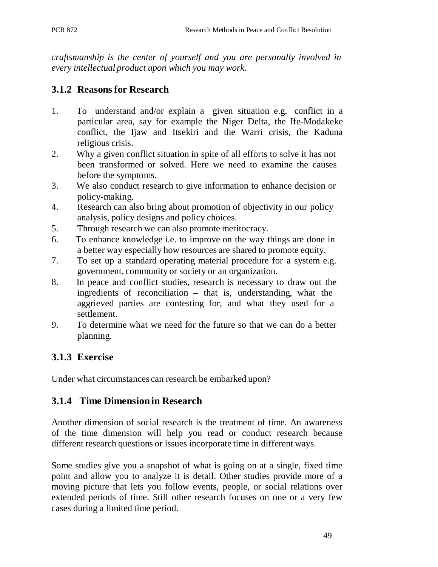*craftsmanship is the center of yourself and you are personally involved in every intellectual product upon which you may work.*

### **3.1.2 Reasons for Research**

- 1. To understand and/or explain a given situation e.g. conflict in a particular area, say for example the Niger Delta, the Ife-Modakeke conflict, the Ijaw and Itsekiri and the Warri crisis, the Kaduna religious crisis.
- 2. Why a given conflict situation in spite of all efforts to solve it has not been transformed or solved. Here we need to examine the causes before the symptoms.
- 3. We also conduct research to give information to enhance decision or policy-making.
- 4. Research can also bring about promotion of objectivity in our policy analysis, policy designs and policy choices.
- 5. Through research we can also promote meritocracy.
- 6. To enhance knowledge i.e. to improve on the way things are done in a better way especially how resources are shared to promote equity.
- 7. To set up a standard operating material procedure for a system e.g. government, community or society or an organization.
- 8. In peace and conflict studies, research is necessary to draw out the ingredients of reconciliation – that is, understanding, what the aggrieved parties are contesting for, and what they used for a settlement.
- 9. To determine what we need for the future so that we can do a better planning.

# **3.1.3 Exercise**

Under what circumstances can research be embarked upon?

# **3.1.4 Time Dimension in Research**

Another dimension of social research is the treatment of time. An awareness of the time dimension will help you read or conduct research because different research questions or issues incorporate time in different ways.

Some studies give you a snapshot of what is going on at a single, fixed time point and allow you to analyze it is detail. Other studies provide more of a moving picture that lets you follow events, people, or social relations over extended periods of time. Still other research focuses on one or a very few cases during a limited time period.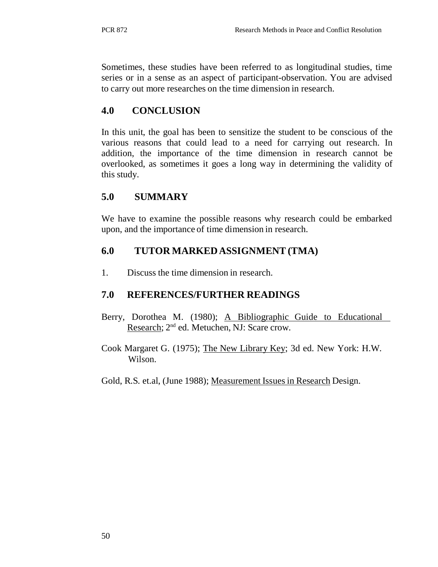Sometimes, these studies have been referred to as longitudinal studies, time series or in a sense as an aspect of participant-observation. You are advised to carry out more researches on the time dimension in research.

### **4.0 CONCLUSION**

In this unit, the goal has been to sensitize the student to be conscious of the various reasons that could lead to a need for carrying out research. In addition, the importance of the time dimension in research cannot be overlooked, as sometimes it goes a long way in determining the validity of this study.

#### **5.0 SUMMARY**

We have to examine the possible reasons why research could be embarked upon, and the importance of time dimension in research.

#### **6.0 TUTOR MARKED ASSIGNMENT (TMA)**

1. Discuss the time dimension in research.

#### **7.0 REFERENCES/FURTHER READINGS**

- Berry, Dorothea M. (1980); A Bibliographic Guide to Educational Research; 2<sup>nd</sup> ed. Metuchen, NJ: Scare crow.
- Cook Margaret G. (1975); The New Library Key; 3d ed. New York: H.W. Wilson.

Gold, R.S. et.al, (June 1988); Measurement Issues in Research Design.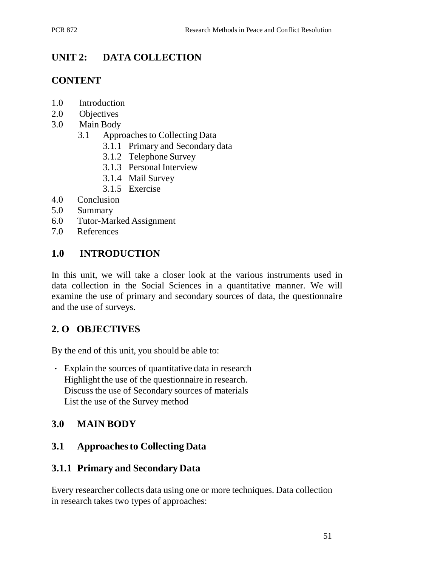# **UNIT 2: DATA COLLECTION**

# **CONTENT**

- 1.0 Introduction
- 2.0 Objectives
- 3.0 Main Body
	- 3.1 Approaches to Collecting Data
		- 3.1.1 Primary and Secondary data
		- 3.1.2 Telephone Survey
		- 3.1.3 Personal Interview
		- 3.1.4 Mail Survey
		- 3.1.5 Exercise
- 4.0 **Conclusion**
- 5.0 Summary
- 6.0 Tutor-Marked Assignment
- 7.0 References

# **1.0 INTRODUCTION**

In this unit, we will take a closer look at the various instruments used in data collection in the Social Sciences in a quantitative manner. We will examine the use of primary and secondary sources of data, the questionnaire and the use of surveys.

# **2. O OBJECTIVES**

By the end of this unit, you should be able to:

・ Explain the sources of quantitative data in research Highlight the use of the questionnaire in research. Discuss the use of Secondary sources of materials List the use of the Survey method

# **3.0 MAIN BODY**

# **3.1 Approaches to Collecting Data**

### **3.1.1 Primary and Secondary Data**

Every researcher collects data using one or more techniques. Data collection in research takes two types of approaches: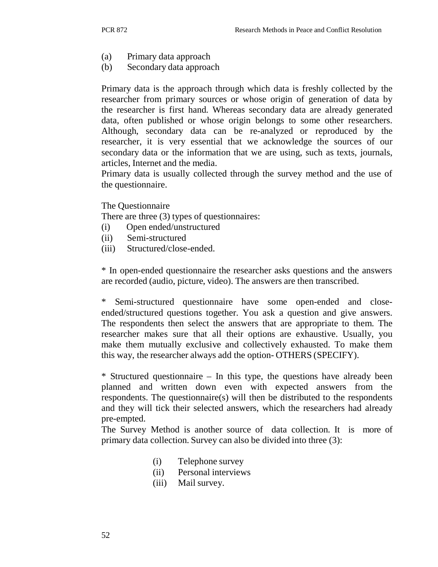- (a) Primary data approach
- (b) Secondary data approach

Primary data is the approach through which data is freshly collected by the researcher from primary sources or whose origin of generation of data by the researcher is first hand. Whereas secondary data are already generated data, often published or whose origin belongs to some other researchers. Although, secondary data can be re-analyzed or reproduced by the researcher, it is very essential that we acknowledge the sources of our secondary data or the information that we are using, such as texts, journals, articles, Internet and the media.

Primary data is usually collected through the survey method and the use of the questionnaire.

The Questionnaire

There are three (3) types of questionnaires:

- (i) Open ended/unstructured
- (ii) Semi-structured
- (iii) Structured/close-ended.

\* In open-ended questionnaire the researcher asks questions and the answers are recorded (audio, picture, video). The answers are then transcribed.

\* Semi-structured questionnaire have some open-ended and closeended/structured questions together. You ask a question and give answers. The respondents then select the answers that are appropriate to them. The researcher makes sure that all their options are exhaustive. Usually, you make them mutually exclusive and collectively exhausted. To make them this way, the researcher always add the option- OTHERS (SPECIFY).

\* Structured questionnaire – In this type, the questions have already been planned and written down even with expected answers from the respondents. The questionnaire(s) will then be distributed to the respondents and they will tick their selected answers, which the researchers had already pre-empted.

The Survey Method is another source of data collection. It is more of primary data collection. Survey can also be divided into three (3):

- (i) Telephone survey
- (ii) Personal interviews
- (iii) Mail survey.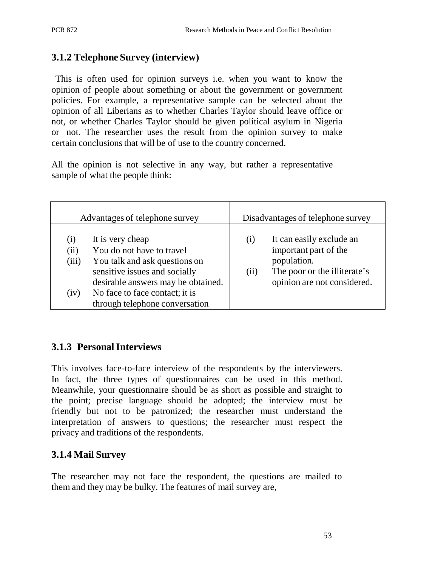### **3.1.2 Telephone Survey (interview)**

This is often used for opinion surveys i.e. when you want to know the opinion of people about something or about the government or government policies. For example, a representative sample can be selected about the opinion of all Liberians as to whether Charles Taylor should leave office or not, or whether Charles Taylor should be given political asylum in Nigeria or not. The researcher uses the result from the opinion survey to make certain conclusions that will be of use to the country concerned.

All the opinion is not selective in any way, but rather a representative sample of what the people think:

| Advantages of telephone survey                                                                                                                                                                                                                                 | Disadvantages of telephone survey                                                                                                              |
|----------------------------------------------------------------------------------------------------------------------------------------------------------------------------------------------------------------------------------------------------------------|------------------------------------------------------------------------------------------------------------------------------------------------|
| It is very cheap<br>$\rm(i)$<br>You do not have to travel<br>(ii)<br>(iii)<br>You talk and ask questions on<br>sensitive issues and socially<br>desirable answers may be obtained.<br>No face to face contact; it is<br>(iv)<br>through telephone conversation | It can easily exclude an<br>(i)<br>important part of the<br>population.<br>The poor or the illiterate's<br>(11)<br>opinion are not considered. |

### **3.1.3 Personal Interviews**

This involves face-to-face interview of the respondents by the interviewers. In fact, the three types of questionnaires can be used in this method. Meanwhile, your questionnaire should be as short as possible and straight to the point; precise language should be adopted; the interview must be friendly but not to be patronized; the researcher must understand the interpretation of answers to questions; the researcher must respect the privacy and traditions of the respondents.

#### **3.1.4 Mail Survey**

The researcher may not face the respondent, the questions are mailed to them and they may be bulky. The features of mail survey are,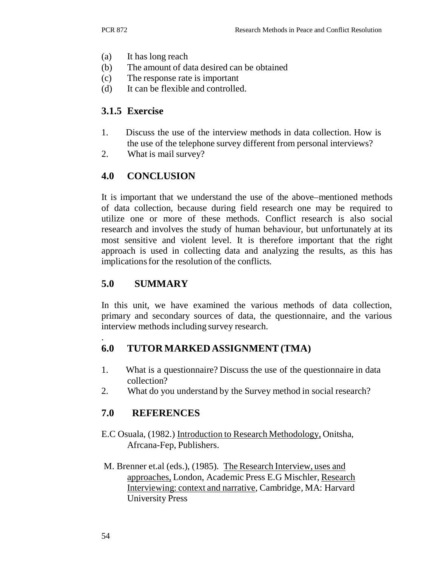- (a) It has long reach
- (b) The amount of data desired can be obtained
- (c) The response rate is important
- (d) It can be flexible and controlled.

### **3.1.5 Exercise**

- 1. Discuss the use of the interview methods in data collection. How is the use of the telephone survey different from personal interviews?
- 2. What is mail survey?

# **4.0 CONCLUSION**

It is important that we understand the use of the above–mentioned methods of data collection, because during field research one may be required to utilize one or more of these methods. Conflict research is also social research and involves the study of human behaviour, but unfortunately at its most sensitive and violent level. It is therefore important that the right approach is used in collecting data and analyzing the results, as this has implications for the resolution of the conflicts.

# **5.0 SUMMARY**

In this unit, we have examined the various methods of data collection, primary and secondary sources of data, the questionnaire, and the various interview methods including survey research.

#### . **6.0 TUTOR MARKED ASSIGNMENT (TMA)**

- 1. What is a questionnaire? Discuss the use of the questionnaire in data collection?
- 2. What do you understand by the Survey method in social research?

### **7.0 REFERENCES**

- E.C Osuala, (1982.) Introduction to Research Methodology, Onitsha, Afrcana-Fep, Publishers.
- M. Brenner et.al (eds.), (1985). The Research Interview, uses and approaches, London, Academic Press E.G Mischler, Research Interviewing: context and narrative, Cambridge, MA: Harvard University Press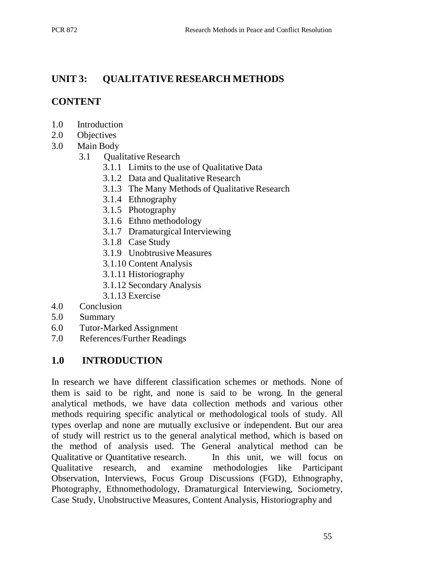# **UNIT 3: QUALITATIVE RESEARCH METHODS**

#### **CONTENT**

- 1.0 Introduction
- 2.0 Objectives
- 3.0 Main Body
	- 3.1 Qualitative Research
		- 3.1.1 Limits to the use of Qualitative Data
		- 3.1.2 Data and Qualitative Research
		- 3.1.3 The Many Methods of Qualitative Research
		- 3.1.4 Ethnography
		- 3.1.5 Photography
		- 3.1.6 Ethno methodology
		- 3.1.7 Dramaturgical Interviewing
		- 3.1.8 Case Study
		- 3.1.9 Unobtrusive Measures
		- 3.1.10 Content Analysis
		- 3.1.11 Historiography
		- 3.1.12 Secondary Analysis
		- 3.1.13 Exercise
- 4.0 Conclusion
- 5.0 Summary
- 6.0 Tutor-Marked Assignment
- 7.0 References/Further Readings

### **1.0 INTRODUCTION**

In research we have different classification schemes or methods. None of them is said to be right, and none is said to be wrong. In the general analytical methods, we have data collection methods and various other methods requiring specific analytical or methodological tools of study. All types overlap and none are mutually exclusive or independent. But our area of study will restrict us to the general analytical method, which is based on the method of analysis used. The General analytical method can be Qualitative or Quantitative research. In this unit, we will focus on Qualitative research, and examine methodologies like Participant Observation, Interviews, Focus Group Discussions (FGD), Ethnography, Photography, Ethnomethodology, Dramaturgical Interviewing, Sociometry, Case Study, Unobstructive Measures, Content Analysis, Historiography and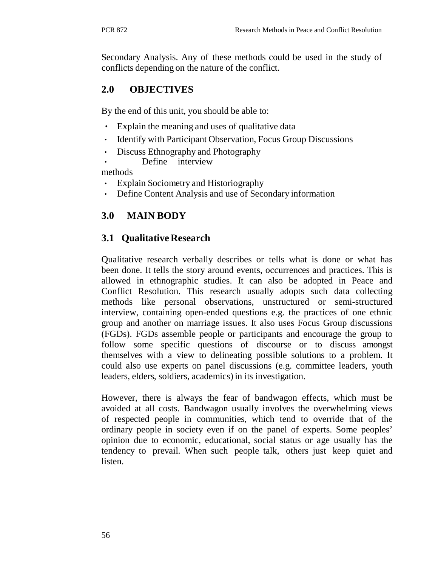Secondary Analysis. Any of these methods could be used in the study of conflicts depending on the nature of the conflict.

# **2.0 OBJECTIVES**

By the end of this unit, you should be able to:

- ・ Explain the meaning and uses of qualitative data
- **Identify with Participant Observation, Focus Group Discussions**
- Discuss Ethnography and Photography
- Define interview

methods

- ・ Explain Sociometry and Historiography
- ・ Define Content Analysis and use of Secondary information

# **3.0 MAIN BODY**

# **3.1 Qualitative Research**

Qualitative research verbally describes or tells what is done or what has been done. It tells the story around events, occurrences and practices. This is allowed in ethnographic studies. It can also be adopted in Peace and Conflict Resolution. This research usually adopts such data collecting methods like personal observations, unstructured or semi-structured interview, containing open-ended questions e.g. the practices of one ethnic group and another on marriage issues. It also uses Focus Group discussions (FGDs). FGDs assemble people or participants and encourage the group to follow some specific questions of discourse or to discuss amongst themselves with a view to delineating possible solutions to a problem. It could also use experts on panel discussions (e.g. committee leaders, youth leaders, elders, soldiers, academics) in its investigation.

However, there is always the fear of bandwagon effects, which must be avoided at all costs. Bandwagon usually involves the overwhelming views of respected people in communities, which tend to override that of the ordinary people in society even if on the panel of experts. Some peoples' opinion due to economic, educational, social status or age usually has the tendency to prevail. When such people talk, others just keep quiet and listen.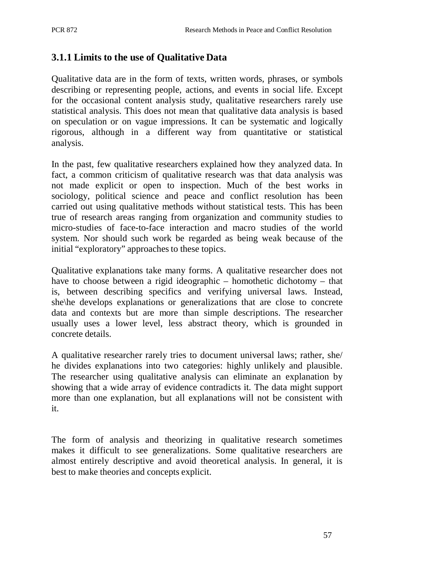#### **3.1.1 Limits to the use of Qualitative Data**

Qualitative data are in the form of texts, written words, phrases, or symbols describing or representing people, actions, and events in social life. Except for the occasional content analysis study, qualitative researchers rarely use statistical analysis. This does not mean that qualitative data analysis is based on speculation or on vague impressions. It can be systematic and logically rigorous, although in a different way from quantitative or statistical analysis.

In the past, few qualitative researchers explained how they analyzed data. In fact, a common criticism of qualitative research was that data analysis was not made explicit or open to inspection. Much of the best works in sociology, political science and peace and conflict resolution has been carried out using qualitative methods without statistical tests. This has been true of research areas ranging from organization and community studies to micro-studies of face-to-face interaction and macro studies of the world system. Nor should such work be regarded as being weak because of the initial "exploratory" approaches to these topics.

Qualitative explanations take many forms. A qualitative researcher does not have to choose between a rigid ideographic – homothetic dichotomy – that is, between describing specifics and verifying universal laws. Instead, she\he develops explanations or generalizations that are close to concrete data and contexts but are more than simple descriptions. The researcher usually uses a lower level, less abstract theory, which is grounded in concrete details.

A qualitative researcher rarely tries to document universal laws; rather, she/ he divides explanations into two categories: highly unlikely and plausible. The researcher using qualitative analysis can eliminate an explanation by showing that a wide array of evidence contradicts it. The data might support more than one explanation, but all explanations will not be consistent with it.

The form of analysis and theorizing in qualitative research sometimes makes it difficult to see generalizations. Some qualitative researchers are almost entirely descriptive and avoid theoretical analysis. In general, it is best to make theories and concepts explicit.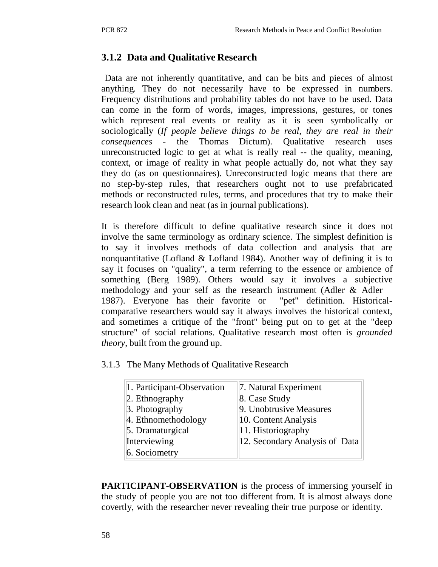# **3.1.2 Data and Qualitative Research**

Data are not inherently quantitative, and can be bits and pieces of almost anything. They do not necessarily have to be expressed in numbers. Frequency distributions and probability tables do not have to be used. Data can come in the form of words, images, impressions, gestures, or tones which represent real events or reality as it is seen symbolically or sociologically (*If people believe things to be real, they are real in their consequences* - the Thomas Dictum). Qualitative research uses unreconstructed logic to get at what is really real -- the quality, meaning, context, or image of reality in what people actually do, not what they say they do (as on questionnaires). Unreconstructed logic means that there are no step-by-step rules, that researchers ought not to use prefabricated methods or reconstructed rules, terms, and procedures that try to make their research look clean and neat (as in journal publications).

It is therefore difficult to define qualitative research since it does not involve the same terminology as ordinary science. The simplest definition is to say it involves methods of data collection and analysis that are nonquantitative (Lofland & Lofland 1984). Another way of defining it is to say it focuses on "quality", a term referring to the essence or ambience of something (Berg 1989). Others would say it involves a subjective methodology and your self as the research instrument (Adler & Adler 1987). Everyone has their favorite or "pet" definition. Historicalcomparative researchers would say it always involves the historical context, and sometimes a critique of the "front" being put on to get at the "deep structure" of social relations. Qualitative research most often is *grounded theory*, built from the ground up.

#### 3.1.3 The Many Methods of Qualitative Research

| 1. Participant-Observation | 7. Natural Experiment          |
|----------------------------|--------------------------------|
| 2. Ethnography             | 8. Case Study                  |
| 3. Photography             | 9. Unobtrusive Measures        |
| 4. Ethnomethodology        | 10. Content Analysis           |
| 5. Dramaturgical           | 11. Historiography             |
| Interviewing               | 12. Secondary Analysis of Data |
| 6. Sociometry              |                                |

**PARTICIPANT-OBSERVATION** is the process of immersing yourself in the study of people you are not too different from. It is almost always done covertly, with the researcher never revealing their true purpose or identity.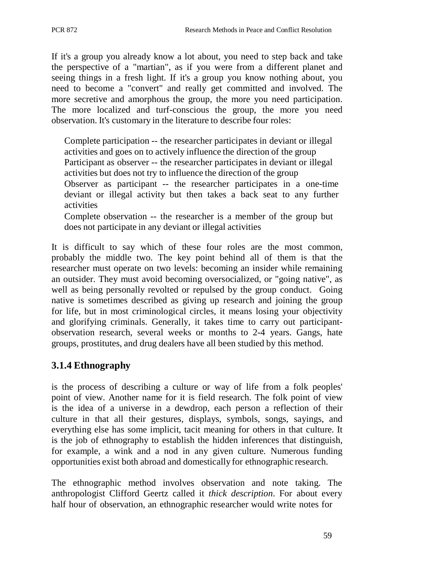If it's a group you already know a lot about, you need to step back and take the perspective of a "martian", as if you were from a different planet and seeing things in a fresh light. If it's a group you know nothing about, you need to become a "convert" and really get committed and involved. The more secretive and amorphous the group, the more you need participation. The more localized and turf-conscious the group, the more you need observation. It's customary in the literature to describe four roles:

Complete participation -- the researcher participates in deviant or illegal activities and goes on to actively influence the direction of the group Participant as observer -- the researcher participates in deviant or illegal activities but does not try to influence the direction of the group Observer as participant -- the researcher participates in a one-time deviant or illegal activity but then takes a back seat to any further activities Complete observation -- the researcher is a member of the group but

does not participate in any deviant or illegal activities

It is difficult to say which of these four roles are the most common, probably the middle two. The key point behind all of them is that the researcher must operate on two levels: becoming an insider while remaining an outsider. They must avoid becoming oversocialized, or "going native", as well as being personally revolted or repulsed by the group conduct. Going native is sometimes described as giving up research and joining the group for life, but in most criminological circles, it means losing your objectivity and glorifying criminals. Generally, it takes time to carry out participantobservation research, several weeks or months to 2-4 years. Gangs, hate groups, prostitutes, and drug dealers have all been studied by this method.

# **3.1.4 Ethnography**

is the process of describing a culture or way of life from a folk peoples' point of view. Another name for it is field research. The folk point of view is the idea of a universe in a dewdrop, each person a reflection of their culture in that all their gestures, displays, symbols, songs, sayings, and everything else has some implicit, tacit meaning for others in that culture. It is the job of ethnography to establish the hidden inferences that distinguish, for example, a wink and a nod in any given culture. Numerous funding opportunities exist both abroad and domestically for ethnographic research.

The ethnographic method involves observation and note taking. The anthropologist Clifford Geertz called it *thick description*. For about every half hour of observation, an ethnographic researcher would write notes for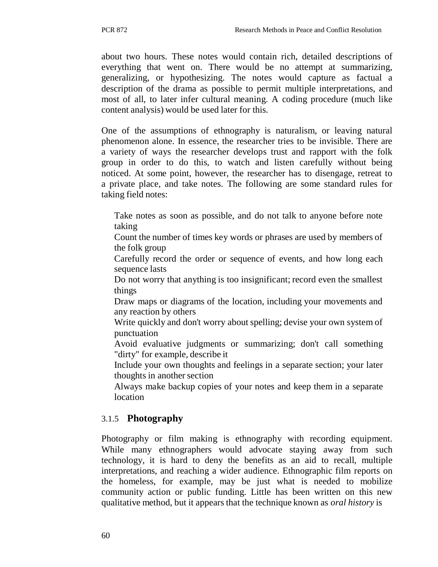about two hours. These notes would contain rich, detailed descriptions of everything that went on. There would be no attempt at summarizing, generalizing, or hypothesizing. The notes would capture as factual a description of the drama as possible to permit multiple interpretations, and most of all, to later infer cultural meaning. A coding procedure (much like content analysis) would be used later for this.

One of the assumptions of ethnography is naturalism, or leaving natural phenomenon alone. In essence, the researcher tries to be invisible. There are a variety of ways the researcher develops trust and rapport with the folk group in order to do this, to watch and listen carefully without being noticed. At some point, however, the researcher has to disengage, retreat to a private place, and take notes. The following are some standard rules for taking field notes:

- Take notes as soon as possible, and do not talk to anyone before note taking
- Count the number of times key words or phrases are used by members of the folk group
- Carefully record the order or sequence of events, and how long each sequence lasts
- Do not worry that anything is too insignificant; record even the smallest things
- Draw maps or diagrams of the location, including your movements and any reaction by others
- Write quickly and don't worry about spelling; devise your own system of punctuation
- Avoid evaluative judgments or summarizing; don't call something "dirty" for example, describe it
- Include your own thoughts and feelings in a separate section; your later thoughts in another section
- Always make backup copies of your notes and keep them in a separate location

#### 3.1.5 **Photography**

Photography or film making is ethnography with recording equipment. While many ethnographers would advocate staying away from such technology, it is hard to deny the benefits as an aid to recall, multiple interpretations, and reaching a wider audience. Ethnographic film reports on the homeless, for example, may be just what is needed to mobilize community action or public funding. Little has been written on this new qualitative method, but it appears that the technique known as *oral history* is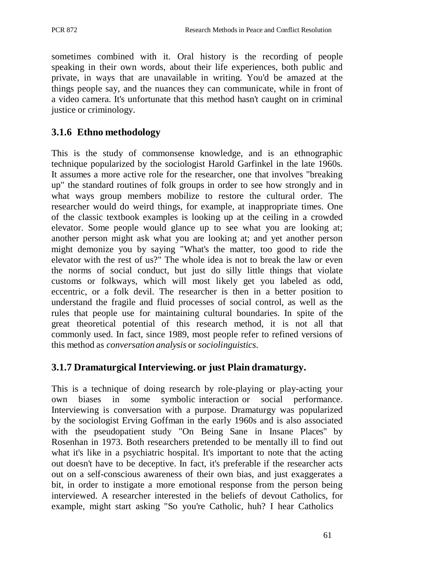sometimes combined with it. Oral history is the recording of people speaking in their own words, about their life experiences, both public and private, in ways that are unavailable in writing. You'd be amazed at the things people say, and the nuances they can communicate, while in front of a video camera. It's unfortunate that this method hasn't caught on in criminal justice or criminology.

#### **3.1.6 Ethno methodology**

This is the study of commonsense knowledge, and is an ethnographic technique popularized by the sociologist Harold Garfinkel in the late 1960s. It assumes a more active role for the researcher, one that involves "breaking up" the standard routines of folk groups in order to see how strongly and in what ways group members mobilize to restore the cultural order. The researcher would do weird things, for example, at inappropriate times. One of the classic textbook examples is looking up at the ceiling in a crowded elevator. Some people would glance up to see what you are looking at; another person might ask what you are looking at; and yet another person might demonize you by saying "What's the matter, too good to ride the elevator with the rest of us?" The whole idea is not to break the law or even the norms of social conduct, but just do silly little things that violate customs or folkways, which will most likely get you labeled as odd, eccentric, or a folk devil. The researcher is then in a better position to understand the fragile and fluid processes of social control, as well as the rules that people use for maintaining cultural boundaries. In spite of the great theoretical potential of this research method, it is not all that commonly used. In fact, since 1989, most people refer to refined versions of this method as *conversation analysis* or *sociolinguistics*.

## **3.1.7 Dramaturgical Interviewing. or just Plain dramaturgy.**

This is a technique of doing research by role-playing or play-acting your own biases in some symbolic interaction or social performance. Interviewing is conversation with a purpose. Dramaturgy was popularized by the sociologist Erving Goffman in the early 1960s and is also associated with the pseudopatient study "On Being Sane in Insane Places" by Rosenhan in 1973. Both researchers pretended to be mentally ill to find out what it's like in a psychiatric hospital. It's important to note that the acting out doesn't have to be deceptive. In fact, it's preferable if the researcher acts out on a self-conscious awareness of their own bias, and just exaggerates a bit, in order to instigate a more emotional response from the person being interviewed. A researcher interested in the beliefs of devout Catholics, for example, might start asking "So you're Catholic, huh? I hear Catholics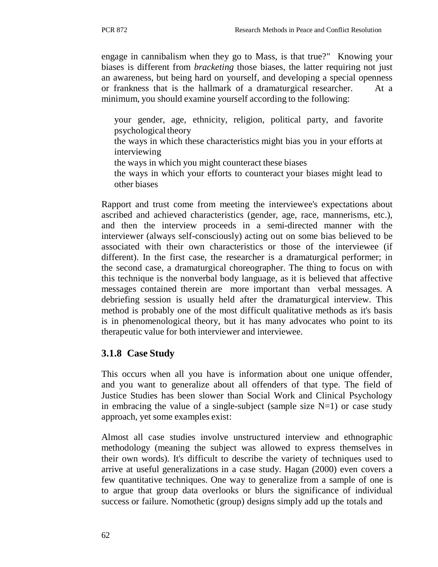engage in cannibalism when they go to Mass, is that true?" Knowing your biases is different from *bracketing* those biases, the latter requiring not just an awareness, but being hard on yourself, and developing a special openness or frankness that is the hallmark of a dramaturgical researcher. At a minimum, you should examine yourself according to the following:

- your gender, age, ethnicity, religion, political party, and favorite psychological theory
- the ways in which these characteristics might bias you in your efforts at interviewing
- the ways in which you might counteract these biases
- the ways in which your efforts to counteract your biases might lead to other biases

Rapport and trust come from meeting the interviewee's expectations about ascribed and achieved characteristics (gender, age, race, mannerisms, etc.), and then the interview proceeds in a semi-directed manner with the interviewer (always self-consciously) acting out on some bias believed to be associated with their own characteristics or those of the interviewee (if different). In the first case, the researcher is a dramaturgical performer; in the second case, a dramaturgical choreographer. The thing to focus on with this technique is the nonverbal body language, as it is believed that affective messages contained therein are more important than verbal messages. A debriefing session is usually held after the dramaturgical interview. This method is probably one of the most difficult qualitative methods as it's basis is in phenomenological theory, but it has many advocates who point to its therapeutic value for both interviewer and interviewee.

## **3.1.8 Case Study**

This occurs when all you have is information about one unique offender, and you want to generalize about all offenders of that type. The field of Justice Studies has been slower than Social Work and Clinical Psychology in embracing the value of a single-subject (sample size  $N=1$ ) or case study approach, yet some examples exist:

Almost all case studies involve unstructured interview and ethnographic methodology (meaning the subject was allowed to express themselves in their own words). It's difficult to describe the variety of techniques used to arrive at useful generalizations in a case study. Hagan (2000) even covers a few quantitative techniques. One way to generalize from a sample of one is to argue that group data overlooks or blurs the significance of individual success or failure. Nomothetic (group) designs simply add up the totals and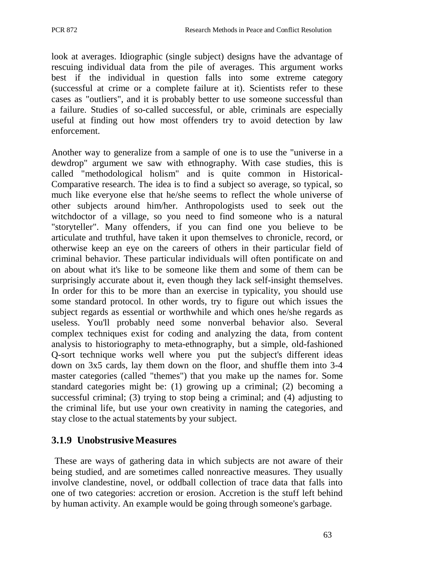look at averages. Idiographic (single subject) designs have the advantage of rescuing individual data from the pile of averages. This argument works best if the individual in question falls into some extreme category (successful at crime or a complete failure at it). Scientists refer to these cases as "outliers", and it is probably better to use someone successful than a failure. Studies of so-called successful, or able, criminals are especially useful at finding out how most offenders try to avoid detection by law enforcement.

Another way to generalize from a sample of one is to use the "universe in a dewdrop" argument we saw with ethnography. With case studies, this is called "methodological holism" and is quite common in Historical-Comparative research. The idea is to find a subject so average, so typical, so much like everyone else that he/she seems to reflect the whole universe of other subjects around him/her. Anthropologists used to seek out the witchdoctor of a village, so you need to find someone who is a natural "storyteller". Many offenders, if you can find one you believe to be articulate and truthful, have taken it upon themselves to chronicle, record, or otherwise keep an eye on the careers of others in their particular field of criminal behavior. These particular individuals will often pontificate on and on about what it's like to be someone like them and some of them can be surprisingly accurate about it, even though they lack self-insight themselves. In order for this to be more than an exercise in typicality, you should use some standard protocol. In other words, try to figure out which issues the subject regards as essential or worthwhile and which ones he/she regards as useless. You'll probably need some nonverbal behavior also. Several complex techniques exist for coding and analyzing the data, from content analysis to historiography to meta-ethnography, but a simple, old-fashioned Q-sort technique works well where you put the subject's different ideas down on 3x5 cards, lay them down on the floor, and shuffle them into 3-4 master categories (called "themes") that you make up the names for. Some standard categories might be: (1) growing up a criminal; (2) becoming a successful criminal; (3) trying to stop being a criminal; and (4) adjusting to the criminal life, but use your own creativity in naming the categories, and stay close to the actual statements by your subject.

#### **3.1.9 Unobstrusive Measures**

These are ways of gathering data in which subjects are not aware of their being studied, and are sometimes called nonreactive measures. They usually involve clandestine, novel, or oddball collection of trace data that falls into one of two categories: accretion or erosion. Accretion is the stuff left behind by human activity. An example would be going through someone's garbage.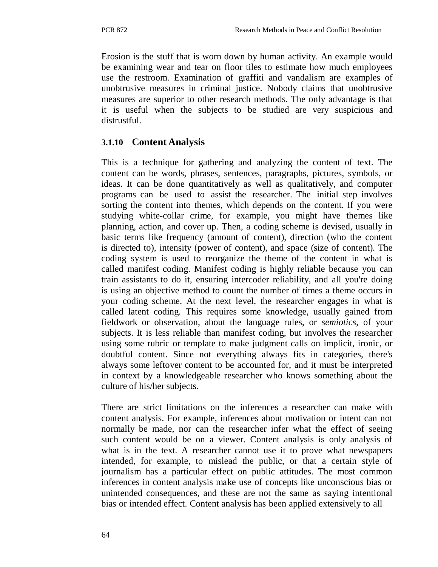Erosion is the stuff that is worn down by human activity. An example would be examining wear and tear on floor tiles to estimate how much employees use the restroom. Examination of graffiti and vandalism are examples of unobtrusive measures in criminal justice. Nobody claims that unobtrusive measures are superior to other research methods. The only advantage is that it is useful when the subjects to be studied are very suspicious and distrustful.

#### **3.1.10 Content Analysis**

This is a technique for gathering and analyzing the content of text. The content can be words, phrases, sentences, paragraphs, pictures, symbols, or ideas. It can be done quantitatively as well as qualitatively, and computer programs can be used to assist the researcher. The initial step involves sorting the content into themes, which depends on the content. If you were studying white-collar crime, for example, you might have themes like planning, action, and cover up. Then, a coding scheme is devised, usually in basic terms like frequency (amount of content), direction (who the content is directed to), intensity (power of content), and space (size of content). The coding system is used to reorganize the theme of the content in what is called manifest coding. Manifest coding is highly reliable because you can train assistants to do it, ensuring intercoder reliability, and all you're doing is using an objective method to count the number of times a theme occurs in your coding scheme. At the next level, the researcher engages in what is called latent coding. This requires some knowledge, usually gained from fieldwork or observation, about the language rules, or *semiotics*, of your subjects. It is less reliable than manifest coding, but involves the researcher using some rubric or template to make judgment calls on implicit, ironic, or doubtful content. Since not everything always fits in categories, there's always some leftover content to be accounted for, and it must be interpreted in context by a knowledgeable researcher who knows something about the culture of his/her subjects.

There are strict limitations on the inferences a researcher can make with content analysis. For example, inferences about motivation or intent can not normally be made, nor can the researcher infer what the effect of seeing such content would be on a viewer. Content analysis is only analysis of what is in the text. A researcher cannot use it to prove what newspapers intended, for example, to mislead the public, or that a certain style of journalism has a particular effect on public attitudes. The most common inferences in content analysis make use of concepts like unconscious bias or unintended consequences, and these are not the same as saying intentional bias or intended effect. Content analysis has been applied extensively to all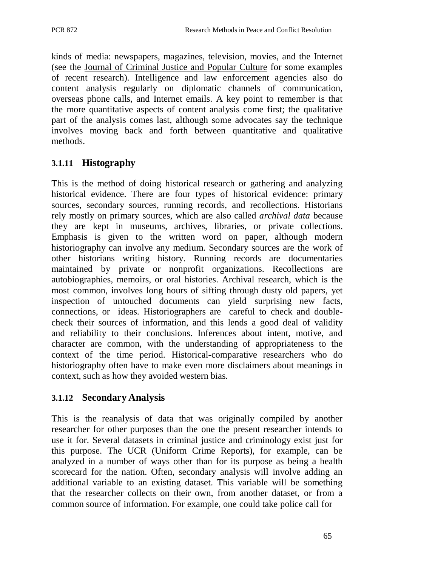kinds of media: newspapers, magazines, television, movies, and the Internet (see the Journal of Criminal Justice and Popular Culture for some examples of recent research). Intelligence and law enforcement agencies also do content analysis regularly on diplomatic channels of communication, overseas phone calls, and Internet emails. A key point to remember is that the more quantitative aspects of content analysis come first; the qualitative part of the analysis comes last, although some advocates say the technique involves moving back and forth between quantitative and qualitative methods.

# **3.1.11 Histography**

This is the method of doing historical research or gathering and analyzing historical evidence. There are four types of historical evidence: primary sources, secondary sources, running records, and recollections. Historians rely mostly on primary sources, which are also called *archival data* because they are kept in museums, archives, libraries, or private collections. Emphasis is given to the written word on paper, although modern historiography can involve any medium. Secondary sources are the work of other historians writing history. Running records are documentaries maintained by private or nonprofit organizations. Recollections are autobiographies, memoirs, or oral histories. Archival research, which is the most common, involves long hours of sifting through dusty old papers, yet inspection of untouched documents can yield surprising new facts, connections, or ideas. Historiographers are careful to check and doublecheck their sources of information, and this lends a good deal of validity and reliability to their conclusions. Inferences about intent, motive, and character are common, with the understanding of appropriateness to the context of the time period. Historical-comparative researchers who do historiography often have to make even more disclaimers about meanings in context, such as how they avoided western bias.

## **3.1.12 Secondary Analysis**

This is the reanalysis of data that was originally compiled by another researcher for other purposes than the one the present researcher intends to use it for. Several datasets in criminal justice and criminology exist just for this purpose. The UCR (Uniform Crime Reports), for example, can be analyzed in a number of ways other than for its purpose as being a health scorecard for the nation. Often, secondary analysis will involve adding an additional variable to an existing dataset. This variable will be something that the researcher collects on their own, from another dataset, or from a common source of information. For example, one could take police call for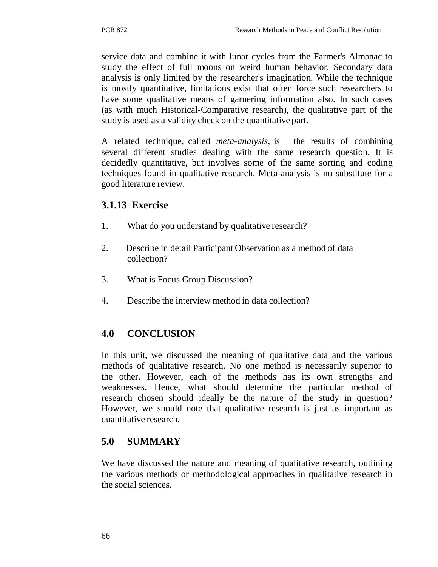service data and combine it with lunar cycles from the Farmer's Almanac to study the effect of full moons on weird human behavior. Secondary data analysis is only limited by the researcher's imagination. While the technique is mostly quantitative, limitations exist that often force such researchers to have some qualitative means of garnering information also. In such cases (as with much Historical-Comparative research), the qualitative part of the study is used as a validity check on the quantitative part.

A related technique, called *meta-analysis*, is the results of combining several different studies dealing with the same research question. It is decidedly quantitative, but involves some of the same sorting and coding techniques found in qualitative research. Meta-analysis is no substitute for a good literature review.

# **3.1.13 Exercise**

- 1. What do you understand by qualitative research?
- 2. Describe in detail Participant Observation as a method of data collection?
- 3. What is Focus Group Discussion?
- 4. Describe the interview method in data collection?

# **4.0 CONCLUSION**

In this unit, we discussed the meaning of qualitative data and the various methods of qualitative research. No one method is necessarily superior to the other. However, each of the methods has its own strengths and weaknesses. Hence, what should determine the particular method of research chosen should ideally be the nature of the study in question? However, we should note that qualitative research is just as important as quantitative research.

# **5.0 SUMMARY**

We have discussed the nature and meaning of qualitative research, outlining the various methods or methodological approaches in qualitative research in the social sciences.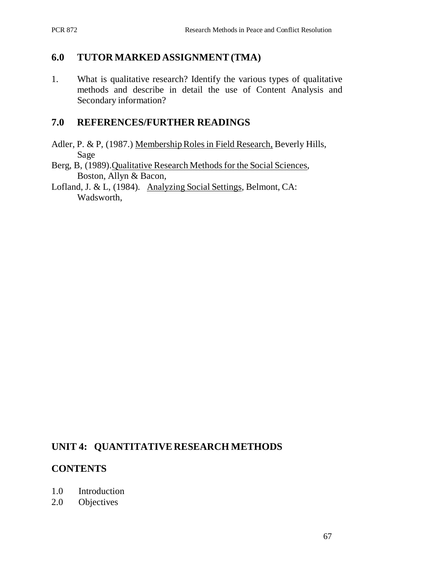#### **6.0 TUTOR MARKED ASSIGNMENT (TMA)**

1. What is qualitative research? Identify the various types of qualitative methods and describe in detail the use of Content Analysis and Secondary information?

#### **7.0 REFERENCES/FURTHER READINGS**

- Adler, P. & P, (1987.) Membership Roles in Field Research, Beverly Hills, Sage
- Berg, B, (1989).Qualitative Research Methods for the Social Sciences, Boston, Allyn & Bacon,
- Lofland, J. & L, (1984). Analyzing Social Settings, Belmont, CA: Wadsworth,

## **UNIT 4: QUANTITATIVE RESEARCH METHODS**

#### **CONTENTS**

- 1.0 Introduction
- 2.0 Objectives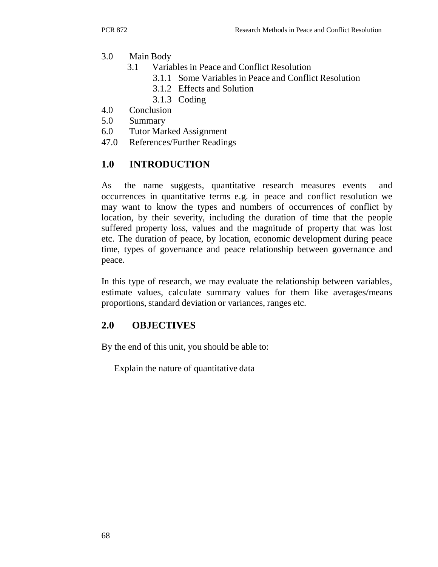- 3.0 Main Body
	- 3.1 Variables in Peace and Conflict Resolution
		- 3.1.1 Some Variables in Peace and Conflict Resolution
		- 3.1.2 Effects and Solution
		- 3.1.3 Coding
- 4.0 Conclusion
- 5.0 Summary
- 6.0 Tutor Marked Assignment
- 47.0 References/Further Readings

## **1.0 INTRODUCTION**

As the name suggests, quantitative research measures events and occurrences in quantitative terms e.g. in peace and conflict resolution we may want to know the types and numbers of occurrences of conflict by location, by their severity, including the duration of time that the people suffered property loss, values and the magnitude of property that was lost etc. The duration of peace, by location, economic development during peace time, types of governance and peace relationship between governance and peace.

In this type of research, we may evaluate the relationship between variables, estimate values, calculate summary values for them like averages/means proportions, standard deviation or variances, ranges etc.

# **2.0 OBJECTIVES**

By the end of this unit, you should be able to:

Explain the nature of quantitative data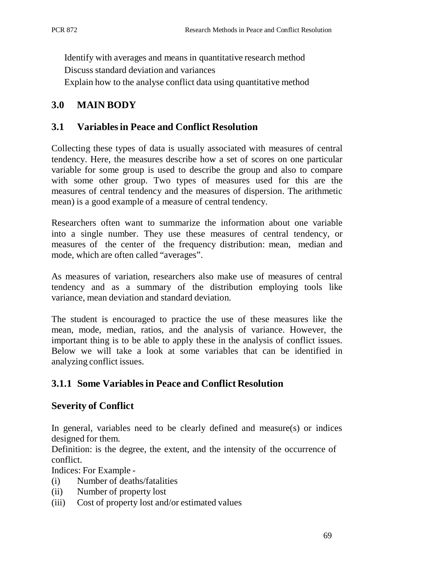Identify with averages and means in quantitative research method Discuss standard deviation and variances Explain how to the analyse conflict data using quantitative method

# **3.0 MAIN BODY**

#### **3.1 Variables in Peace and Conflict Resolution**

Collecting these types of data is usually associated with measures of central tendency. Here, the measures describe how a set of scores on one particular variable for some group is used to describe the group and also to compare with some other group. Two types of measures used for this are the measures of central tendency and the measures of dispersion. The arithmetic mean) is a good example of a measure of central tendency.

Researchers often want to summarize the information about one variable into a single number. They use these measures of central tendency, or measures of the center of the frequency distribution: mean, median and mode, which are often called "averages".

As measures of variation, researchers also make use of measures of central tendency and as a summary of the distribution employing tools like variance, mean deviation and standard deviation.

The student is encouraged to practice the use of these measures like the mean, mode, median, ratios, and the analysis of variance. However, the important thing is to be able to apply these in the analysis of conflict issues. Below we will take a look at some variables that can be identified in analyzing conflict issues.

## **3.1.1 Some Variables in Peace and Conflict Resolution**

#### **Severity of Conflict**

In general, variables need to be clearly defined and measure(s) or indices designed for them.

Definition: is the degree, the extent, and the intensity of the occurrence of conflict.

Indices: For Example -

- (i) Number of deaths/fatalities
- (ii) Number of property lost
- (iii) Cost of property lost and/or estimated values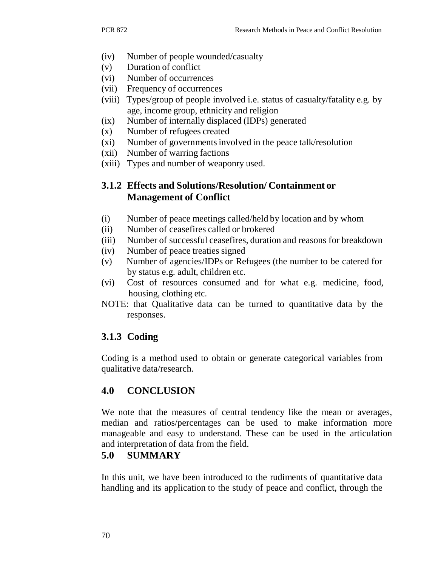- (iv) Number of people wounded/casualty
- (v) Duration of conflict
- (vi) Number of occurrences
- (vii) Frequency of occurrences
- (viii) Types/group of people involved i.e. status of casualty/fatality e.g. by age, income group, ethnicity and religion
- (ix) Number of internally displaced (IDPs) generated
- (x) Number of refugees created
- (xi) Number of governments involved in the peace talk/resolution
- (xii) Number of warring factions
- (xiii) Types and number of weaponry used.

#### **3.1.2 Effects and Solutions/Resolution/ Containment or Management of Conflict**

- (i) Number of peace meetings called/held by location and by whom
- (ii) Number of ceasefires called or brokered
- (iii) Number of successful ceasefires, duration and reasons for breakdown
- (iv) Number of peace treaties signed
- (v) Number of agencies/IDPs or Refugees (the number to be catered for by status e.g. adult, children etc.
- (vi) Cost of resources consumed and for what e.g. medicine, food, housing, clothing etc.
- NOTE: that Qualitative data can be turned to quantitative data by the responses.

## **3.1.3 Coding**

Coding is a method used to obtain or generate categorical variables from qualitative data/research.

## **4.0 CONCLUSION**

We note that the measures of central tendency like the mean or averages, median and ratios/percentages can be used to make information more manageable and easy to understand. These can be used in the articulation and interpretation of data from the field.

## **5.0 SUMMARY**

In this unit, we have been introduced to the rudiments of quantitative data handling and its application to the study of peace and conflict, through the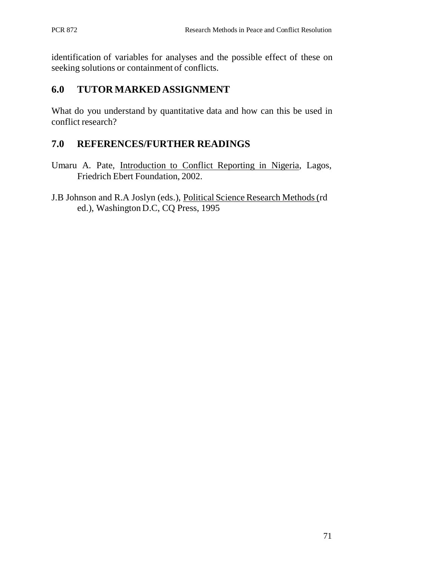identification of variables for analyses and the possible effect of these on seeking solutions or containment of conflicts.

# **6.0 TUTOR MARKED ASSIGNMENT**

What do you understand by quantitative data and how can this be used in conflict research?

# **7.0 REFERENCES/FURTHER READINGS**

- Umaru A. Pate, Introduction to Conflict Reporting in Nigeria, Lagos, Friedrich Ebert Foundation, 2002.
- J.B Johnson and R.A Joslyn (eds.), Political Science Research Methods (rd ed.), Washington D.C, CQ Press, 1995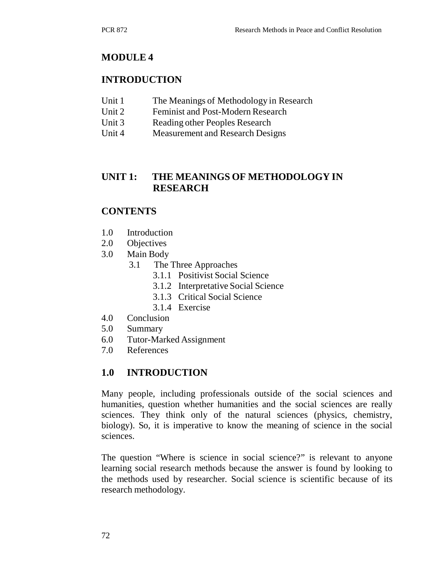## **MODULE 4**

## **INTRODUCTION**

- Unit 1 The Meanings of Methodology in Research
- Unit 2 Feminist and Post-Modern Research
- Unit 3 Reading other Peoples Research
- Unit 4 Measurement and Research Designs

## **UNIT 1: THE MEANINGS OF METHODOLOGY IN RESEARCH**

#### **CONTENTS**

- 1.0 Introduction
- 2.0 Objectives
- 3.0 Main Body
	- 3.1 The Three Approaches
		- 3.1.1 Positivist Social Science
		- 3.1.2 Interpretative Social Science
		- 3.1.3 Critical Social Science
		- 3.1.4 Exercise
- 4.0 Conclusion
- 5.0 Summary
- 6.0 Tutor-Marked Assignment
- 7.0 References

## **1.0 INTRODUCTION**

Many people, including professionals outside of the social sciences and humanities, question whether humanities and the social sciences are really sciences. They think only of the natural sciences (physics, chemistry, biology). So, it is imperative to know the meaning of science in the social sciences.

The question "Where is science in social science?" is relevant to anyone learning social research methods because the answer is found by looking to the methods used by researcher. Social science is scientific because of its research methodology.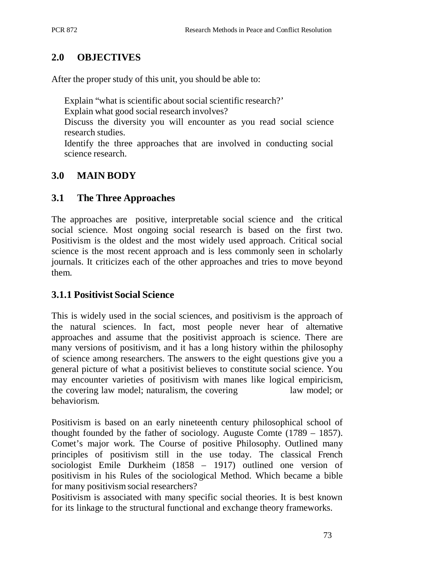# **2.0 OBJECTIVES**

After the proper study of this unit, you should be able to:

Explain "what is scientific about social scientific research?" Explain what good social research involves? Discuss the diversity you will encounter as you read social science research studies. Identify the three approaches that are involved in conducting social science research.

# **3.0 MAIN BODY**

## **3.1 The Three Approaches**

The approaches are positive, interpretable social science and the critical social science. Most ongoing social research is based on the first two. Positivism is the oldest and the most widely used approach. Critical social science is the most recent approach and is less commonly seen in scholarly journals. It criticizes each of the other approaches and tries to move beyond them.

## **3.1.1 Positivist Social Science**

This is widely used in the social sciences, and positivism is the approach of the natural sciences. In fact, most people never hear of alternative approaches and assume that the positivist approach is science. There are many versions of positivism, and it has a long history within the philosophy of science among researchers. The answers to the eight questions give you a general picture of what a positivist believes to constitute social science. You may encounter varieties of positivism with manes like logical empiricism, the covering law model; naturalism, the covering law model; or behaviorism.

Positivism is based on an early nineteenth century philosophical school of thought founded by the father of sociology. Auguste Comte (1789 – 1857). Comet's major work. The Course of positive Philosophy. Outlined many principles of positivism still in the use today. The classical French sociologist Emile Durkheim (1858 – 1917) outlined one version of positivism in his Rules of the sociological Method. Which became a bible for many positivism social researchers?

Positivism is associated with many specific social theories. It is best known for its linkage to the structural functional and exchange theory frameworks.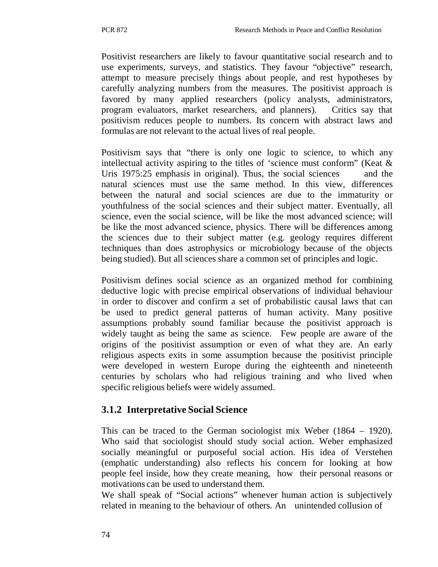Positivist researchers are likely to favour quantitative social research and to use experiments, surveys, and statistics. They favour "objective" research, attempt to measure precisely things about people, and rest hypotheses by carefully analyzing numbers from the measures. The positivist approach is favored by many applied researchers (policy analysts, administrators, program evaluators, market researchers, and planners). Critics say that positivism reduces people to numbers. Its concern with abstract laws and formulas are not relevant to the actual lives of real people.

Positivism says that "there is only one logic to science, to which any intellectual activity aspiring to the titles of 'science must conform" (Keat & Uris 1975:25 emphasis in original). Thus, the social sciences and the natural sciences must use the same method. In this view, differences between the natural and social sciences are due to the immaturity or youthfulness of the social sciences and their subject matter. Eventually, all science, even the social science, will be like the most advanced science; will be like the most advanced science, physics. There will be differences among the sciences due to their subject matter (e.g. geology requires different techniques than does astrophysics or microbiology because of the objects being studied). But all sciences share a common set of principles and logic.

Positivism defines social science as an organized method for combining deductive logic with precise empirical observations of individual behaviour in order to discover and confirm a set of probabilistic causal laws that can be used to predict general patterns of human activity. Many positive assumptions probably sound familiar because the positivist approach is widely taught as being the same as science. Few people are aware of the origins of the positivist assumption or even of what they are. An early religious aspects exits in some assumption because the positivist principle were developed in western Europe during the eighteenth and nineteenth centuries by scholars who had religious training and who lived when specific religious beliefs were widely assumed.

#### **3.1.2 Interpretative Social Science**

This can be traced to the German sociologist mix Weber (1864 – 1920). Who said that sociologist should study social action. Weber emphasized socially meaningful or purposeful social action. His idea of Verstehen (emphatic understanding) also reflects his concern for looking at how people feel inside, how they create meaning, how their personal reasons or motivations can be used to understand them.

We shall speak of "Social actions" whenever human action is subjectively related in meaning to the behaviour of others. An unintended collusion of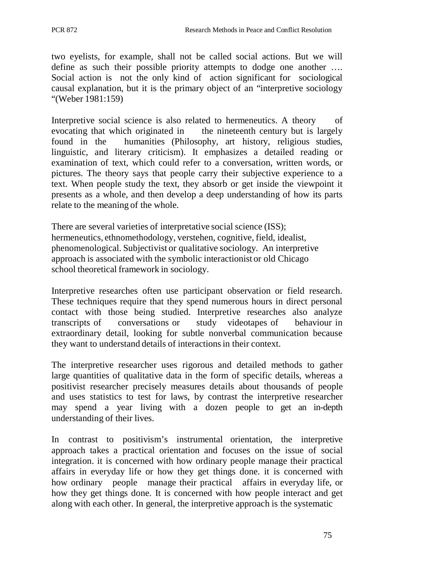two eyelists, for example, shall not be called social actions. But we will define as such their possible priority attempts to dodge one another …. Social action is not the only kind of action significant for sociological causal explanation, but it is the primary object of an "interpretive sociology "(Weber 1981:159)

Interpretive social science is also related to hermeneutics. A theory of evocating that which originated in the nineteenth century but is largely found in the humanities (Philosophy, art history, religious studies, linguistic, and literary criticism). It emphasizes a detailed reading or examination of text, which could refer to a conversation, written words, or pictures. The theory says that people carry their subjective experience to a text. When people study the text, they absorb or get inside the viewpoint it presents as a whole, and then develop a deep understanding of how its parts relate to the meaning of the whole.

There are several varieties of interpretative social science (ISS); hermeneutics, ethnomethodology, verstehen, cognitive, field, idealist, phenomenological. Subjectivist or qualitative sociology. An interpretive approach is associated with the symbolic interactionist or old Chicago school theoretical framework in sociology.

Interpretive researches often use participant observation or field research. These techniques require that they spend numerous hours in direct personal contact with those being studied. Interpretive researches also analyze transcripts of conversations or study videotapes of behaviour in extraordinary detail, looking for subtle nonverbal communication because they want to understand details of interactions in their context.

The interpretive researcher uses rigorous and detailed methods to gather large quantities of qualitative data in the form of specific details, whereas a positivist researcher precisely measures details about thousands of people and uses statistics to test for laws, by contrast the interpretive researcher may spend a year living with a dozen people to get an in-depth understanding of their lives.

In contrast to positivism's instrumental orientation, the interpretive approach takes a practical orientation and focuses on the issue of social integration. it is concerned with how ordinary people manage their practical affairs in everyday life or how they get things done. it is concerned with how ordinary people manage their practical affairs in everyday life, or how they get things done. It is concerned with how people interact and get along with each other. In general, the interpretive approach is the systematic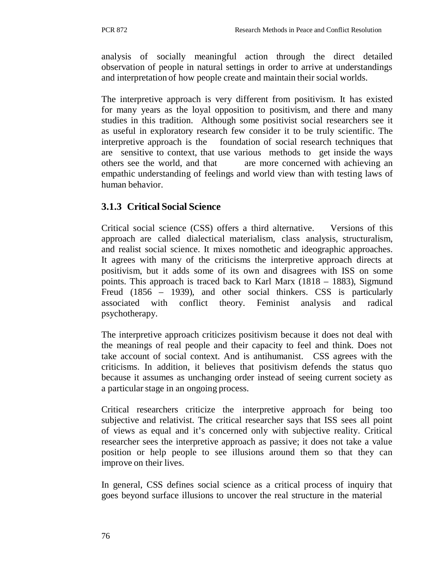analysis of socially meaningful action through the direct detailed observation of people in natural settings in order to arrive at understandings and interpretation of how people create and maintain their social worlds.

The interpretive approach is very different from positivism. It has existed for many years as the loyal opposition to positivism, and there and many studies in this tradition. Although some positivist social researchers see it as useful in exploratory research few consider it to be truly scientific. The interpretive approach is the foundation of social research techniques that are sensitive to context, that use various methods to get inside the ways others see the world, and that are more concerned with achieving an empathic understanding of feelings and world view than with testing laws of human behavior.

## **3.1.3 Critical Social Science**

Critical social science (CSS) offers a third alternative. Versions of this approach are called dialectical materialism, class analysis, structuralism, and realist social science. It mixes nomothetic and ideographic approaches. It agrees with many of the criticisms the interpretive approach directs at positivism, but it adds some of its own and disagrees with ISS on some points. This approach is traced back to Karl Marx (1818 – 1883), Sigmund Freud (1856 – 1939), and other social thinkers. CSS is particularly associated with conflict theory. Feminist analysis and radical psychotherapy.

The interpretive approach criticizes positivism because it does not deal with the meanings of real people and their capacity to feel and think. Does not take account of social context. And is antihumanist. CSS agrees with the criticisms. In addition, it believes that positivism defends the status quo because it assumes as unchanging order instead of seeing current society as a particular stage in an ongoing process.

Critical researchers criticize the interpretive approach for being too subjective and relativist. The critical researcher says that ISS sees all point of views as equal and it's concerned only with subjective reality. Critical researcher sees the interpretive approach as passive; it does not take a value position or help people to see illusions around them so that they can improve on their lives.

In general, CSS defines social science as a critical process of inquiry that goes beyond surface illusions to uncover the real structure in the material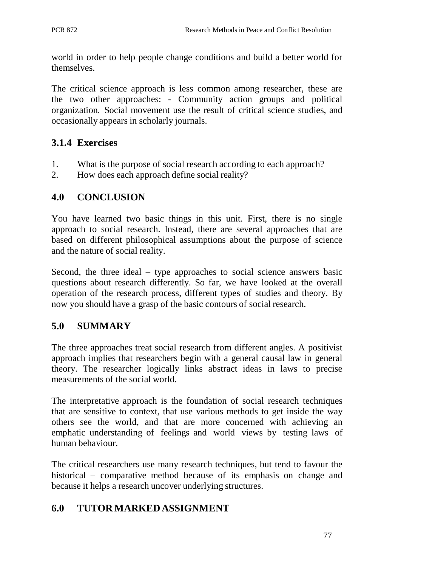world in order to help people change conditions and build a better world for themselves.

The critical science approach is less common among researcher, these are the two other approaches: - Community action groups and political organization. Social movement use the result of critical science studies, and occasionally appears in scholarly journals.

# **3.1.4 Exercises**

- 1. What is the purpose of social research according to each approach?
- 2. How does each approach define social reality?

#### **4.0 CONCLUSION**

You have learned two basic things in this unit. First, there is no single approach to social research. Instead, there are several approaches that are based on different philosophical assumptions about the purpose of science and the nature of social reality.

Second, the three ideal – type approaches to social science answers basic questions about research differently. So far, we have looked at the overall operation of the research process, different types of studies and theory. By now you should have a grasp of the basic contours of social research.

## **5.0 SUMMARY**

The three approaches treat social research from different angles. A positivist approach implies that researchers begin with a general causal law in general theory. The researcher logically links abstract ideas in laws to precise measurements of the social world.

The interpretative approach is the foundation of social research techniques that are sensitive to context, that use various methods to get inside the way others see the world, and that are more concerned with achieving an emphatic understanding of feelings and world views by testing laws of human behaviour.

The critical researchers use many research techniques, but tend to favour the historical – comparative method because of its emphasis on change and because it helps a research uncover underlying structures.

## **6.0 TUTOR MARKED ASSIGNMENT**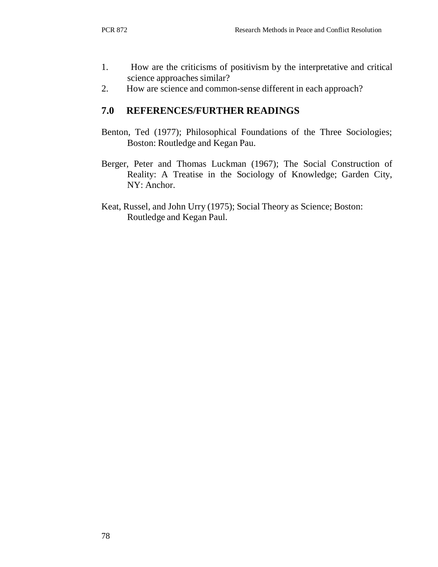- 1. How are the criticisms of positivism by the interpretative and critical science approaches similar?
- 2. How are science and common-sense different in each approach?

#### **7.0 REFERENCES/FURTHER READINGS**

- Benton, Ted (1977); Philosophical Foundations of the Three Sociologies; Boston: Routledge and Kegan Pau.
- Berger, Peter and Thomas Luckman (1967); The Social Construction of Reality: A Treatise in the Sociology of Knowledge; Garden City, NY: Anchor.
- Keat, Russel, and John Urry (1975); Social Theory as Science; Boston: Routledge and Kegan Paul.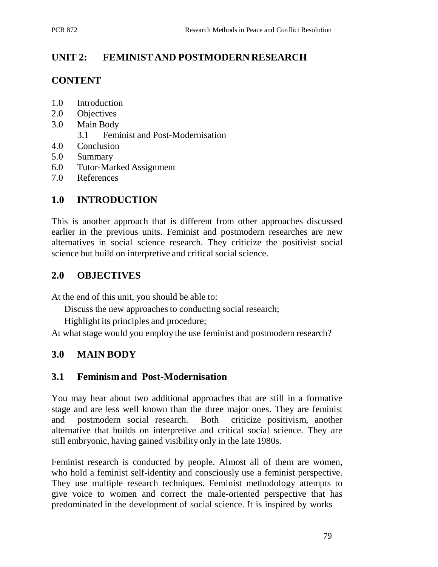## **UNIT 2: FEMINIST AND POSTMODERN RESEARCH**

#### **CONTENT**

- 1.0 Introduction
- 2.0 Objectives
- 3.0 Main Body
	- 3.1 Feminist and Post-Modernisation
- 4.0 Conclusion
- 5.0 Summary
- 6.0 Tutor-Marked Assignment
- 7.0 References

## **1.0 INTRODUCTION**

This is another approach that is different from other approaches discussed earlier in the previous units. Feminist and postmodern researches are new alternatives in social science research. They criticize the positivist social science but build on interpretive and critical social science.

#### **2.0 OBJECTIVES**

At the end of this unit, you should be able to:

Discuss the new approaches to conducting social research;

Highlight its principles and procedure;

At what stage would you employ the use feminist and postmodern research?

## **3.0 MAIN BODY**

#### **3.1 Feminism and Post-Modernisation**

You may hear about two additional approaches that are still in a formative stage and are less well known than the three major ones. They are feminist and postmodern social research. Both criticize positivism, another alternative that builds on interpretive and critical social science. They are still embryonic, having gained visibility only in the late 1980s.

Feminist research is conducted by people. Almost all of them are women, who hold a feminist self-identity and consciously use a feminist perspective. They use multiple research techniques. Feminist methodology attempts to give voice to women and correct the male-oriented perspective that has predominated in the development of social science. It is inspired by works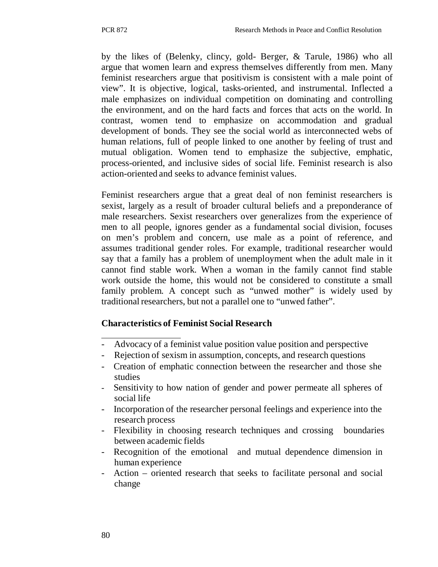by the likes of (Belenky, clincy, gold- Berger, & Tarule, 1986) who all argue that women learn and express themselves differently from men. Many feminist researchers argue that positivism is consistent with a male point of view". It is objective, logical, tasks-oriented, and instrumental. Inflected a male emphasizes on individual competition on dominating and controlling the environment, and on the hard facts and forces that acts on the world. In contrast, women tend to emphasize on accommodation and gradual development of bonds. They see the social world as interconnected webs of human relations, full of people linked to one another by feeling of trust and mutual obligation. Women tend to emphasize the subjective, emphatic, process-oriented, and inclusive sides of social life. Feminist research is also action-oriented and seeks to advance feminist values.

Feminist researchers argue that a great deal of non feminist researchers is sexist, largely as a result of broader cultural beliefs and a preponderance of male researchers. Sexist researchers over generalizes from the experience of men to all people, ignores gender as a fundamental social division, focuses on men's problem and concern, use male as a point of reference, and assumes traditional gender roles. For example, traditional researcher would say that a family has a problem of unemployment when the adult male in it cannot find stable work. When a woman in the family cannot find stable work outside the home, this would not be considered to constitute a small family problem. A concept such as "unwed mother" is widely used by traditional researchers, but not a parallel one to "unwed father".

#### **Characteristics of Feminist Social Research**

- Advocacy of a feminist value position value position and perspective
- Rejection of sexism in assumption, concepts, and research questions
- Creation of emphatic connection between the researcher and those she studies
- Sensitivity to how nation of gender and power permeate all spheres of social life
- Incorporation of the researcher personal feelings and experience into the research process
- Flexibility in choosing research techniques and crossing boundaries between academic fields
- Recognition of the emotional and mutual dependence dimension in human experience
- Action oriented research that seeks to facilitate personal and social change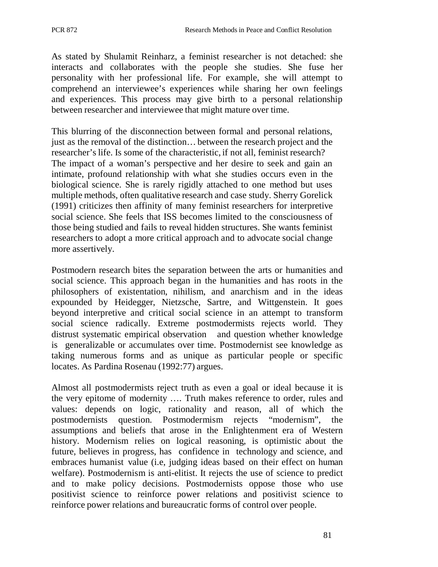As stated by Shulamit Reinharz, a feminist researcher is not detached: she interacts and collaborates with the people she studies. She fuse her personality with her professional life. For example, she will attempt to comprehend an interviewee's experiences while sharing her own feelings and experiences. This process may give birth to a personal relationship between researcher and interviewee that might mature over time.

This blurring of the disconnection between formal and personal relations, just as the removal of the distinction… between the research project and the researcher's life. Is some of the characteristic, if not all, feminist research? The impact of a woman's perspective and her desire to seek and gain an intimate, profound relationship with what she studies occurs even in the biological science. She is rarely rigidly attached to one method but uses multiple methods, often qualitative research and case study. Sherry Gorelick (1991) criticizes then affinity of many feminist researchers for interpretive social science. She feels that ISS becomes limited to the consciousness of those being studied and fails to reveal hidden structures. She wants feminist researchers to adopt a more critical approach and to advocate social change more assertively.

Postmodern research bites the separation between the arts or humanities and social science. This approach began in the humanities and has roots in the philosophers of existentation, nihilism, and anarchism and in the ideas expounded by Heidegger, Nietzsche, Sartre, and Wittgenstein. It goes beyond interpretive and critical social science in an attempt to transform social science radically. Extreme postmodermists rejects world. They distrust systematic empirical observation and question whether knowledge is generalizable or accumulates over time. Postmodernist see knowledge as taking numerous forms and as unique as particular people or specific locates. As Pardina Rosenau (1992:77) argues.

Almost all postmodermists reject truth as even a goal or ideal because it is the very epitome of modernity …. Truth makes reference to order, rules and values: depends on logic, rationality and reason, all of which the postmodernists question. Postmodermism rejects "modernism", the assumptions and beliefs that arose in the Enlightenment era of Western history. Modernism relies on logical reasoning, is optimistic about the future, believes in progress, has confidence in technology and science, and embraces humanist value (i.e, judging ideas based on their effect on human welfare). Postmodernism is anti-elitist. It rejects the use of science to predict and to make policy decisions. Postmodernists oppose those who use positivist science to reinforce power relations and positivist science to reinforce power relations and bureaucratic forms of control over people.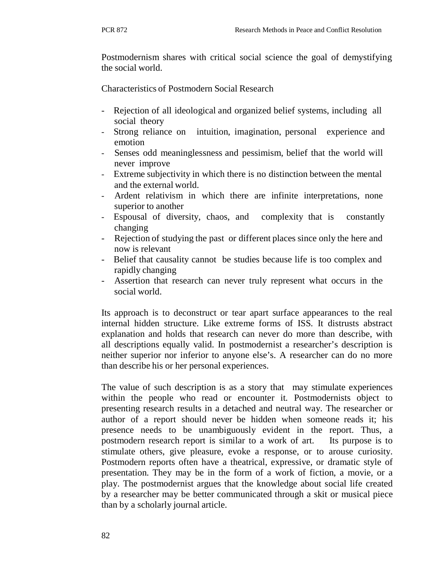Postmodernism shares with critical social science the goal of demystifying the social world.

Characteristics of Postmodern Social Research

- Rejection of all ideological and organized belief systems, including all social theory
- Strong reliance on intuition, imagination, personal experience and emotion
- Senses odd meaninglessness and pessimism, belief that the world will never improve
- Extreme subjectivity in which there is no distinction between the mental and the external world.
- Ardent relativism in which there are infinite interpretations, none superior to another
- Espousal of diversity, chaos, and complexity that is constantly changing
- Rejection of studying the past or different places since only the here and now is relevant
- Belief that causality cannot be studies because life is too complex and rapidly changing
- Assertion that research can never truly represent what occurs in the social world.

Its approach is to deconstruct or tear apart surface appearances to the real internal hidden structure. Like extreme forms of ISS. It distrusts abstract explanation and holds that research can never do more than describe, with all descriptions equally valid. In postmodernist a researcher's description is neither superior nor inferior to anyone else's. A researcher can do no more than describe his or her personal experiences.

The value of such description is as a story that may stimulate experiences within the people who read or encounter it. Postmodernists object to presenting research results in a detached and neutral way. The researcher or author of a report should never be hidden when someone reads it; his presence needs to be unambiguously evident in the report. Thus, a postmodern research report is similar to a work of art. Its purpose is to stimulate others, give pleasure, evoke a response, or to arouse curiosity. Postmodern reports often have a theatrical, expressive, or dramatic style of presentation. They may be in the form of a work of fiction, a movie, or a play. The postmodernist argues that the knowledge about social life created by a researcher may be better communicated through a skit or musical piece than by a scholarly journal article.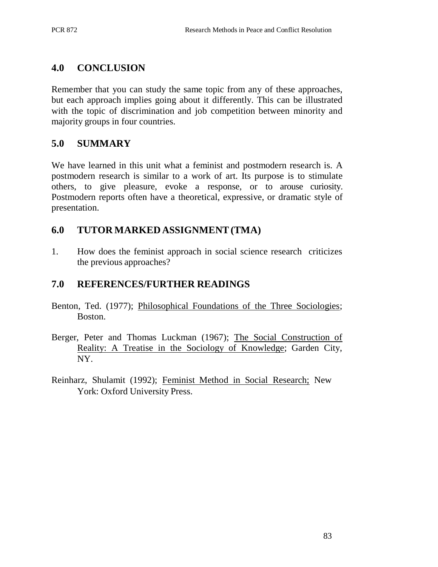#### **4.0 CONCLUSION**

Remember that you can study the same topic from any of these approaches, but each approach implies going about it differently. This can be illustrated with the topic of discrimination and job competition between minority and majority groups in four countries.

#### **5.0 SUMMARY**

We have learned in this unit what a feminist and postmodern research is. A postmodern research is similar to a work of art. Its purpose is to stimulate others, to give pleasure, evoke a response, or to arouse curiosity. Postmodern reports often have a theoretical, expressive, or dramatic style of presentation.

#### **6.0 TUTOR MARKED ASSIGNMENT (TMA)**

1. How does the feminist approach in social science research criticizes the previous approaches?

#### **7.0 REFERENCES/FURTHER READINGS**

- Benton, Ted. (1977); Philosophical Foundations of the Three Sociologies; Boston.
- Berger, Peter and Thomas Luckman (1967); The Social Construction of Reality: A Treatise in the Sociology of Knowledge; Garden City, NY.
- Reinharz, Shulamit (1992); Feminist Method in Social Research; New York: Oxford University Press.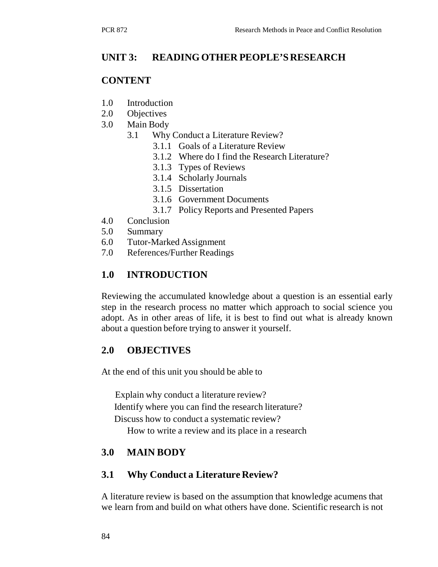# **UNIT 3: READING OTHER PEOPLE'S RESEARCH**

## **CONTENT**

- 1.0 Introduction
- 2.0 Objectives
- 3.0 Main Body
	- 3.1 Why Conduct a Literature Review?
		- 3.1.1 Goals of a Literature Review
		- 3.1.2 Where do I find the Research Literature?
		- 3.1.3 Types of Reviews
		- 3.1.4 Scholarly Journals
		- 3.1.5 Dissertation
		- 3.1.6 Government Documents
		- 3.1.7 Policy Reports and Presented Papers
- 4.0 Conclusion
- 5.0 Summary
- 6.0 Tutor-Marked Assignment
- 7.0 References/Further Readings

# **1.0 INTRODUCTION**

Reviewing the accumulated knowledge about a question is an essential early step in the research process no matter which approach to social science you adopt. As in other areas of life, it is best to find out what is already known about a question before trying to answer it yourself.

# **2.0 OBJECTIVES**

At the end of this unit you should be able to

Explain why conduct a literature review? Identify where you can find the research literature? Discuss how to conduct a systematic review? How to write a review and its place in a research

# **3.0 MAIN BODY**

## **3.1 Why Conduct a Literature Review?**

A literature review is based on the assumption that knowledge acumens that we learn from and build on what others have done. Scientific research is not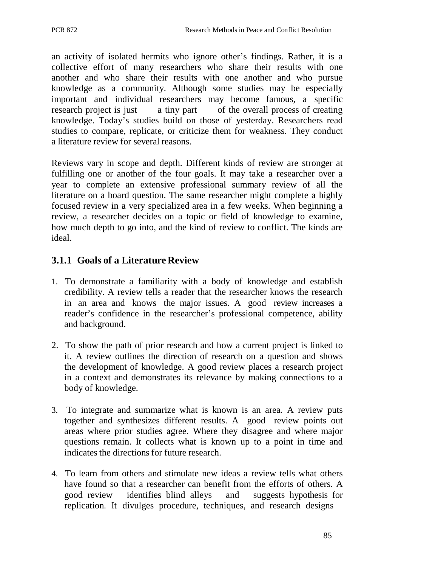an activity of isolated hermits who ignore other's findings. Rather, it is a collective effort of many researchers who share their results with one another and who share their results with one another and who pursue knowledge as a community. Although some studies may be especially important and individual researchers may become famous, a specific research project is just a tiny part of the overall process of creating knowledge. Today's studies build on those of yesterday. Researchers read studies to compare, replicate, or criticize them for weakness. They conduct a literature review for several reasons.

Reviews vary in scope and depth. Different kinds of review are stronger at fulfilling one or another of the four goals. It may take a researcher over a year to complete an extensive professional summary review of all the literature on a board question. The same researcher might complete a highly focused review in a very specialized area in a few weeks. When beginning a review, a researcher decides on a topic or field of knowledge to examine, how much depth to go into, and the kind of review to conflict. The kinds are ideal.

## **3.1.1 Goals of a Literature Review**

- 1. To demonstrate a familiarity with a body of knowledge and establish credibility. A review tells a reader that the researcher knows the research in an area and knows the major issues. A good review increases a reader's confidence in the researcher's professional competence, ability and background.
- 2. To show the path of prior research and how a current project is linked to it. A review outlines the direction of research on a question and shows the development of knowledge. A good review places a research project in a context and demonstrates its relevance by making connections to a body of knowledge.
- 3. To integrate and summarize what is known is an area. A review puts together and synthesizes different results. A good review points out areas where prior studies agree. Where they disagree and where major questions remain. It collects what is known up to a point in time and indicates the directions for future research.
- 4. To learn from others and stimulate new ideas a review tells what others have found so that a researcher can benefit from the efforts of others. A good review identifies blind alleys and suggests hypothesis for replication. It divulges procedure, techniques, and research designs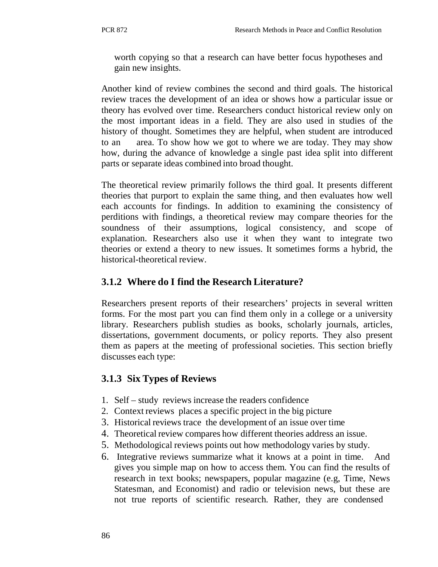worth copying so that a research can have better focus hypotheses and gain new insights.

Another kind of review combines the second and third goals. The historical review traces the development of an idea or shows how a particular issue or theory has evolved over time. Researchers conduct historical review only on the most important ideas in a field. They are also used in studies of the history of thought. Sometimes they are helpful, when student are introduced to an area. To show how we got to where we are today. They may show how, during the advance of knowledge a single past idea split into different parts or separate ideas combined into broad thought.

The theoretical review primarily follows the third goal. It presents different theories that purport to explain the same thing, and then evaluates how well each accounts for findings. In addition to examining the consistency of perditions with findings, a theoretical review may compare theories for the soundness of their assumptions, logical consistency, and scope of explanation. Researchers also use it when they want to integrate two theories or extend a theory to new issues. It sometimes forms a hybrid, the historical-theoretical review.

#### **3.1.2 Where do I find the Research Literature?**

Researchers present reports of their researchers' projects in several written forms. For the most part you can find them only in a college or a university library. Researchers publish studies as books, scholarly journals, articles, dissertations, government documents, or policy reports. They also present them as papers at the meeting of professional societies. This section briefly discusses each type:

#### **3.1.3 Six Types of Reviews**

- 1. Self study reviews increase the readers confidence
- 2. Context reviews places a specific project in the big picture
- 3. Historical reviews trace the development of an issue over time
- 4. Theoretical review compares how different theories address an issue.
- 5. Methodological reviews points out how methodology varies by study.
- 6. Integrative reviews summarize what it knows at a point in time. And gives you simple map on how to access them. You can find the results of research in text books; newspapers, popular magazine (e.g, Time, News Statesman, and Economist) and radio or television news, but these are not true reports of scientific research. Rather, they are condensed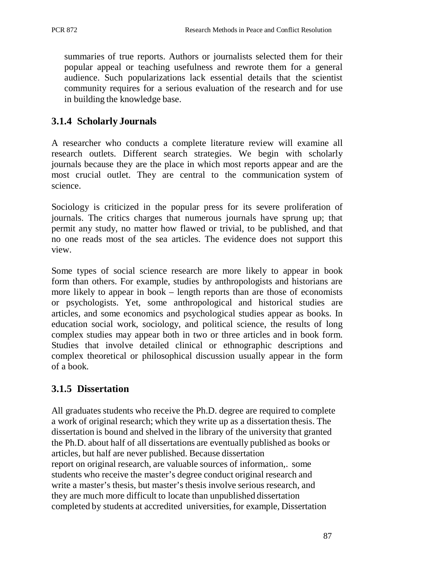summaries of true reports. Authors or journalists selected them for their popular appeal or teaching usefulness and rewrote them for a general audience. Such popularizations lack essential details that the scientist community requires for a serious evaluation of the research and for use in building the knowledge base.

# **3.1.4 Scholarly Journals**

A researcher who conducts a complete literature review will examine all research outlets. Different search strategies. We begin with scholarly journals because they are the place in which most reports appear and are the most crucial outlet. They are central to the communication system of science.

Sociology is criticized in the popular press for its severe proliferation of journals. The critics charges that numerous journals have sprung up; that permit any study, no matter how flawed or trivial, to be published, and that no one reads most of the sea articles. The evidence does not support this view.

Some types of social science research are more likely to appear in book form than others. For example, studies by anthropologists and historians are more likely to appear in book – length reports than are those of economists or psychologists. Yet, some anthropological and historical studies are articles, and some economics and psychological studies appear as books. In education social work, sociology, and political science, the results of long complex studies may appear both in two or three articles and in book form. Studies that involve detailed clinical or ethnographic descriptions and complex theoretical or philosophical discussion usually appear in the form of a book.

## **3.1.5 Dissertation**

All graduates students who receive the Ph.D. degree are required to complete a work of original research; which they write up as a dissertation thesis. The dissertation is bound and shelved in the library of the university that granted the Ph.D. about half of all dissertations are eventually published as books or articles, but half are never published. Because dissertation report on original research, are valuable sources of information,. some students who receive the master's degree conduct original research and write a master's thesis, but master's thesis involve serious research, and they are much more difficult to locate than unpublished dissertation completed by students at accredited universities, for example, Dissertation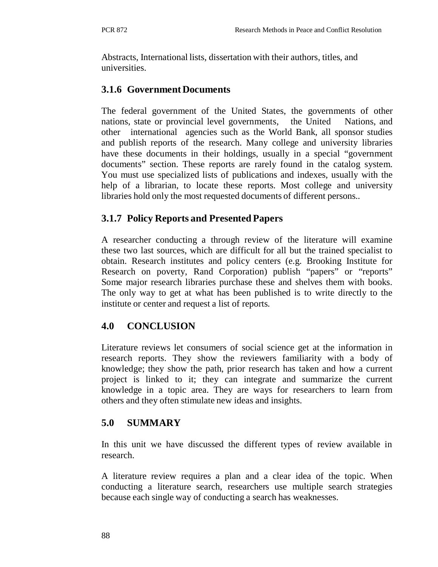Abstracts, International lists, dissertation with their authors, titles, and universities.

#### **3.1.6 Government Documents**

The federal government of the United States, the governments of other nations, state or provincial level governments, the United Nations, and other international agencies such as the World Bank, all sponsor studies and publish reports of the research. Many college and university libraries have these documents in their holdings, usually in a special "government documents" section. These reports are rarely found in the catalog system. You must use specialized lists of publications and indexes, usually with the help of a librarian, to locate these reports. Most college and university libraries hold only the most requested documents of different persons..

## **3.1.7 Policy Reports and Presented Papers**

A researcher conducting a through review of the literature will examine these two last sources, which are difficult for all but the trained specialist to obtain. Research institutes and policy centers (e.g. Brooking Institute for Research on poverty, Rand Corporation) publish "papers" or "reports" Some major research libraries purchase these and shelves them with books. The only way to get at what has been published is to write directly to the institute or center and request a list of reports.

# **4.0 CONCLUSION**

Literature reviews let consumers of social science get at the information in research reports. They show the reviewers familiarity with a body of knowledge; they show the path, prior research has taken and how a current project is linked to it; they can integrate and summarize the current knowledge in a topic area. They are ways for researchers to learn from others and they often stimulate new ideas and insights.

## **5.0 SUMMARY**

In this unit we have discussed the different types of review available in research.

A literature review requires a plan and a clear idea of the topic. When conducting a literature search, researchers use multiple search strategies because each single way of conducting a search has weaknesses.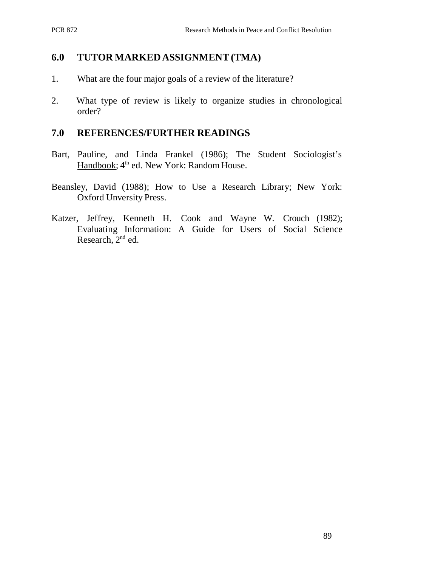#### **6.0 TUTOR MARKED ASSIGNMENT (TMA)**

- 1. What are the four major goals of a review of the literature?
- 2. What type of review is likely to organize studies in chronological order?

#### **7.0 REFERENCES/FURTHER READINGS**

- Bart, Pauline, and Linda Frankel (1986); The Student Sociologist's Handbook; 4<sup>th</sup> ed. New York: Random House.
- Beansley, David (1988); How to Use a Research Library; New York: Oxford Unversity Press.
- Katzer, Jeffrey, Kenneth H. Cook and Wayne W. Crouch (1982); Evaluating Information: A Guide for Users of Social Science Research,  $2<sup>nd</sup>$  ed.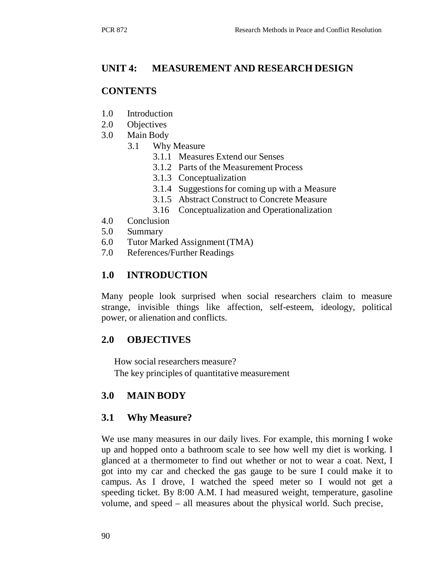# **UNIT 4: MEASUREMENT AND RESEARCH DESIGN**

#### **CONTENTS**

- 1.0 Introduction
- 2.0 Objectives
- 3.0 Main Body
	- 3.1 Why Measure
		- 3.1.1 Measures Extend our Senses
		- 3.1.2 Parts of the Measurement Process
		- 3.1.3 Conceptualization
		- 3.1.4 Suggestions for coming up with a Measure
		- 3.1.5 Abstract Construct to Concrete Measure
		- 3.16 Conceptualization and Operationalization
- 4.0 Conclusion
- 5.0 Summary
- 6.0 Tutor Marked Assignment (TMA)
- 7.0 References/Further Readings

## **1.0 INTRODUCTION**

Many people look surprised when social researchers claim to measure strange, invisible things like affection, self-esteem, ideology, political power, or alienation and conflicts.

#### **2.0 OBJECTIVES**

How social researchers measure? The key principles of quantitative measurement

## **3.0 MAIN BODY**

#### **3.1 Why Measure?**

We use many measures in our daily lives. For example, this morning I woke up and hopped onto a bathroom scale to see how well my diet is working. I glanced at a thermometer to find out whether or not to wear a coat. Next, I got into my car and checked the gas gauge to be sure I could make it to campus. As I drove, I watched the speed meter so I would not get a speeding ticket. By 8:00 A.M. I had measured weight, temperature, gasoline volume, and speed – all measures about the physical world. Such precise,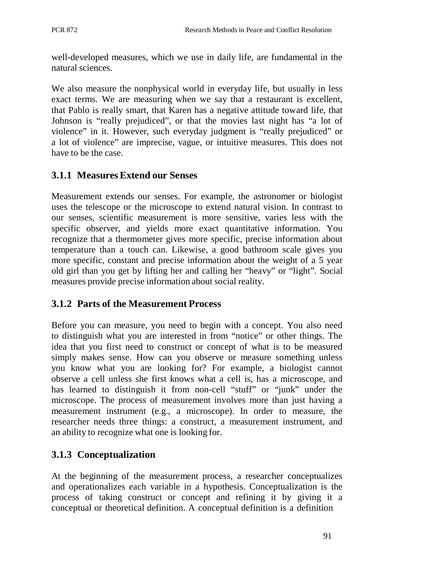well-developed measures, which we use in daily life, are fundamental in the natural sciences.

We also measure the nonphysical world in everyday life, but usually in less exact terms. We are measuring when we say that a restaurant is excellent, that Pablo is really smart, that Karen has a negative attitude toward life, that Johnson is "really prejudiced", or that the movies last night has "a lot of violence" in it. However, such everyday judgment is "really prejudiced" or a lot of violence" are imprecise, vague, or intuitive measures. This does not have to be the case.

# **3.1.1 Measures Extend our Senses**

Measurement extends our senses. For example, the astronomer or biologist uses the telescope or the microscope to extend natural vision. In contrast to our senses, scientific measurement is more sensitive, varies less with the specific observer, and yields more exact quantitative information. You recognize that a thermometer gives more specific, precise information about temperature than a touch can. Likewise, a good bathroom scale gives you more specific, constant and precise information about the weight of a 5 year old girl than you get by lifting her and calling her "heavy" or "light". Social measures provide precise information about social reality.

## **3.1.2 Parts of the Measurement Process**

Before you can measure, you need to begin with a concept. You also need to distinguish what you are interested in from "notice" or other things. The idea that you first need to construct or concept of what is to be measured simply makes sense. How can you observe or measure something unless you know what you are looking for? For example, a biologist cannot observe a cell unless she first knows what a cell is, has a microscope, and has learned to distinguish it from non-cell "stuff" or "junk" under the microscope. The process of measurement involves more than just having a measurement instrument (e.g., a microscope). In order to measure, the researcher needs three things: a construct, a measurement instrument, and an ability to recognize what one is looking for.

# **3.1.3 Conceptualization**

At the beginning of the measurement process, a researcher conceptualizes and operationalizes each variable in a hypothesis. Conceptualization is the process of taking construct or concept and refining it by giving it a conceptual or theoretical definition. A conceptual definition is a definition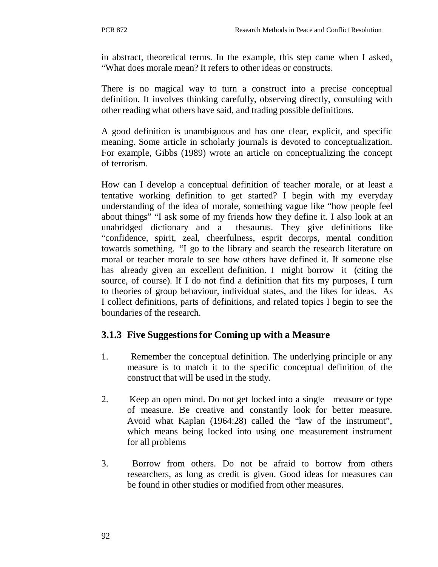in abstract, theoretical terms. In the example, this step came when I asked, "What does morale mean? It refers to other ideas or constructs.

There is no magical way to turn a construct into a precise conceptual definition. It involves thinking carefully, observing directly, consulting with other reading what others have said, and trading possible definitions.

A good definition is unambiguous and has one clear, explicit, and specific meaning. Some article in scholarly journals is devoted to conceptualization. For example, Gibbs (1989) wrote an article on conceptualizing the concept of terrorism.

How can I develop a conceptual definition of teacher morale, or at least a tentative working definition to get started? I begin with my everyday understanding of the idea of morale, something vague like "how people feel about things" "I ask some of my friends how they define it. I also look at an unabridged dictionary and a thesaurus. They give definitions like "confidence, spirit, zeal, cheerfulness, esprit decorps, mental condition towards something. "I go to the library and search the research literature on moral or teacher morale to see how others have defined it. If someone else has already given an excellent definition. I might borrow it (citing the source, of course). If I do not find a definition that fits my purposes, I turn to theories of group behaviour, individual states, and the likes for ideas. As I collect definitions, parts of definitions, and related topics I begin to see the boundaries of the research.

#### **3.1.3 Five Suggestions for Coming up with a Measure**

- 1. Remember the conceptual definition. The underlying principle or any measure is to match it to the specific conceptual definition of the construct that will be used in the study.
- 2. Keep an open mind. Do not get locked into a single measure or type of measure. Be creative and constantly look for better measure. Avoid what Kaplan (1964:28) called the "law of the instrument", which means being locked into using one measurement instrument for all problems
- 3. Borrow from others. Do not be afraid to borrow from others researchers, as long as credit is given. Good ideas for measures can be found in other studies or modified from other measures.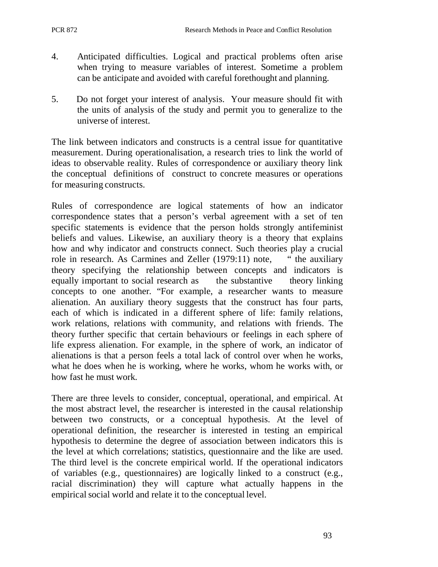- 4. Anticipated difficulties. Logical and practical problems often arise when trying to measure variables of interest. Sometime a problem can be anticipate and avoided with careful forethought and planning.
- 5. Do not forget your interest of analysis. Your measure should fit with the units of analysis of the study and permit you to generalize to the universe of interest.

The link between indicators and constructs is a central issue for quantitative measurement. During operationalisation, a research tries to link the world of ideas to observable reality. Rules of correspondence or auxiliary theory link the conceptual definitions of construct to concrete measures or operations for measuring constructs.

Rules of correspondence are logical statements of how an indicator correspondence states that a person's verbal agreement with a set of ten specific statements is evidence that the person holds strongly antifeminist beliefs and values. Likewise, an auxiliary theory is a theory that explains how and why indicator and constructs connect. Such theories play a crucial role in research. As Carmines and Zeller (1979:11) note, " the auxiliary theory specifying the relationship between concepts and indicators is equally important to social research as the substantive theory linking concepts to one another. "For example, a researcher wants to measure alienation. An auxiliary theory suggests that the construct has four parts, each of which is indicated in a different sphere of life: family relations, work relations, relations with community, and relations with friends. The theory further specific that certain behaviours or feelings in each sphere of life express alienation. For example, in the sphere of work, an indicator of alienations is that a person feels a total lack of control over when he works, what he does when he is working, where he works, whom he works with, or how fast he must work.

There are three levels to consider, conceptual, operational, and empirical. At the most abstract level, the researcher is interested in the causal relationship between two constructs, or a conceptual hypothesis. At the level of operational definition, the researcher is interested in testing an empirical hypothesis to determine the degree of association between indicators this is the level at which correlations; statistics, questionnaire and the like are used. The third level is the concrete empirical world. If the operational indicators of variables (e.g., questionnaires) are logically linked to a construct (e.g., racial discrimination) they will capture what actually happens in the empirical social world and relate it to the conceptual level.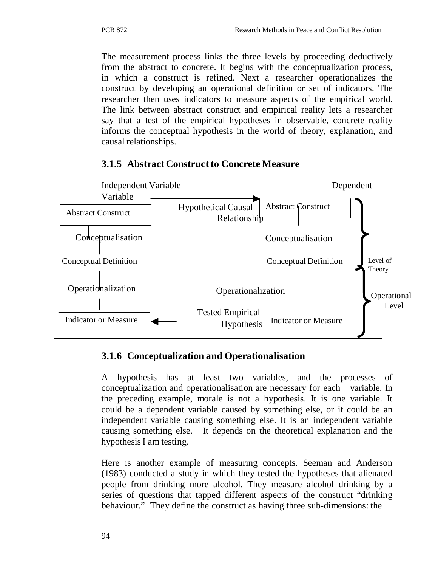The measurement process links the three levels by proceeding deductively from the abstract to concrete. It begins with the conceptualization process, in which a construct is refined. Next a researcher operationalizes the construct by developing an operational definition or set of indicators. The researcher then uses indicators to measure aspects of the empirical world. The link between abstract construct and empirical reality lets a researcher say that a test of the empirical hypotheses in observable, concrete reality informs the conceptual hypothesis in the world of theory, explanation, and causal relationships.



#### **3.1.5 Abstract Construct to Concrete Measure**

### **3.1.6 Conceptualization and Operationalisation**

A hypothesis has at least two variables, and the processes of conceptualization and operationalisation are necessary for each variable. In the preceding example, morale is not a hypothesis. It is one variable. It could be a dependent variable caused by something else, or it could be an independent variable causing something else. It is an independent variable causing something else. It depends on the theoretical explanation and the hypothesis I am testing.

Here is another example of measuring concepts. Seeman and Anderson (1983) conducted a study in which they tested the hypotheses that alienated people from drinking more alcohol. They measure alcohol drinking by a series of questions that tapped different aspects of the construct "drinking behaviour." They define the construct as having three sub-dimensions: the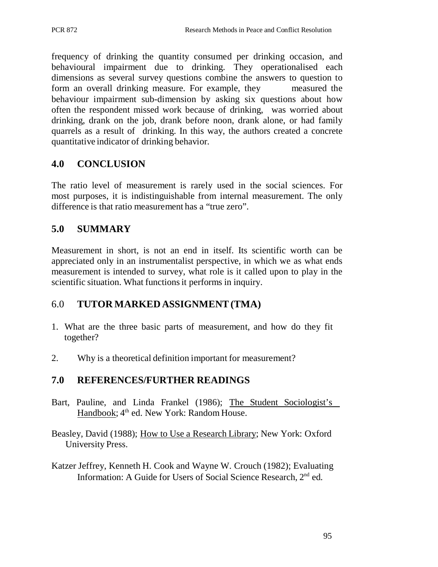frequency of drinking the quantity consumed per drinking occasion, and behavioural impairment due to drinking. They operationalised each dimensions as several survey questions combine the answers to question to form an overall drinking measure. For example, they measured the behaviour impairment sub-dimension by asking six questions about how often the respondent missed work because of drinking, was worried about drinking, drank on the job, drank before noon, drank alone, or had family quarrels as a result of drinking. In this way, the authors created a concrete quantitative indicator of drinking behavior.

## **4.0 CONCLUSION**

The ratio level of measurement is rarely used in the social sciences. For most purposes, it is indistinguishable from internal measurement. The only difference is that ratio measurement has a "true zero".

## **5.0 SUMMARY**

Measurement in short, is not an end in itself. Its scientific worth can be appreciated only in an instrumentalist perspective, in which we as what ends measurement is intended to survey, what role is it called upon to play in the scientific situation. What functions it performs in inquiry.

## 6.0 **TUTOR MARKED ASSIGNMENT (TMA)**

- 1. What are the three basic parts of measurement, and how do they fit together?
- 2. Why is a theoretical definition important for measurement?

### **7.0 REFERENCES/FURTHER READINGS**

- Bart, Pauline, and Linda Frankel (1986); The Student Sociologist's Handbook; 4<sup>th</sup> ed. New York: Random House.
- Beasley, David (1988); How to Use a Research Library; New York: Oxford University Press.
- Katzer Jeffrey, Kenneth H. Cook and Wayne W. Crouch (1982); Evaluating Information: A Guide for Users of Social Science Research, 2<sup>nd</sup> ed.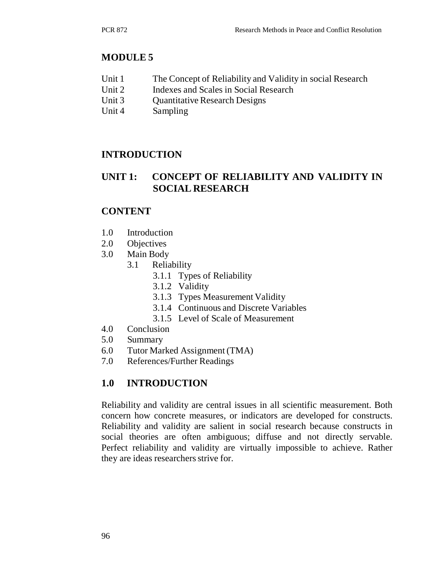#### **MODULE 5**

- Unit 1 The Concept of Reliability and Validity in social Research
- Unit 2 Indexes and Scales in Social Research
- Unit 3 Ouantitative Research Designs
- Unit 4 Sampling

### **INTRODUCTION**

### **UNIT 1: CONCEPT OF RELIABILITY AND VALIDITY IN SOCIAL RESEARCH**

### **CONTENT**

- 1.0 Introduction
- 2.0 Objectives
- 3.0 Main Body
	- 3.1 Reliability
		- 3.1.1 Types of Reliability
		- 3.1.2 Validity
		- 3.1.3 Types Measurement Validity
		- 3.1.4 Continuous and Discrete Variables
		- 3.1.5 Level of Scale of Measurement
- 4.0 Conclusion
- 5.0 Summary
- 6.0 Tutor Marked Assignment (TMA)
- 7.0 References/Further Readings

### **1.0 INTRODUCTION**

Reliability and validity are central issues in all scientific measurement. Both concern how concrete measures, or indicators are developed for constructs. Reliability and validity are salient in social research because constructs in social theories are often ambiguous; diffuse and not directly servable. Perfect reliability and validity are virtually impossible to achieve. Rather they are ideas researchers strive for.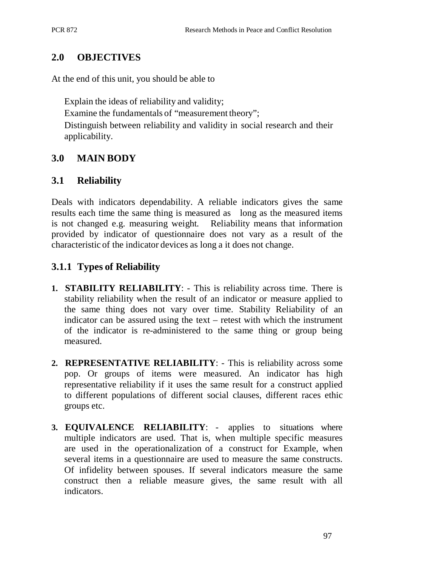### **2.0 OBJECTIVES**

At the end of this unit, you should be able to

Explain the ideas of reliability and validity; Examine the fundamentals of "measurement theory"; Distinguish between reliability and validity in social research and their applicability.

## **3.0 MAIN BODY**

#### **3.1 Reliability**

Deals with indicators dependability. A reliable indicators gives the same results each time the same thing is measured as long as the measured items is not changed e.g. measuring weight. Reliability means that information provided by indicator of questionnaire does not vary as a result of the characteristic of the indicator devices as long a it does not change.

### **3.1.1 Types of Reliability**

- **1. STABILITY RELIABILITY**: This is reliability across time. There is stability reliability when the result of an indicator or measure applied to the same thing does not vary over time. Stability Reliability of an indicator can be assured using the text – retest with which the instrument of the indicator is re-administered to the same thing or group being measured.
- **2. REPRESENTATIVE RELIABILITY**: This is reliability across some pop. Or groups of items were measured. An indicator has high representative reliability if it uses the same result for a construct applied to different populations of different social clauses, different races ethic groups etc.
- **3. EQUIVALENCE RELIABILITY**: applies to situations where multiple indicators are used. That is, when multiple specific measures are used in the operationalization of a construct for Example, when several items in a questionnaire are used to measure the same constructs. Of infidelity between spouses. If several indicators measure the same construct then a reliable measure gives, the same result with all indicators.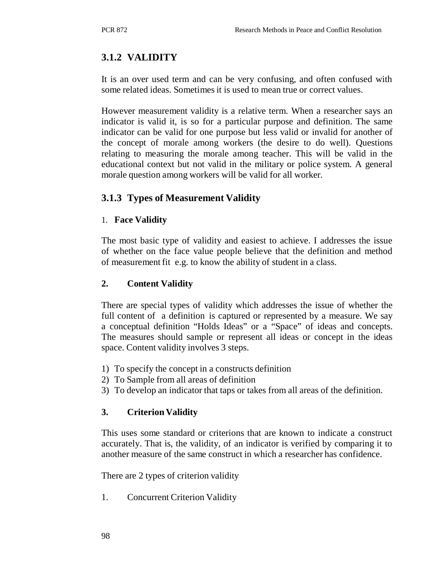# **3.1.2 VALIDITY**

It is an over used term and can be very confusing, and often confused with some related ideas. Sometimes it is used to mean true or correct values.

However measurement validity is a relative term. When a researcher says an indicator is valid it, is so for a particular purpose and definition. The same indicator can be valid for one purpose but less valid or invalid for another of the concept of morale among workers (the desire to do well). Questions relating to measuring the morale among teacher. This will be valid in the educational context but not valid in the military or police system. A general morale question among workers will be valid for all worker.

### **3.1.3 Types of Measurement Validity**

#### 1. **Face Validity**

The most basic type of validity and easiest to achieve. I addresses the issue of whether on the face value people believe that the definition and method of measurement fit e.g. to know the ability of student in a class.

#### **2. Content Validity**

There are special types of validity which addresses the issue of whether the full content of a definition is captured or represented by a measure. We say a conceptual definition "Holds Ideas" or a "Space" of ideas and concepts. The measures should sample or represent all ideas or concept in the ideas space. Content validity involves 3 steps.

- 1) To specify the concept in a constructs definition
- 2) To Sample from all areas of definition
- 3) To develop an indicator that taps or takes from all areas of the definition.

#### **3. Criterion Validity**

This uses some standard or criterions that are known to indicate a construct accurately. That is, the validity, of an indicator is verified by comparing it to another measure of the same construct in which a researcher has confidence.

There are 2 types of criterion validity

1. Concurrent Criterion Validity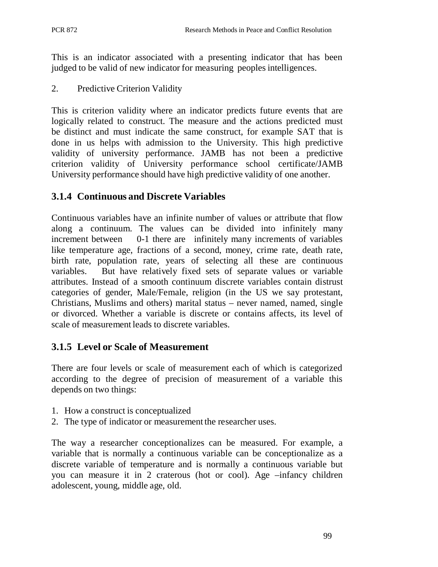This is an indicator associated with a presenting indicator that has been judged to be valid of new indicator for measuring peoples intelligences.

2. Predictive Criterion Validity

This is criterion validity where an indicator predicts future events that are logically related to construct. The measure and the actions predicted must be distinct and must indicate the same construct, for example SAT that is done in us helps with admission to the University. This high predictive validity of university performance. JAMB has not been a predictive criterion validity of University performance school certificate/JAMB University performance should have high predictive validity of one another.

### **3.1.4 Continuous and Discrete Variables**

Continuous variables have an infinite number of values or attribute that flow along a continuum. The values can be divided into infinitely many increment between 0-1 there are infinitely many increments of variables like temperature age, fractions of a second, money, crime rate, death rate, birth rate, population rate, years of selecting all these are continuous variables. But have relatively fixed sets of separate values or variable attributes. Instead of a smooth continuum discrete variables contain distrust categories of gender, Male/Female, religion (in the US we say protestant, Christians, Muslims and others) marital status – never named, named, single or divorced. Whether a variable is discrete or contains affects, its level of scale of measurement leads to discrete variables.

### **3.1.5 Level or Scale of Measurement**

There are four levels or scale of measurement each of which is categorized according to the degree of precision of measurement of a variable this depends on two things:

- 1. How a construct is conceptualized
- 2. The type of indicator or measurement the researcher uses.

The way a researcher conceptionalizes can be measured. For example, a variable that is normally a continuous variable can be conceptionalize as a discrete variable of temperature and is normally a continuous variable but you can measure it in 2 craterous (hot or cool). Age –infancy children adolescent, young, middle age, old.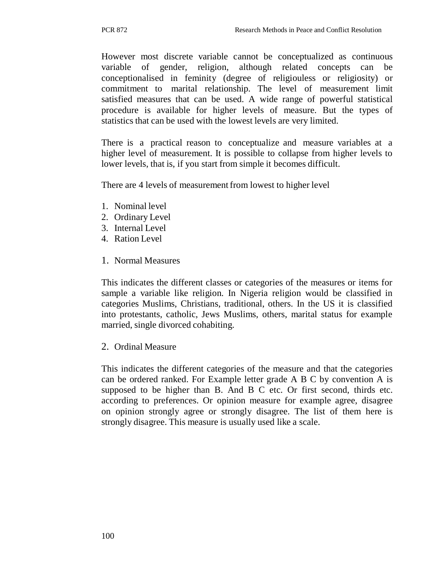However most discrete variable cannot be conceptualized as continuous variable of gender, religion, although related concepts can be conceptionalised in feminity (degree of religiouless or religiosity) or commitment to marital relationship. The level of measurement limit satisfied measures that can be used. A wide range of powerful statistical procedure is available for higher levels of measure. But the types of statistics that can be used with the lowest levels are very limited.

There is a practical reason to conceptualize and measure variables at a higher level of measurement. It is possible to collapse from higher levels to lower levels, that is, if you start from simple it becomes difficult.

There are 4 levels of measurement from lowest to higher level

- 1. Nominal level
- 2. Ordinary Level
- 3. Internal Level
- 4. Ration Level
- 1. Normal Measures

This indicates the different classes or categories of the measures or items for sample a variable like religion. In Nigeria religion would be classified in categories Muslims, Christians, traditional, others. In the US it is classified into protestants, catholic, Jews Muslims, others, marital status for example married, single divorced cohabiting.

2. Ordinal Measure

This indicates the different categories of the measure and that the categories can be ordered ranked. For Example letter grade A B C by convention A is supposed to be higher than B. And B C etc. Or first second, thirds etc. according to preferences. Or opinion measure for example agree, disagree on opinion strongly agree or strongly disagree. The list of them here is strongly disagree. This measure is usually used like a scale.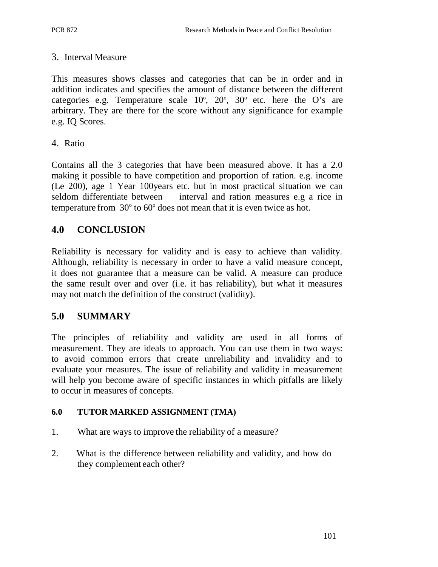#### 3. Interval Measure

This measures shows classes and categories that can be in order and in addition indicates and specifies the amount of distance between the different categories e.g. Temperature scale  $10^{\circ}$ ,  $20^{\circ}$ ,  $30^{\circ}$  etc. here the O's are arbitrary. They are there for the score without any significance for example e.g. IQ Scores.

#### 4. Ratio

Contains all the 3 categories that have been measured above. It has a 2.0 making it possible to have competition and proportion of ration. e.g. income (Le 200), age 1 Year 100years etc. but in most practical situation we can seldom differentiate between interval and ration measures e.g a rice in temperature from  $30^{\circ}$  to  $60^{\circ}$  does not mean that it is even twice as hot.

### **4.0 CONCLUSION**

Reliability is necessary for validity and is easy to achieve than validity. Although, reliability is necessary in order to have a valid measure concept, it does not guarantee that a measure can be valid. A measure can produce the same result over and over (i.e. it has reliability), but what it measures may not match the definition of the construct (validity).

### **5.0 SUMMARY**

The principles of reliability and validity are used in all forms of measurement. They are ideals to approach. You can use them in two ways: to avoid common errors that create unreliability and invalidity and to evaluate your measures. The issue of reliability and validity in measurement will help you become aware of specific instances in which pitfalls are likely to occur in measures of concepts.

#### **6.0 TUTOR MARKED ASSIGNMENT (TMA)**

- 1. What are ways to improve the reliability of a measure?
- 2. What is the difference between reliability and validity, and how do they complement each other?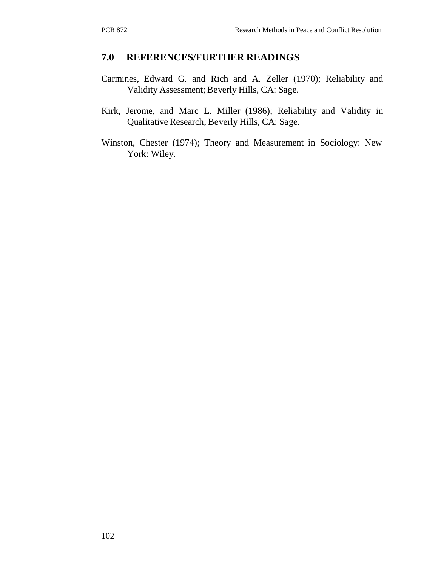## **7.0 REFERENCES/FURTHER READINGS**

- Carmines, Edward G. and Rich and A. Zeller (1970); Reliability and Validity Assessment; Beverly Hills, CA: Sage.
- Kirk, Jerome, and Marc L. Miller (1986); Reliability and Validity in Qualitative Research; Beverly Hills, CA: Sage.
- Winston, Chester (1974); Theory and Measurement in Sociology: New York: Wiley.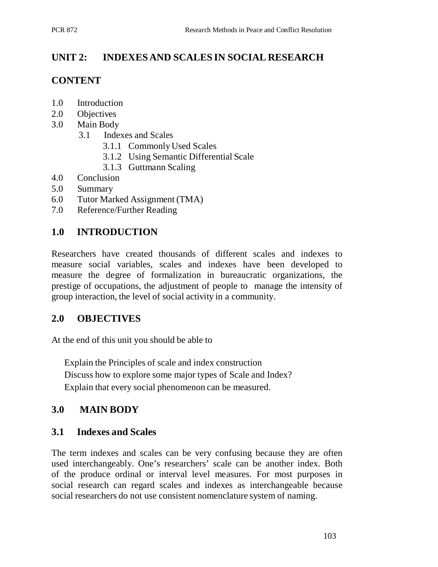### **UNIT 2: INDEXES AND SCALES IN SOCIAL RESEARCH**

#### **CONTENT**

- 1.0 Introduction
- 2.0 Objectives
- 3.0 Main Body
	- 3.1 Indexes and Scales
		- 3.1.1 Commonly Used Scales
		- 3.1.2 Using Semantic Differential Scale
		- 3.1.3 Guttmann Scaling
- 4.0 Conclusion
- 5.0 Summary
- 6.0 Tutor Marked Assignment (TMA)
- 7.0 Reference/Further Reading

### **1.0 INTRODUCTION**

Researchers have created thousands of different scales and indexes to measure social variables, scales and indexes have been developed to measure the degree of formalization in bureaucratic organizations, the prestige of occupations, the adjustment of people to manage the intensity of group interaction, the level of social activity in a community.

### **2.0 OBJECTIVES**

At the end of this unit you should be able to

Explain the Principles of scale and index construction Discuss how to explore some major types of Scale and Index? Explain that every social phenomenon can be measured.

#### **3.0 MAIN BODY**

#### **3.1 Indexes and Scales**

The term indexes and scales can be very confusing because they are often used interchangeably. One's researchers' scale can be another index. Both of the produce ordinal or interval level measures. For most purposes in social research can regard scales and indexes as interchangeable because social researchers do not use consistent nomenclature system of naming.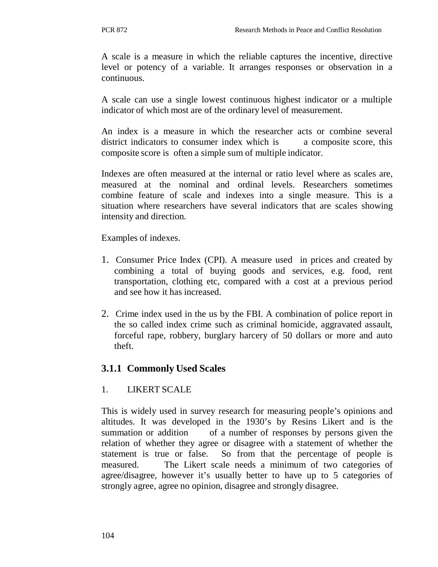A scale is a measure in which the reliable captures the incentive, directive level or potency of a variable. It arranges responses or observation in a continuous.

A scale can use a single lowest continuous highest indicator or a multiple indicator of which most are of the ordinary level of measurement.

An index is a measure in which the researcher acts or combine several district indicators to consumer index which is a composite score, this composite score is often a simple sum of multiple indicator.

Indexes are often measured at the internal or ratio level where as scales are, measured at the nominal and ordinal levels. Researchers sometimes combine feature of scale and indexes into a single measure. This is a situation where researchers have several indicators that are scales showing intensity and direction.

Examples of indexes.

- 1. Consumer Price Index (CPI). A measure used in prices and created by combining a total of buying goods and services, e.g. food, rent transportation, clothing etc, compared with a cost at a previous period and see how it has increased.
- 2. Crime index used in the us by the FBI. A combination of police report in the so called index crime such as criminal homicide, aggravated assault, forceful rape, robbery, burglary harcery of 50 dollars or more and auto theft.

#### **3.1.1 Commonly Used Scales**

#### 1. LIKERT SCALE

This is widely used in survey research for measuring people's opinions and altitudes. It was developed in the 1930's by Resins Likert and is the summation or addition of a number of responses by persons given the relation of whether they agree or disagree with a statement of whether the statement is true or false. So from that the percentage of people is measured. The Likert scale needs a minimum of two categories of agree/disagree, however it's usually better to have up to 5 categories of strongly agree, agree no opinion, disagree and strongly disagree.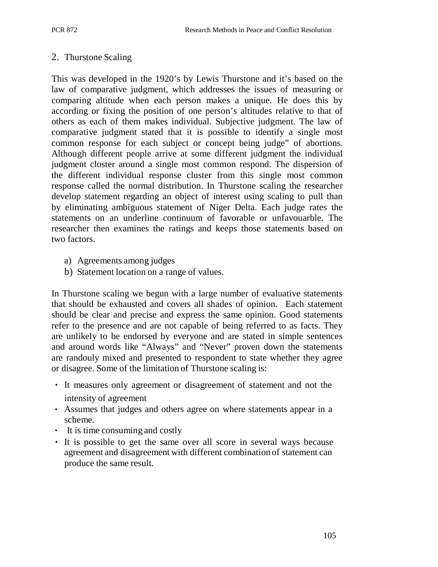#### 2. Thurstone Scaling

This was developed in the 1920's by Lewis Thurstone and it's based on the law of comparative judgment, which addresses the issues of measuring or comparing altitude when each person makes a unique. He does this by according or fixing the position of one person's altitudes relative to that of others as each of them makes individual. Subjective judgment. The law of comparative judgment stated that it is possible to identify a single most common response for each subject or concept being judge" of abortions. Although different people arrive at some different judgment the individual judgment closter around a single most common respond. The dispersion of the different individual response cluster from this single most common response called the normal distribution. In Thurstone scaling the researcher develop statement regarding an object of interest using scaling to pull than by eliminating ambiguous statement of Niger Delta. Each judge rates the statements on an underline continuum of favorable or unfavouarble. The researcher then examines the ratings and keeps those statements based on two factors.

- a) Agreements among judges
- b) Statement location on a range of values.

In Thurstone scaling we begun with a large number of evaluative statements that should be exhausted and covers all shades of opinion. Each statement should be clear and precise and express the same opinion. Good statements refer to the presence and are not capable of being referred to as facts. They are unlikely to be endorsed by everyone and are stated in simple sentences and around words like "Always" and "Never" proven down the statements are randouly mixed and presented to respondent to state whether they agree or disagree. Some of the limitation of Thurstone scaling is:

- ・ It measures only agreement or disagreement of statement and not the intensity of agreement
- ・ Assumes that judges and others agree on where statements appear in a scheme.
- ・ It is time consuming and costly
- ・ It is possible to get the same over all score in several ways because agreement and disagreement with different combination of statement can produce the same result.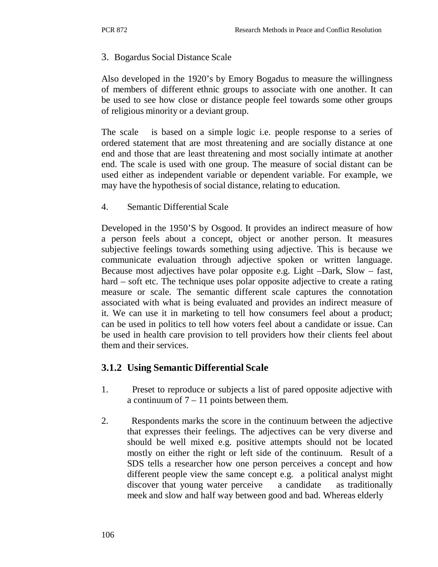#### 3. Bogardus Social Distance Scale

Also developed in the 1920's by Emory Bogadus to measure the willingness of members of different ethnic groups to associate with one another. It can be used to see how close or distance people feel towards some other groups of religious minority or a deviant group.

The scale is based on a simple logic i.e. people response to a series of ordered statement that are most threatening and are socially distance at one end and those that are least threatening and most socially intimate at another end. The scale is used with one group. The measure of social distant can be used either as independent variable or dependent variable. For example, we may have the hypothesis of social distance, relating to education.

4. Semantic Differential Scale

Developed in the 1950'S by Osgood. It provides an indirect measure of how a person feels about a concept, object or another person. It measures subjective feelings towards something using adjective. This is because we communicate evaluation through adjective spoken or written language. Because most adjectives have polar opposite e.g. Light –Dark, Slow – fast, hard – soft etc. The technique uses polar opposite adjective to create a rating measure or scale. The semantic different scale captures the connotation associated with what is being evaluated and provides an indirect measure of it. We can use it in marketing to tell how consumers feel about a product; can be used in politics to tell how voters feel about a candidate or issue. Can be used in health care provision to tell providers how their clients feel about them and their services.

#### **3.1.2 Using Semantic Differential Scale**

- 1. Preset to reproduce or subjects a list of pared opposite adjective with a continuum of  $7 - 11$  points between them.
- 2. Respondents marks the score in the continuum between the adjective that expresses their feelings. The adjectives can be very diverse and should be well mixed e.g. positive attempts should not be located mostly on either the right or left side of the continuum. Result of a SDS tells a researcher how one person perceives a concept and how different people view the same concept e.g. a political analyst might discover that young water perceive a candidate as traditionally meek and slow and half way between good and bad. Whereas elderly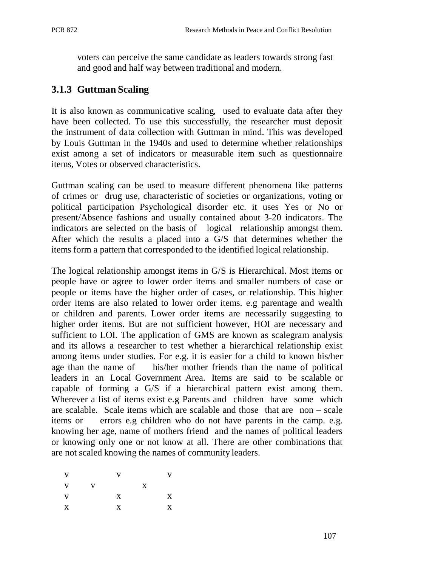voters can perceive the same candidate as leaders towards strong fast and good and half way between traditional and modern.

#### **3.1.3 Guttman Scaling**

It is also known as communicative scaling, used to evaluate data after they have been collected. To use this successfully, the researcher must deposit the instrument of data collection with Guttman in mind. This was developed by Louis Guttman in the 1940s and used to determine whether relationships exist among a set of indicators or measurable item such as questionnaire items, Votes or observed characteristics.

Guttman scaling can be used to measure different phenomena like patterns of crimes or drug use, characteristic of societies or organizations, voting or political participation Psychological disorder etc. it uses Yes or No or present/Absence fashions and usually contained about 3-20 indicators. The indicators are selected on the basis of logical relationship amongst them. After which the results a placed into a G/S that determines whether the items form a pattern that corresponded to the identified logical relationship.

The logical relationship amongst items in G/S is Hierarchical. Most items or people have or agree to lower order items and smaller numbers of case or people or items have the higher order of cases, or relationship. This higher order items are also related to lower order items. e.g parentage and wealth or children and parents. Lower order items are necessarily suggesting to higher order items. But are not sufficient however, HOI are necessary and sufficient to LOI. The application of GMS are known as scalegram analysis and its allows a researcher to test whether a hierarchical relationship exist among items under studies. For e.g. it is easier for a child to known his/her age than the name of his/her mother friends than the name of political leaders in an Local Government Area. Items are said to be scalable or capable of forming a G/S if a hierarchical pattern exist among them. Wherever a list of items exist e.g Parents and children have some which are scalable. Scale items which are scalable and those that are non – scale items or errors e.g children who do not have parents in the camp. e.g. knowing her age, name of mothers friend and the names of political leaders or knowing only one or not know at all. There are other combinations that are not scaled knowing the names of community leaders.

| $\mathbf{V}$ |   | V |   | V |
|--------------|---|---|---|---|
| $\mathbf{V}$ | V |   | X |   |
| $\mathbf{V}$ |   | X |   | X |
| $\mathbf{X}$ |   | X |   | X |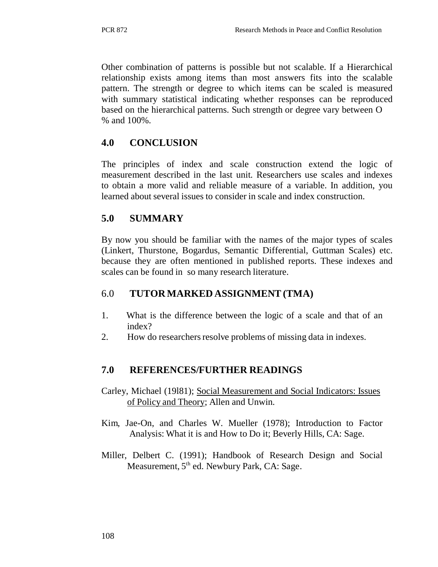Other combination of patterns is possible but not scalable. If a Hierarchical relationship exists among items than most answers fits into the scalable pattern. The strength or degree to which items can be scaled is measured with summary statistical indicating whether responses can be reproduced based on the hierarchical patterns. Such strength or degree vary between O % and 100%.

#### **4.0 CONCLUSION**

The principles of index and scale construction extend the logic of measurement described in the last unit. Researchers use scales and indexes to obtain a more valid and reliable measure of a variable. In addition, you learned about several issues to consider in scale and index construction.

#### **5.0 SUMMARY**

By now you should be familiar with the names of the major types of scales (Linkert, Thurstone, Bogardus, Semantic Differential, Guttman Scales) etc. because they are often mentioned in published reports. These indexes and scales can be found in so many research literature.

#### 6.0 **TUTOR MARKED ASSIGNMENT (TMA)**

- 1. What is the difference between the logic of a scale and that of an index?
- 2. How do researchers resolve problems of missing data in indexes.

#### **7.0 REFERENCES/FURTHER READINGS**

- Carley, Michael (19l81); Social Measurement and Social Indicators: Issues of Policy and Theory; Allen and Unwin.
- Kim, Jae-On, and Charles W. Mueller (1978); Introduction to Factor Analysis: What it is and How to Do it; Beverly Hills, CA: Sage.
- Miller, Delbert C. (1991); Handbook of Research Design and Social Measurement, 5<sup>th</sup> ed. Newbury Park, CA: Sage.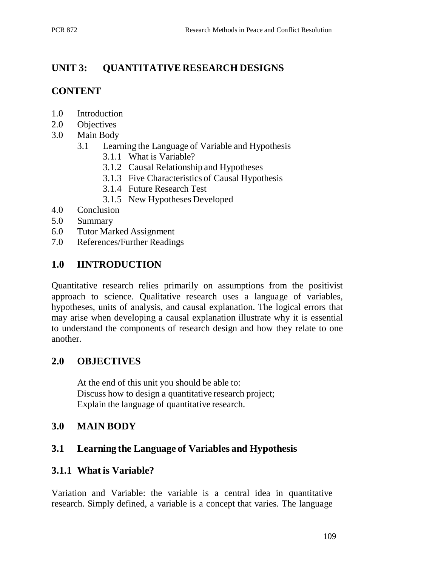# **UNIT 3: QUANTITATIVE RESEARCH DESIGNS**

### **CONTENT**

- 1.0 Introduction
- 2.0 Objectives
- 3.0 Main Body
	- 3.1 Learning the Language of Variable and Hypothesis
		- 3.1.1 What is Variable?
		- 3.1.2 Causal Relationship and Hypotheses
		- 3.1.3 Five Characteristics of Causal Hypothesis
		- 3.1.4 Future Research Test
		- 3.1.5 New Hypotheses Developed
- 4.0 Conclusion
- 5.0 Summary
- 6.0 Tutor Marked Assignment
- 7.0 References/Further Readings

## **1.0 IINTRODUCTION**

Quantitative research relies primarily on assumptions from the positivist approach to science. Qualitative research uses a language of variables, hypotheses, units of analysis, and causal explanation. The logical errors that may arise when developing a causal explanation illustrate why it is essential to understand the components of research design and how they relate to one another.

### **2.0 OBJECTIVES**

At the end of this unit you should be able to: Discuss how to design a quantitative research project; Explain the language of quantitative research.

### **3.0 MAIN BODY**

### **3.1 Learning the Language of Variables and Hypothesis**

#### **3.1.1 What is Variable?**

Variation and Variable: the variable is a central idea in quantitative research. Simply defined, a variable is a concept that varies. The language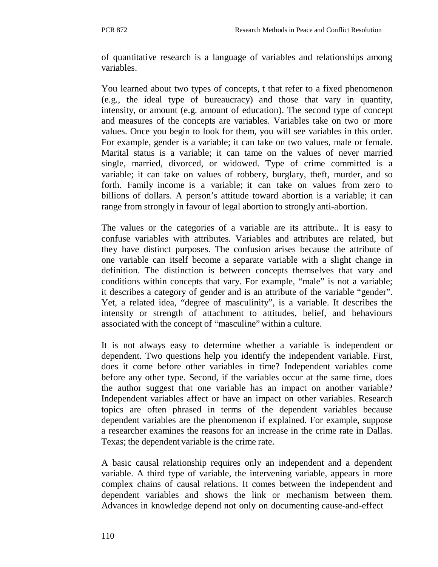of quantitative research is a language of variables and relationships among variables.

You learned about two types of concepts, t that refer to a fixed phenomenon (e.g., the ideal type of bureaucracy) and those that vary in quantity, intensity, or amount (e.g. amount of education). The second type of concept and measures of the concepts are variables. Variables take on two or more values. Once you begin to look for them, you will see variables in this order. For example, gender is a variable; it can take on two values, male or female. Marital status is a variable; it can tame on the values of never married single, married, divorced, or widowed. Type of crime committed is a variable; it can take on values of robbery, burglary, theft, murder, and so forth. Family income is a variable; it can take on values from zero to billions of dollars. A person's attitude toward abortion is a variable; it can range from strongly in favour of legal abortion to strongly anti-abortion.

The values or the categories of a variable are its attribute.. It is easy to confuse variables with attributes. Variables and attributes are related, but they have distinct purposes. The confusion arises because the attribute of one variable can itself become a separate variable with a slight change in definition. The distinction is between concepts themselves that vary and conditions within concepts that vary. For example, "male" is not a variable; it describes a category of gender and is an attribute of the variable "gender". Yet, a related idea, "degree of masculinity", is a variable. It describes the intensity or strength of attachment to attitudes, belief, and behaviours associated with the concept of "masculine" within a culture.

It is not always easy to determine whether a variable is independent or dependent. Two questions help you identify the independent variable. First, does it come before other variables in time? Independent variables come before any other type. Second, if the variables occur at the same time, does the author suggest that one variable has an impact on another variable? Independent variables affect or have an impact on other variables. Research topics are often phrased in terms of the dependent variables because dependent variables are the phenomenon if explained. For example, suppose a researcher examines the reasons for an increase in the crime rate in Dallas. Texas; the dependent variable is the crime rate.

A basic causal relationship requires only an independent and a dependent variable. A third type of variable, the intervening variable, appears in more complex chains of causal relations. It comes between the independent and dependent variables and shows the link or mechanism between them. Advances in knowledge depend not only on documenting cause-and-effect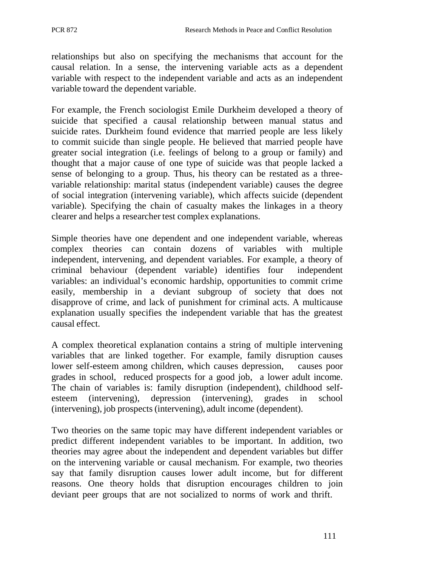relationships but also on specifying the mechanisms that account for the causal relation. In a sense, the intervening variable acts as a dependent variable with respect to the independent variable and acts as an independent variable toward the dependent variable.

For example, the French sociologist Emile Durkheim developed a theory of suicide that specified a causal relationship between manual status and suicide rates. Durkheim found evidence that married people are less likely to commit suicide than single people. He believed that married people have greater social integration (i.e. feelings of belong to a group or family) and thought that a major cause of one type of suicide was that people lacked a sense of belonging to a group. Thus, his theory can be restated as a threevariable relationship: marital status (independent variable) causes the degree of social integration (intervening variable), which affects suicide (dependent variable). Specifying the chain of casualty makes the linkages in a theory clearer and helps a researcher test complex explanations.

Simple theories have one dependent and one independent variable, whereas complex theories can contain dozens of variables with multiple independent, intervening, and dependent variables. For example, a theory of criminal behaviour (dependent variable) identifies four independent variables: an individual's economic hardship, opportunities to commit crime easily, membership in a deviant subgroup of society that does not disapprove of crime, and lack of punishment for criminal acts. A multicause explanation usually specifies the independent variable that has the greatest causal effect.

A complex theoretical explanation contains a string of multiple intervening variables that are linked together. For example, family disruption causes lower self-esteem among children, which causes depression, causes poor grades in school, reduced prospects for a good job, a lower adult income. The chain of variables is: family disruption (independent), childhood selfesteem (intervening), depression (intervening), grades in school (intervening), job prospects (intervening), adult income (dependent).

Two theories on the same topic may have different independent variables or predict different independent variables to be important. In addition, two theories may agree about the independent and dependent variables but differ on the intervening variable or causal mechanism. For example, two theories say that family disruption causes lower adult income, but for different reasons. One theory holds that disruption encourages children to join deviant peer groups that are not socialized to norms of work and thrift.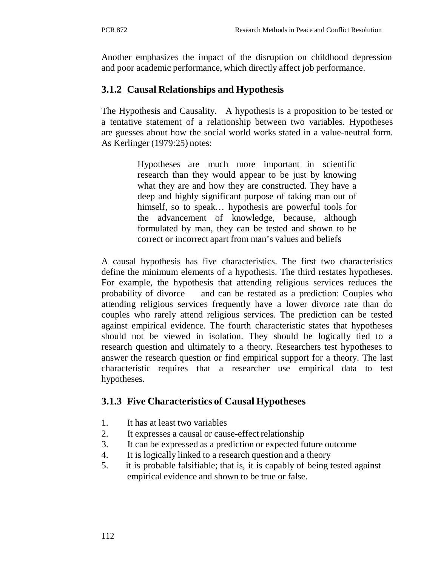Another emphasizes the impact of the disruption on childhood depression and poor academic performance, which directly affect job performance.

## **3.1.2 Causal Relationships and Hypothesis**

The Hypothesis and Causality. A hypothesis is a proposition to be tested or a tentative statement of a relationship between two variables. Hypotheses are guesses about how the social world works stated in a value-neutral form. As Kerlinger (1979:25) notes:

> Hypotheses are much more important in scientific research than they would appear to be just by knowing what they are and how they are constructed. They have a deep and highly significant purpose of taking man out of himself, so to speak... hypothesis are powerful tools for the advancement of knowledge, because, although formulated by man, they can be tested and shown to be correct or incorrect apart from man's values and beliefs

A causal hypothesis has five characteristics. The first two characteristics define the minimum elements of a hypothesis. The third restates hypotheses. For example, the hypothesis that attending religious services reduces the probability of divorce and can be restated as a prediction: Couples who attending religious services frequently have a lower divorce rate than do couples who rarely attend religious services. The prediction can be tested against empirical evidence. The fourth characteristic states that hypotheses should not be viewed in isolation. They should be logically tied to a research question and ultimately to a theory. Researchers test hypotheses to answer the research question or find empirical support for a theory. The last characteristic requires that a researcher use empirical data to test hypotheses.

## **3.1.3 Five Characteristics of Causal Hypotheses**

- 1. It has at least two variables
- 2. It expresses a causal or cause-effect relationship
- 3. It can be expressed as a prediction or expected future outcome
- 4. It is logically linked to a research question and a theory
- 5. it is probable falsifiable; that is, it is capably of being tested against empirical evidence and shown to be true or false.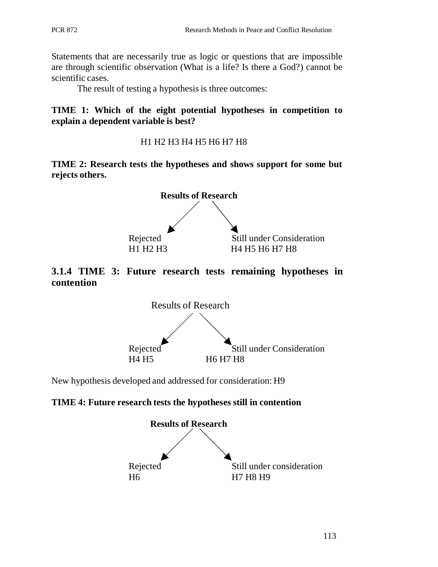Statements that are necessarily true as logic or questions that are impossible are through scientific observation (What is a life? Is there a God?) cannot be scientific cases.

The result of testing a hypothesis is three outcomes:

#### **TIME 1: Which of the eight potential hypotheses in competition to explain a dependent variable is best?**

H1 H2 H3 H4 H5 H6 H7 H8

**TIME 2: Research tests the hypotheses and shows support for some but rejects others.**



### **3.1.4 TIME 3: Future research tests remaining hypotheses in contention**



New hypothesis developed and addressed for consideration: H9

#### **TIME 4: Future research tests the hypotheses still in contention**

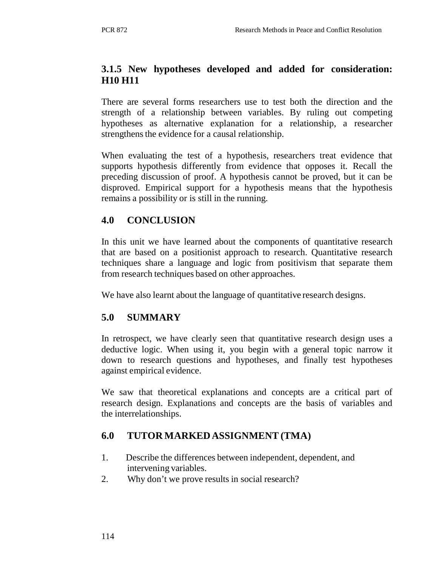#### **3.1.5 New hypotheses developed and added for consideration: H10 H11**

There are several forms researchers use to test both the direction and the strength of a relationship between variables. By ruling out competing hypotheses as alternative explanation for a relationship, a researcher strengthens the evidence for a causal relationship.

When evaluating the test of a hypothesis, researchers treat evidence that supports hypothesis differently from evidence that opposes it. Recall the preceding discussion of proof. A hypothesis cannot be proved, but it can be disproved. Empirical support for a hypothesis means that the hypothesis remains a possibility or is still in the running.

#### **4.0 CONCLUSION**

In this unit we have learned about the components of quantitative research that are based on a positionist approach to research. Quantitative research techniques share a language and logic from positivism that separate them from research techniques based on other approaches.

We have also learnt about the language of quantitative research designs.

### **5.0 SUMMARY**

In retrospect, we have clearly seen that quantitative research design uses a deductive logic. When using it, you begin with a general topic narrow it down to research questions and hypotheses, and finally test hypotheses against empirical evidence.

We saw that theoretical explanations and concepts are a critical part of research design. Explanations and concepts are the basis of variables and the interrelationships.

### **6.0 TUTOR MARKED ASSIGNMENT (TMA)**

- 1. Describe the differences between independent, dependent, and intervening variables.
- 2. Why don't we prove results in social research?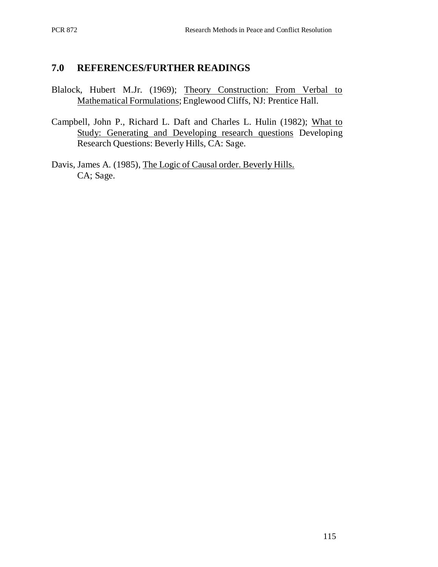# **7.0 REFERENCES/FURTHER READINGS**

- Blalock, Hubert M.Jr. (1969); Theory Construction: From Verbal to Mathematical Formulations; Englewood Cliffs, NJ: Prentice Hall.
- Campbell, John P., Richard L. Daft and Charles L. Hulin (1982); What to Study: Generating and Developing research questions Developing Research Questions: Beverly Hills, CA: Sage.
- Davis, James A. (1985), The Logic of Causal order. Beverly Hills. CA; Sage.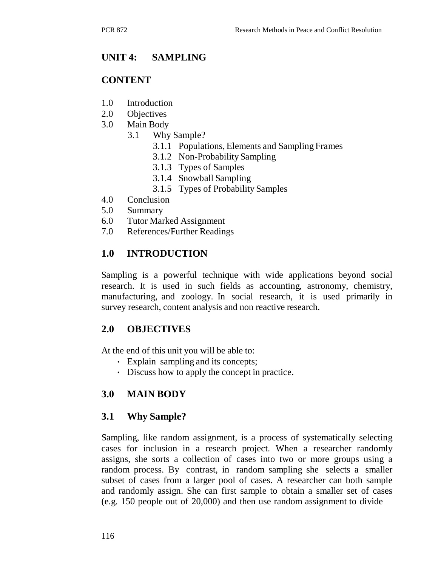## **UNIT 4: SAMPLING**

### **CONTENT**

- 1.0 Introduction
- 2.0 Objectives
- 3.0 Main Body
	- 3.1 Why Sample?
		- 3.1.1 Populations, Elements and Sampling Frames
		- 3.1.2 Non-Probability Sampling
		- 3.1.3 Types of Samples
		- 3.1.4 Snowball Sampling
		- 3.1.5 Types of Probability Samples
- 4.0 Conclusion
- 5.0 Summary
- 6.0 Tutor Marked Assignment
- 7.0 References/Further Readings

## **1.0 INTRODUCTION**

Sampling is a powerful technique with wide applications beyond social research. It is used in such fields as accounting, astronomy, chemistry, manufacturing, and zoology. In social research, it is used primarily in survey research, content analysis and non reactive research.

### **2.0 OBJECTIVES**

At the end of this unit you will be able to:

- ・ Explain sampling and its concepts;
- ・ Discuss how to apply the concept in practice.

### **3.0 MAIN BODY**

#### **3.1 Why Sample?**

Sampling, like random assignment, is a process of systematically selecting cases for inclusion in a research project. When a researcher randomly assigns, she sorts a collection of cases into two or more groups using a random process. By contrast, in random sampling she selects a smaller subset of cases from a larger pool of cases. A researcher can both sample and randomly assign. She can first sample to obtain a smaller set of cases (e.g. 150 people out of 20,000) and then use random assignment to divide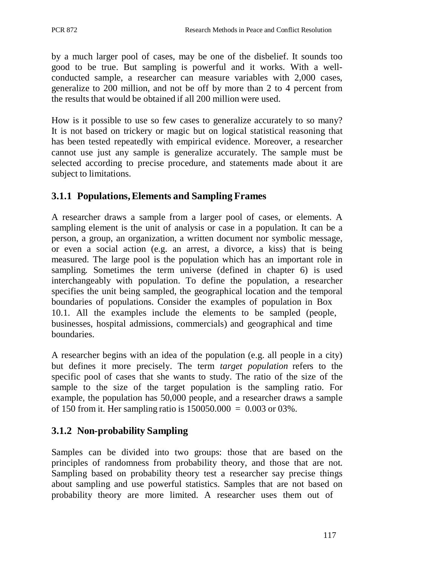by a much larger pool of cases, may be one of the disbelief. It sounds too good to be true. But sampling is powerful and it works. With a wellconducted sample, a researcher can measure variables with 2,000 cases, generalize to 200 million, and not be off by more than 2 to 4 percent from the results that would be obtained if all 200 million were used.

How is it possible to use so few cases to generalize accurately to so many? It is not based on trickery or magic but on logical statistical reasoning that has been tested repeatedly with empirical evidence. Moreover, a researcher cannot use just any sample is generalize accurately. The sample must be selected according to precise procedure, and statements made about it are subject to limitations.

#### **3.1.1 Populations, Elements and Sampling Frames**

A researcher draws a sample from a larger pool of cases, or elements. A sampling element is the unit of analysis or case in a population. It can be a person, a group, an organization, a written document nor symbolic message, or even a social action (e.g. an arrest, a divorce, a kiss) that is being measured. The large pool is the population which has an important role in sampling. Sometimes the term universe (defined in chapter 6) is used interchangeably with population. To define the population, a researcher specifies the unit being sampled, the geographical location and the temporal boundaries of populations. Consider the examples of population in Box 10.1. All the examples include the elements to be sampled (people, businesses, hospital admissions, commercials) and geographical and time boundaries.

A researcher begins with an idea of the population (e.g. all people in a city) but defines it more precisely. The term *target population* refers to the specific pool of cases that she wants to study. The ratio of the size of the sample to the size of the target population is the sampling ratio. For example, the population has 50,000 people, and a researcher draws a sample of 150 from it. Her sampling ratio is  $150050.000 = 0.003$  or 03%.

#### **3.1.2 Non-probability Sampling**

Samples can be divided into two groups: those that are based on the principles of randomness from probability theory, and those that are not. Sampling based on probability theory test a researcher say precise things about sampling and use powerful statistics. Samples that are not based on probability theory are more limited. A researcher uses them out of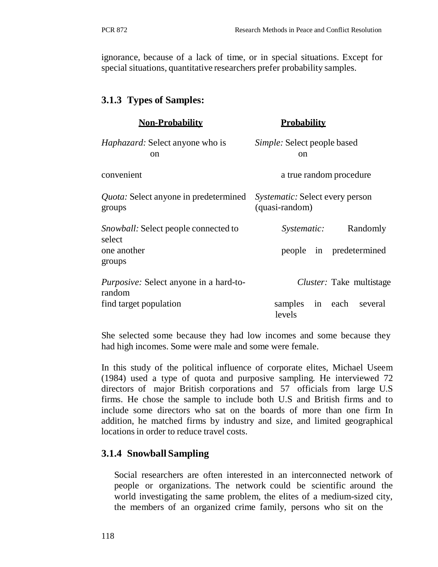ignorance, because of a lack of time, or in special situations. Except for special situations, quantitative researchers prefer probability samples.

#### **3.1.3 Types of Samples:**

| <b>Non-Probability</b>                                  | Probability                                         |
|---------------------------------------------------------|-----------------------------------------------------|
| <i>Haphazard:</i> Select anyone who is<br><sub>on</sub> | <i>Simple:</i> Select people based<br><sub>on</sub> |
| convenient                                              | a true random procedure                             |
| <i>Quota:</i> Select anyone in predetermined<br>groups  | Systematic: Select every person<br>(quasi-random)   |
| Snowball: Select people connected to<br>select          | Randomly<br>Systematic:                             |
| one another<br>groups                                   | people in predetermined                             |
| <i>Purposive:</i> Select anyone in a hard-to-<br>random | <i>Cluster:</i> Take multistage                     |
| find target population                                  | in each<br>samples<br>several<br>levels             |

She selected some because they had low incomes and some because they had high incomes. Some were male and some were female.

In this study of the political influence of corporate elites, Michael Useem (1984) used a type of quota and purposive sampling. He interviewed 72 directors of major British corporations and 57 officials from large U.S firms. He chose the sample to include both U.S and British firms and to include some directors who sat on the boards of more than one firm In addition, he matched firms by industry and size, and limited geographical locations in order to reduce travel costs.

### **3.1.4 Snowball Sampling**

Social researchers are often interested in an interconnected network of people or organizations. The network could be scientific around the world investigating the same problem, the elites of a medium-sized city, the members of an organized crime family, persons who sit on the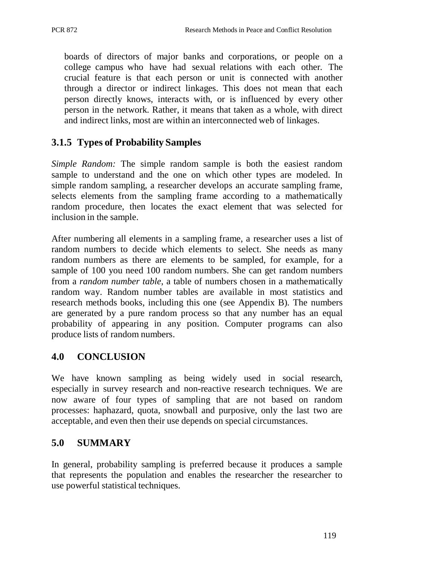boards of directors of major banks and corporations, or people on a college campus who have had sexual relations with each other. The crucial feature is that each person or unit is connected with another through a director or indirect linkages. This does not mean that each person directly knows, interacts with, or is influenced by every other person in the network. Rather, it means that taken as a whole, with direct and indirect links, most are within an interconnected web of linkages.

#### **3.1.5 Types of Probability Samples**

*Simple Random:* The simple random sample is both the easiest random sample to understand and the one on which other types are modeled. In simple random sampling, a researcher develops an accurate sampling frame, selects elements from the sampling frame according to a mathematically random procedure, then locates the exact element that was selected for inclusion in the sample.

After numbering all elements in a sampling frame, a researcher uses a list of random numbers to decide which elements to select. She needs as many random numbers as there are elements to be sampled, for example, for a sample of 100 you need 100 random numbers. She can get random numbers from a *random number table*, a table of numbers chosen in a mathematically random way. Random number tables are available in most statistics and research methods books, including this one (see Appendix B). The numbers are generated by a pure random process so that any number has an equal probability of appearing in any position. Computer programs can also produce lists of random numbers.

#### **4.0 CONCLUSION**

We have known sampling as being widely used in social research, especially in survey research and non-reactive research techniques. We are now aware of four types of sampling that are not based on random processes: haphazard, quota, snowball and purposive, only the last two are acceptable, and even then their use depends on special circumstances.

#### **5.0 SUMMARY**

In general, probability sampling is preferred because it produces a sample that represents the population and enables the researcher the researcher to use powerful statistical techniques.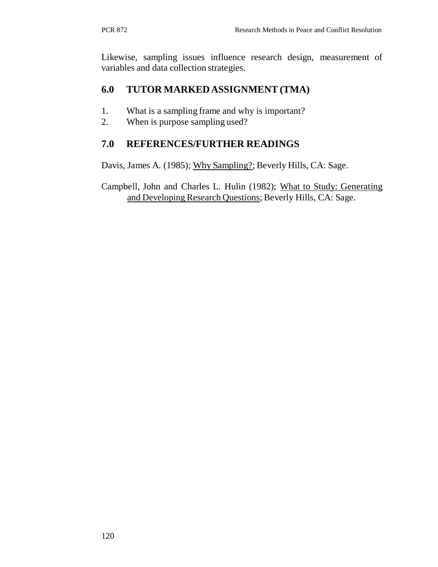Likewise, sampling issues influence research design, measurement of variables and data collection strategies.

## **6.0 TUTOR MARKED ASSIGNMENT (TMA)**

- 1. What is a sampling frame and why is important?
- 2. When is purpose sampling used?

## **7.0 REFERENCES/FURTHER READINGS**

Davis, James A. (1985); Why Sampling?; Beverly Hills, CA: Sage.

Campbell, John and Charles L. Hulin (1982); What to Study: Generating and Developing Research Questions; Beverly Hills, CA: Sage.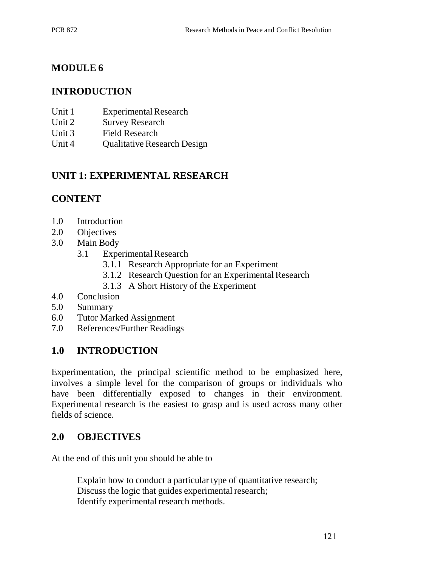### **MODULE 6**

#### **INTRODUCTION**

- Unit 1 Experimental Research
- Unit 2 Survey Research
- Unit 3 Field Research
- Unit 4 Qualitative Research Design

#### **UNIT 1: EXPERIMENTAL RESEARCH**

#### **CONTENT**

- 1.0 Introduction
- 2.0 Objectives
- 3.0 Main Body
	- 3.1 Experimental Research
		- 3.1.1 Research Appropriate for an Experiment
		- 3.1.2 Research Question for an Experimental Research
		- 3.1.3 A Short History of the Experiment
- 4.0 Conclusion
- 5.0 Summary
- 6.0 Tutor Marked Assignment
- 7.0 References/Further Readings

#### **1.0 INTRODUCTION**

Experimentation, the principal scientific method to be emphasized here, involves a simple level for the comparison of groups or individuals who have been differentially exposed to changes in their environment. Experimental research is the easiest to grasp and is used across many other fields of science.

#### **2.0 OBJECTIVES**

At the end of this unit you should be able to

Explain how to conduct a particular type of quantitative research; Discuss the logic that guides experimental research; Identify experimental research methods.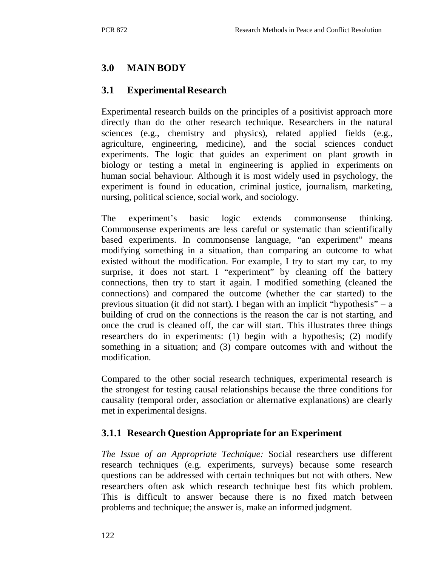## **3.0 MAIN BODY**

### **3.1 Experimental Research**

Experimental research builds on the principles of a positivist approach more directly than do the other research technique. Researchers in the natural sciences (e.g., chemistry and physics), related applied fields (e.g., agriculture, engineering, medicine), and the social sciences conduct experiments. The logic that guides an experiment on plant growth in biology or testing a metal in engineering is applied in experiments on human social behaviour. Although it is most widely used in psychology, the experiment is found in education, criminal justice, journalism, marketing, nursing, political science, social work, and sociology.

The experiment's basic logic extends commonsense thinking. Commonsense experiments are less careful or systematic than scientifically based experiments. In commonsense language, "an experiment" means modifying something in a situation, than comparing an outcome to what existed without the modification. For example, I try to start my car, to my surprise, it does not start. I "experiment" by cleaning off the battery connections, then try to start it again. I modified something (cleaned the connections) and compared the outcome (whether the car started) to the previous situation (it did not start). I began with an implicit "hypothesis" – a building of crud on the connections is the reason the car is not starting, and once the crud is cleaned off, the car will start. This illustrates three things researchers do in experiments: (1) begin with a hypothesis; (2) modify something in a situation; and (3) compare outcomes with and without the modification.

Compared to the other social research techniques, experimental research is the strongest for testing causal relationships because the three conditions for causality (temporal order, association or alternative explanations) are clearly met in experimental designs.

### **3.1.1 Research Question Appropriate for an Experiment**

*The Issue of an Appropriate Technique:* Social researchers use different research techniques (e.g. experiments, surveys) because some research questions can be addressed with certain techniques but not with others. New researchers often ask which research technique best fits which problem. This is difficult to answer because there is no fixed match between problems and technique; the answer is, make an informed judgment.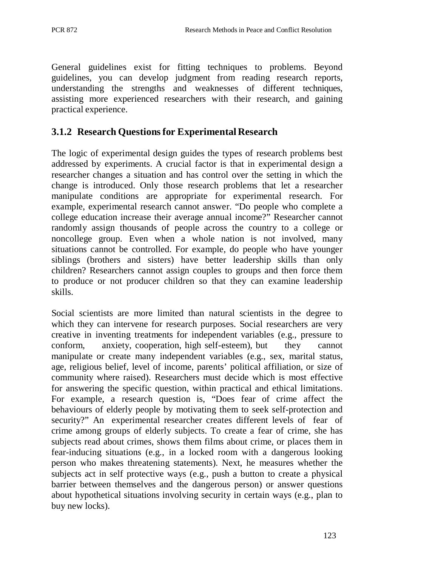General guidelines exist for fitting techniques to problems. Beyond guidelines, you can develop judgment from reading research reports, understanding the strengths and weaknesses of different techniques, assisting more experienced researchers with their research, and gaining practical experience.

#### **3.1.2 Research Questions for Experimental Research**

The logic of experimental design guides the types of research problems best addressed by experiments. A crucial factor is that in experimental design a researcher changes a situation and has control over the setting in which the change is introduced. Only those research problems that let a researcher manipulate conditions are appropriate for experimental research. For example, experimental research cannot answer. "Do people who complete a college education increase their average annual income?" Researcher cannot randomly assign thousands of people across the country to a college or noncollege group. Even when a whole nation is not involved, many situations cannot be controlled. For example, do people who have younger siblings (brothers and sisters) have better leadership skills than only children? Researchers cannot assign couples to groups and then force them to produce or not producer children so that they can examine leadership skills.

Social scientists are more limited than natural scientists in the degree to which they can intervene for research purposes. Social researchers are very creative in inventing treatments for independent variables (e.g., pressure to conform, anxiety, cooperation, high self-esteem), but they cannot manipulate or create many independent variables (e.g., sex, marital status, age, religious belief, level of income, parents' political affiliation, or size of community where raised). Researchers must decide which is most effective for answering the specific question, within practical and ethical limitations. For example, a research question is, "Does fear of crime affect the behaviours of elderly people by motivating them to seek self-protection and security?" An experimental researcher creates different levels of fear of crime among groups of elderly subjects. To create a fear of crime, she has subjects read about crimes, shows them films about crime, or places them in fear-inducing situations (e.g., in a locked room with a dangerous looking person who makes threatening statements). Next, he measures whether the subjects act in self protective ways (e.g., push a button to create a physical barrier between themselves and the dangerous person) or answer questions about hypothetical situations involving security in certain ways (e.g., plan to buy new locks).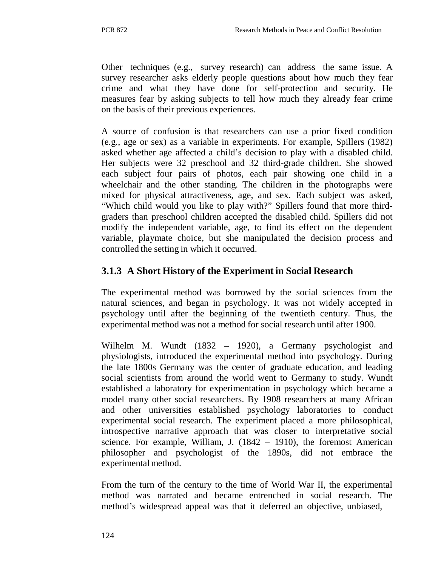Other techniques (e.g., survey research) can address the same issue. A survey researcher asks elderly people questions about how much they fear crime and what they have done for self-protection and security. He measures fear by asking subjects to tell how much they already fear crime on the basis of their previous experiences.

A source of confusion is that researchers can use a prior fixed condition (e.g., age or sex) as a variable in experiments. For example, Spillers (1982) asked whether age affected a child's decision to play with a disabled child. Her subjects were 32 preschool and 32 third-grade children. She showed each subject four pairs of photos, each pair showing one child in a wheelchair and the other standing. The children in the photographs were mixed for physical attractiveness, age, and sex. Each subject was asked, "Which child would you like to play with?" Spillers found that more thirdgraders than preschool children accepted the disabled child. Spillers did not modify the independent variable, age, to find its effect on the dependent variable, playmate choice, but she manipulated the decision process and controlled the setting in which it occurred.

### **3.1.3 A Short History of the Experiment in Social Research**

The experimental method was borrowed by the social sciences from the natural sciences, and began in psychology. It was not widely accepted in psychology until after the beginning of the twentieth century. Thus, the experimental method was not a method for social research until after 1900.

Wilhelm M. Wundt (1832 – 1920), a Germany psychologist and physiologists, introduced the experimental method into psychology. During the late 1800s Germany was the center of graduate education, and leading social scientists from around the world went to Germany to study. Wundt established a laboratory for experimentation in psychology which became a model many other social researchers. By 1908 researchers at many African and other universities established psychology laboratories to conduct experimental social research. The experiment placed a more philosophical, introspective narrative approach that was closer to interpretative social science. For example, William, J.  $(1842 - 1910)$ , the foremost American philosopher and psychologist of the 1890s, did not embrace the experimental method.

From the turn of the century to the time of World War II, the experimental method was narrated and became entrenched in social research. The method's widespread appeal was that it deferred an objective, unbiased,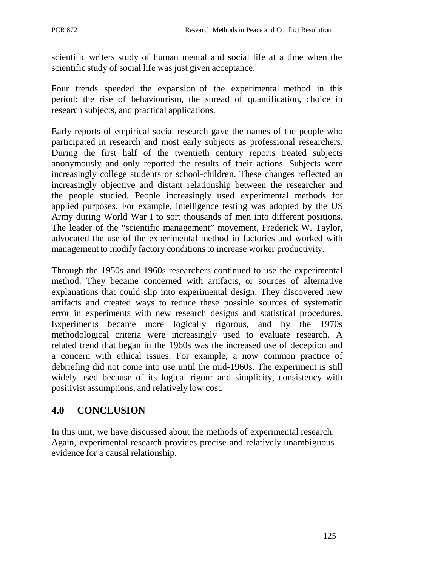scientific writers study of human mental and social life at a time when the scientific study of social life was just given acceptance.

Four trends speeded the expansion of the experimental method in this period: the rise of behaviourism, the spread of quantification, choice in research subjects, and practical applications.

Early reports of empirical social research gave the names of the people who participated in research and most early subjects as professional researchers. During the first half of the twentieth century reports treated subjects anonymously and only reported the results of their actions. Subjects were increasingly college students or school-children. These changes reflected an increasingly objective and distant relationship between the researcher and the people studied. People increasingly used experimental methods for applied purposes. For example, intelligence testing was adopted by the US Army during World War I to sort thousands of men into different positions. The leader of the "scientific management" movement, Frederick W. Taylor, advocated the use of the experimental method in factories and worked with management to modify factory conditions to increase worker productivity.

Through the 1950s and 1960s researchers continued to use the experimental method. They became concerned with artifacts, or sources of alternative explanations that could slip into experimental design. They discovered new artifacts and created ways to reduce these possible sources of systematic error in experiments with new research designs and statistical procedures. Experiments became more logically rigorous, and by the 1970s methodological criteria were increasingly used to evaluate research. A related trend that began in the 1960s was the increased use of deception and a concern with ethical issues. For example, a now common practice of debriefing did not come into use until the mid-1960s. The experiment is still widely used because of its logical rigour and simplicity, consistency with positivist assumptions, and relatively low cost.

### **4.0 CONCLUSION**

In this unit, we have discussed about the methods of experimental research. Again, experimental research provides precise and relatively unambiguous evidence for a causal relationship.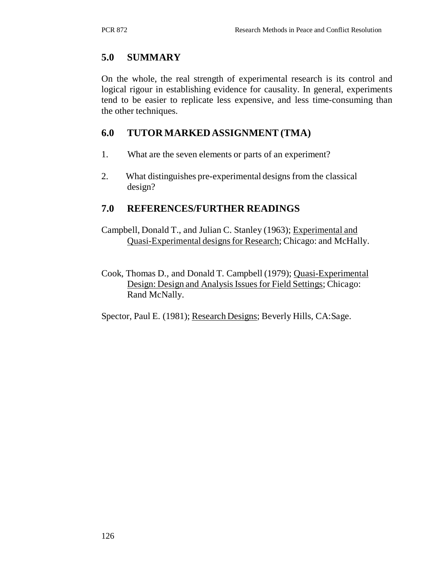### **5.0 SUMMARY**

On the whole, the real strength of experimental research is its control and logical rigour in establishing evidence for causality. In general, experiments tend to be easier to replicate less expensive, and less time-consuming than the other techniques.

# **6.0 TUTOR MARKED ASSIGNMENT (TMA)**

- 1. What are the seven elements or parts of an experiment?
- 2. What distinguishes pre-experimental designs from the classical design?

## **7.0 REFERENCES/FURTHER READINGS**

- Campbell, Donald T., and Julian C. Stanley (1963); Experimental and Quasi-Experimental designs for Research; Chicago: and McHally.
- Cook, Thomas D., and Donald T. Campbell (1979); Quasi-Experimental Design: Design and Analysis Issues for Field Settings; Chicago: Rand McNally.

Spector, Paul E. (1981); Research Designs; Beverly Hills, CA:Sage.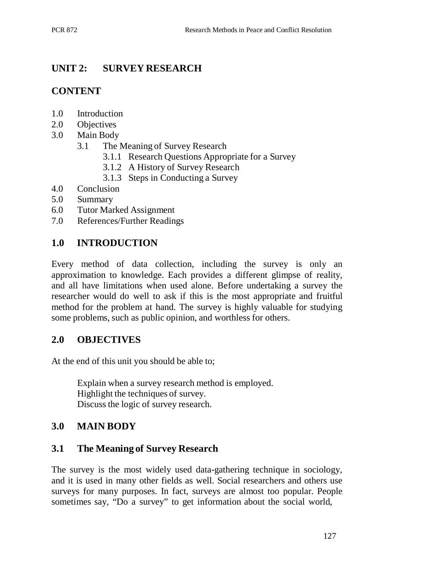# **UNIT 2: SURVEY RESEARCH**

# **CONTENT**

- 1.0 Introduction
- 2.0 Objectives
- 3.0 Main Body
	- 3.1 The Meaning of Survey Research
		- 3.1.1 Research Questions Appropriate for a Survey
		- 3.1.2 A History of Survey Research
		- 3.1.3 Steps in Conducting a Survey
- 4.0 Conclusion
- 5.0 Summary
- 6.0 Tutor Marked Assignment
- 7.0 References/Further Readings

# **1.0 INTRODUCTION**

Every method of data collection, including the survey is only an approximation to knowledge. Each provides a different glimpse of reality, and all have limitations when used alone. Before undertaking a survey the researcher would do well to ask if this is the most appropriate and fruitful method for the problem at hand. The survey is highly valuable for studying some problems, such as public opinion, and worthless for others.

# **2.0 OBJECTIVES**

At the end of this unit you should be able to;

Explain when a survey research method is employed. Highlight the techniques of survey. Discuss the logic of survey research.

# **3.0 MAIN BODY**

# **3.1 The Meaning of Survey Research**

The survey is the most widely used data-gathering technique in sociology, and it is used in many other fields as well. Social researchers and others use surveys for many purposes. In fact, surveys are almost too popular. People sometimes say, "Do a survey" to get information about the social world,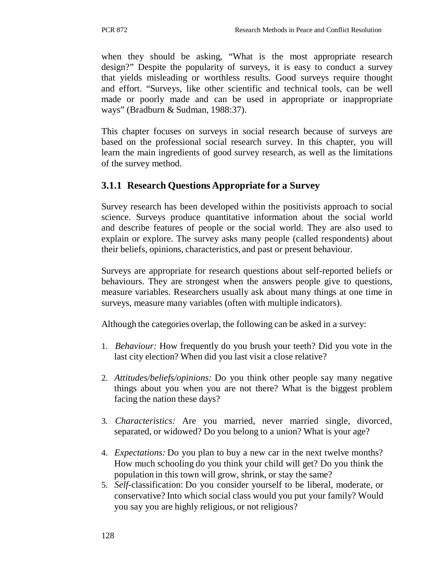when they should be asking, "What is the most appropriate research design?" Despite the popularity of surveys, it is easy to conduct a survey that yields misleading or worthless results. Good surveys require thought and effort. "Surveys, like other scientific and technical tools, can be well made or poorly made and can be used in appropriate or inappropriate ways" (Bradburn & Sudman, 1988:37).

This chapter focuses on surveys in social research because of surveys are based on the professional social research survey. In this chapter, you will learn the main ingredients of good survey research, as well as the limitations of the survey method.

## **3.1.1 Research Questions Appropriate for a Survey**

Survey research has been developed within the positivists approach to social science. Surveys produce quantitative information about the social world and describe features of people or the social world. They are also used to explain or explore. The survey asks many people (called respondents) about their beliefs, opinions, characteristics, and past or present behaviour.

Surveys are appropriate for research questions about self-reported beliefs or behaviours. They are strongest when the answers people give to questions, measure variables. Researchers usually ask about many things at one time in surveys, measure many variables (often with multiple indicators).

Although the categories overlap, the following can be asked in a survey:

- 1. *Behaviour:* How frequently do you brush your teeth? Did you vote in the last city election? When did you last visit a close relative?
- 2. *Attitudes/beliefs/opinions:* Do you think other people say many negative things about you when you are not there? What is the biggest problem facing the nation these days?
- 3. *Characteristics:* Are you married, never married single, divorced, separated, or widowed? Do you belong to a union? What is your age?
- 4. *Expectations:* Do you plan to buy a new car in the next twelve months? How much schooling do you think your child will get? Do you think the population in this town will grow, shrink, or stay the same?
- 5. *Self-*classification: Do you consider yourself to be liberal, moderate, or conservative? Into which social class would you put your family? Would you say you are highly religious, or not religious?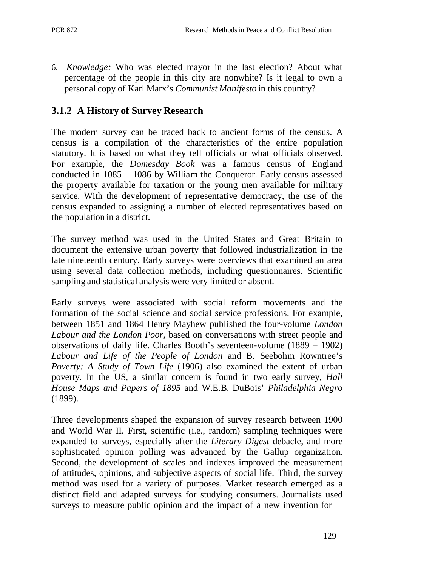6. *Knowledge:* Who was elected mayor in the last election? About what percentage of the people in this city are nonwhite? Is it legal to own a personal copy of Karl Marx's *Communist Manifesto* in this country?

#### **3.1.2 A History of Survey Research**

The modern survey can be traced back to ancient forms of the census. A census is a compilation of the characteristics of the entire population statutory. It is based on what they tell officials or what officials observed. For example, the *Domesday Book* was a famous census of England conducted in 1085 – 1086 by William the Conqueror. Early census assessed the property available for taxation or the young men available for military service. With the development of representative democracy, the use of the census expanded to assigning a number of elected representatives based on the population in a district.

The survey method was used in the United States and Great Britain to document the extensive urban poverty that followed industrialization in the late nineteenth century. Early surveys were overviews that examined an area using several data collection methods, including questionnaires. Scientific sampling and statistical analysis were very limited or absent.

Early surveys were associated with social reform movements and the formation of the social science and social service professions. For example, between 1851 and 1864 Henry Mayhew published the four-volume *London Labour and the London Poor,* based on conversations with street people and observations of daily life. Charles Booth's seventeen-volume (1889 – 1902) *Labour and Life of the People of London* and B. Seebohm Rowntree's *Poverty: A Study of Town Life* (1906) also examined the extent of urban poverty. In the US, a similar concern is found in two early survey, *Hall House Maps and Papers of 1895* and W.E.B. DuBois' *Philadelphia Negro*  (1899).

Three developments shaped the expansion of survey research between 1900 and World War II. First, scientific (i.e., random) sampling techniques were expanded to surveys, especially after the *Literary Digest* debacle, and more sophisticated opinion polling was advanced by the Gallup organization. Second, the development of scales and indexes improved the measurement of attitudes, opinions, and subjective aspects of social life. Third, the survey method was used for a variety of purposes. Market research emerged as a distinct field and adapted surveys for studying consumers. Journalists used surveys to measure public opinion and the impact of a new invention for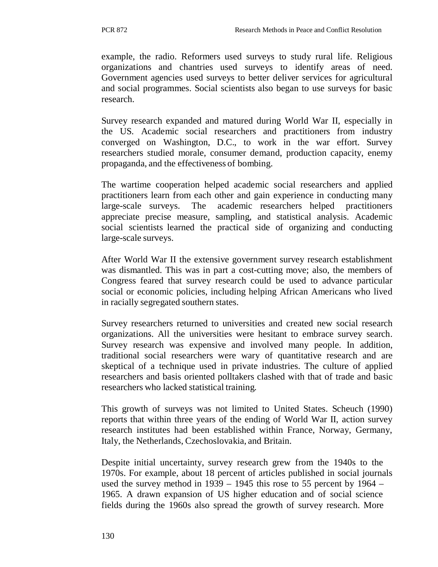example, the radio. Reformers used surveys to study rural life. Religious organizations and chantries used surveys to identify areas of need. Government agencies used surveys to better deliver services for agricultural and social programmes. Social scientists also began to use surveys for basic research.

Survey research expanded and matured during World War II, especially in the US. Academic social researchers and practitioners from industry converged on Washington, D.C., to work in the war effort. Survey researchers studied morale, consumer demand, production capacity, enemy propaganda, and the effectiveness of bombing.

The wartime cooperation helped academic social researchers and applied practitioners learn from each other and gain experience in conducting many large-scale surveys. The academic researchers helped practitioners appreciate precise measure, sampling, and statistical analysis. Academic social scientists learned the practical side of organizing and conducting large-scale surveys.

After World War II the extensive government survey research establishment was dismantled. This was in part a cost-cutting move; also, the members of Congress feared that survey research could be used to advance particular social or economic policies, including helping African Americans who lived in racially segregated southern states.

Survey researchers returned to universities and created new social research organizations. All the universities were hesitant to embrace survey search. Survey research was expensive and involved many people. In addition, traditional social researchers were wary of quantitative research and are skeptical of a technique used in private industries. The culture of applied researchers and basis oriented polltakers clashed with that of trade and basic researchers who lacked statistical training.

This growth of surveys was not limited to United States. Scheuch (1990) reports that within three years of the ending of World War II, action survey research institutes had been established within France, Norway, Germany, Italy, the Netherlands, Czechoslovakia, and Britain.

Despite initial uncertainty, survey research grew from the 1940s to the 1970s. For example, about 18 percent of articles published in social journals used the survey method in 1939 – 1945 this rose to 55 percent by 1964 – 1965. A drawn expansion of US higher education and of social science fields during the 1960s also spread the growth of survey research. More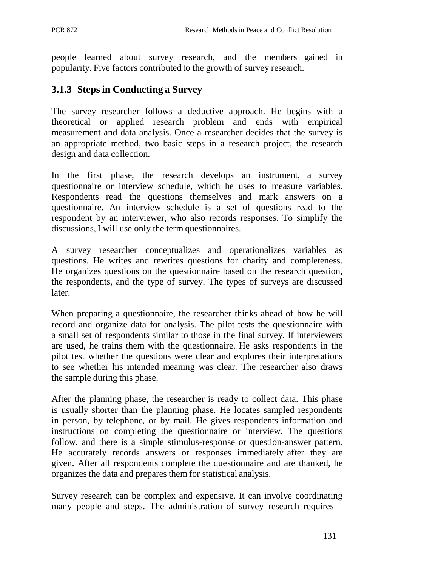people learned about survey research, and the members gained in popularity. Five factors contributed to the growth of survey research.

### **3.1.3 Steps in Conducting a Survey**

The survey researcher follows a deductive approach. He begins with a theoretical or applied research problem and ends with empirical measurement and data analysis. Once a researcher decides that the survey is an appropriate method, two basic steps in a research project, the research design and data collection.

In the first phase, the research develops an instrument, a survey questionnaire or interview schedule, which he uses to measure variables. Respondents read the questions themselves and mark answers on a questionnaire. An interview schedule is a set of questions read to the respondent by an interviewer, who also records responses. To simplify the discussions, I will use only the term questionnaires.

A survey researcher conceptualizes and operationalizes variables as questions. He writes and rewrites questions for charity and completeness. He organizes questions on the questionnaire based on the research question, the respondents, and the type of survey. The types of surveys are discussed later.

When preparing a questionnaire, the researcher thinks ahead of how he will record and organize data for analysis. The pilot tests the questionnaire with a small set of respondents similar to those in the final survey. If interviewers are used, he trains them with the questionnaire. He asks respondents in the pilot test whether the questions were clear and explores their interpretations to see whether his intended meaning was clear. The researcher also draws the sample during this phase.

After the planning phase, the researcher is ready to collect data. This phase is usually shorter than the planning phase. He locates sampled respondents in person, by telephone, or by mail. He gives respondents information and instructions on completing the questionnaire or interview. The questions follow, and there is a simple stimulus-response or question-answer pattern. He accurately records answers or responses immediately after they are given. After all respondents complete the questionnaire and are thanked, he organizes the data and prepares them for statistical analysis.

Survey research can be complex and expensive. It can involve coordinating many people and steps. The administration of survey research requires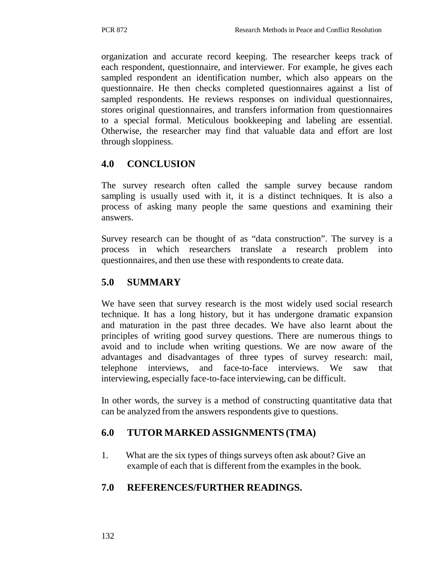organization and accurate record keeping. The researcher keeps track of each respondent, questionnaire, and interviewer. For example, he gives each sampled respondent an identification number, which also appears on the questionnaire. He then checks completed questionnaires against a list of sampled respondents. He reviews responses on individual questionnaires, stores original questionnaires, and transfers information from questionnaires to a special formal. Meticulous bookkeeping and labeling are essential. Otherwise, the researcher may find that valuable data and effort are lost through sloppiness.

## **4.0 CONCLUSION**

The survey research often called the sample survey because random sampling is usually used with it, it is a distinct techniques. It is also a process of asking many people the same questions and examining their answers.

Survey research can be thought of as "data construction". The survey is a process in which researchers translate a research problem into questionnaires, and then use these with respondents to create data.

# **5.0 SUMMARY**

We have seen that survey research is the most widely used social research technique. It has a long history, but it has undergone dramatic expansion and maturation in the past three decades. We have also learnt about the principles of writing good survey questions. There are numerous things to avoid and to include when writing questions. We are now aware of the advantages and disadvantages of three types of survey research: mail, telephone interviews, and face-to-face interviews. We saw that interviewing, especially face-to-face interviewing, can be difficult.

In other words, the survey is a method of constructing quantitative data that can be analyzed from the answers respondents give to questions.

# **6.0 TUTOR MARKED ASSIGNMENTS (TMA)**

1. What are the six types of things surveys often ask about? Give an example of each that is different from the examples in the book.

## **7.0 REFERENCES/FURTHER READINGS.**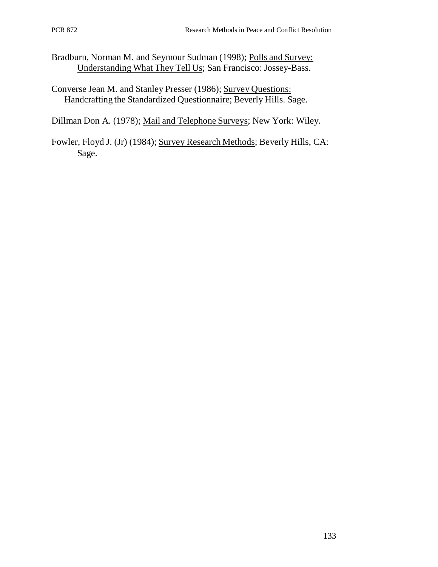- Bradburn, Norman M. and Seymour Sudman (1998); Polls and Survey: Understanding What They Tell Us; San Francisco: Jossey-Bass.
- Converse Jean M. and Stanley Presser (1986); Survey Questions: Handcrafting the Standardized Questionnaire; Beverly Hills. Sage.

Dillman Don A. (1978); Mail and Telephone Surveys; New York: Wiley.

Fowler, Floyd J. (Jr) (1984); Survey Research Methods; Beverly Hills, CA: Sage.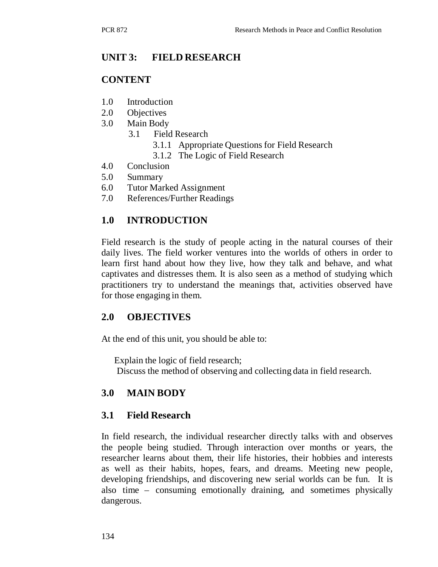# **UNIT 3: FIELD RESEARCH**

## **CONTENT**

- 1.0 Introduction
- 2.0 Objectives
- 3.0 Main Body
	- 3.1 Field Research
		- 3.1.1 Appropriate Questions for Field Research
		- 3.1.2 The Logic of Field Research
- 4.0 Conclusion
- 5.0 Summary
- 6.0 Tutor Marked Assignment
- 7.0 References/Further Readings

## **1.0 INTRODUCTION**

Field research is the study of people acting in the natural courses of their daily lives. The field worker ventures into the worlds of others in order to learn first hand about how they live, how they talk and behave, and what captivates and distresses them. It is also seen as a method of studying which practitioners try to understand the meanings that, activities observed have for those engaging in them.

## **2.0 OBJECTIVES**

At the end of this unit, you should be able to:

Explain the logic of field research;

Discuss the method of observing and collecting data in field research.

# **3.0 MAIN BODY**

#### **3.1 Field Research**

In field research, the individual researcher directly talks with and observes the people being studied. Through interaction over months or years, the researcher learns about them, their life histories, their hobbies and interests as well as their habits, hopes, fears, and dreams. Meeting new people, developing friendships, and discovering new serial worlds can be fun. It is also time – consuming emotionally draining, and sometimes physically dangerous.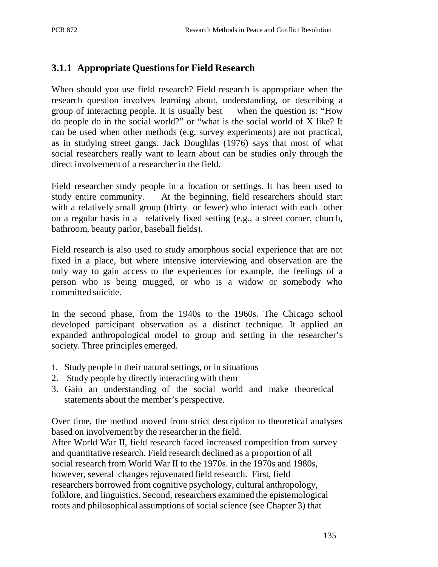## **3.1.1 Appropriate Questions for Field Research**

When should you use field research? Field research is appropriate when the research question involves learning about, understanding, or describing a group of interacting people. It is usually best when the question is: "How do people do in the social world?" or "what is the social world of X like? It can be used when other methods (e.g, survey experiments) are not practical, as in studying street gangs. Jack Doughlas (1976) says that most of what social researchers really want to learn about can be studies only through the direct involvement of a researcher in the field.

Field researcher study people in a location or settings. It has been used to study entire community. At the beginning, field researchers should start with a relatively small group (thirty or fewer) who interact with each other on a regular basis in a relatively fixed setting (e.g., a street corner, church, bathroom, beauty parlor, baseball fields).

Field research is also used to study amorphous social experience that are not fixed in a place, but where intensive interviewing and observation are the only way to gain access to the experiences for example, the feelings of a person who is being mugged, or who is a widow or somebody who committed suicide.

In the second phase, from the 1940s to the 1960s. The Chicago school developed participant observation as a distinct technique. It applied an expanded anthropological model to group and setting in the researcher's society. Three principles emerged.

- 1. Study people in their natural settings, or in situations
- 2. Study people by directly interacting with them
- 3. Gain an understanding of the social world and make theoretical statements about the member's perspective.

Over time, the method moved from strict description to theoretical analyses based on involvement by the researcher in the field.

After World War II, field research faced increased competition from survey and quantitative research. Field research declined as a proportion of all social research from World War II to the 1970s. in the 1970s and 1980s, however, several changes rejuvenated field research. First, field researchers borrowed from cognitive psychology, cultural anthropology, folklore, and linguistics. Second, researchers examined the epistemological roots and philosophical assumptions of social science (see Chapter 3) that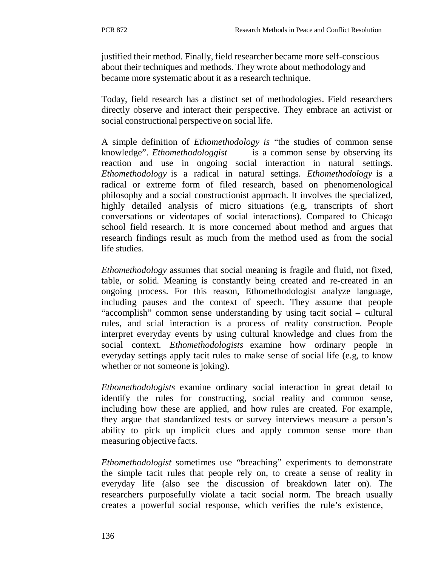justified their method. Finally, field researcher became more self-conscious about their techniques and methods. They wrote about methodology and became more systematic about it as a research technique.

Today, field research has a distinct set of methodologies. Field researchers directly observe and interact their perspective. They embrace an activist or social constructional perspective on social life.

A simple definition of *Ethomethodology is* "the studies of common sense knowledge". *Ethomethodologgist* is a common sense by observing its reaction and use in ongoing social interaction in natural settings. *Ethomethodology* is a radical in natural settings. *Ethomethodology* is a radical or extreme form of filed research, based on phenomenological philosophy and a social constructionist approach. It involves the specialized, highly detailed analysis of micro situations (e.g, transcripts of short conversations or videotapes of social interactions). Compared to Chicago school field research. It is more concerned about method and argues that research findings result as much from the method used as from the social life studies.

*Ethomethodology* assumes that social meaning is fragile and fluid, not fixed, table, or solid. Meaning is constantly being created and re-created in an ongoing process. For this reason, Ethomethodologist analyze language, including pauses and the context of speech. They assume that people "accomplish" common sense understanding by using tacit social – cultural rules, and scial interaction is a process of reality construction. People interpret everyday events by using cultural knowledge and clues from the social context. *Ethomethodologists* examine how ordinary people in everyday settings apply tacit rules to make sense of social life (e.g, to know whether or not someone is joking).

*Ethomethodologists* examine ordinary social interaction in great detail to identify the rules for constructing, social reality and common sense, including how these are applied, and how rules are created. For example, they argue that standardized tests or survey interviews measure a person's ability to pick up implicit clues and apply common sense more than measuring objective facts.

*Ethomethodologist* sometimes use "breaching" experiments to demonstrate the simple tacit rules that people rely on, to create a sense of reality in everyday life (also see the discussion of breakdown later on). The researchers purposefully violate a tacit social norm. The breach usually creates a powerful social response, which verifies the rule's existence,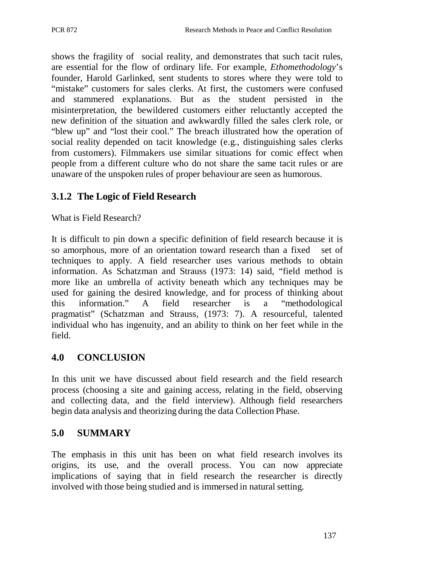shows the fragility of social reality, and demonstrates that such tacit rules, are essential for the flow of ordinary life. For example, *Ethomethodology*'s founder, Harold Garlinked, sent students to stores where they were told to "mistake" customers for sales clerks. At first, the customers were confused and stammered explanations. But as the student persisted in the misinterpretation, the bewildered customers either reluctantly accepted the new definition of the situation and awkwardly filled the sales clerk role, or "blew up" and "lost their cool." The breach illustrated how the operation of social reality depended on tacit knowledge (e.g., distinguishing sales clerks from customers). Filmmakers use similar situations for comic effect when people from a different culture who do not share the same tacit rules or are unaware of the unspoken rules of proper behaviour are seen as humorous.

# **3.1.2 The Logic of Field Research**

What is Field Research?

It is difficult to pin down a specific definition of field research because it is so amorphous, more of an orientation toward research than a fixed set of techniques to apply. A field researcher uses various methods to obtain information. As Schatzman and Strauss (1973: 14) said, "field method is more like an umbrella of activity beneath which any techniques may be used for gaining the desired knowledge, and for process of thinking about this information." A field researcher is a "methodological pragmatist" (Schatzman and Strauss, (1973: 7). A resourceful, talented individual who has ingenuity, and an ability to think on her feet while in the field.

# **4.0 CONCLUSION**

In this unit we have discussed about field research and the field research process (choosing a site and gaining access, relating in the field, observing and collecting data, and the field interview). Although field researchers begin data analysis and theorizing during the data Collection Phase.

## **5.0 SUMMARY**

The emphasis in this unit has been on what field research involves its origins, its use, and the overall process. You can now appreciate implications of saying that in field research the researcher is directly involved with those being studied and is immersed in natural setting.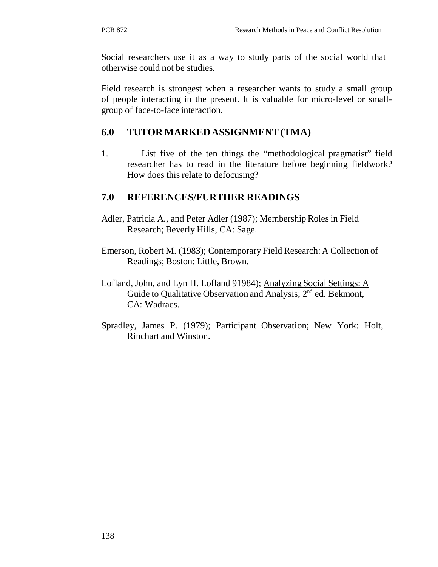Social researchers use it as a way to study parts of the social world that otherwise could not be studies.

Field research is strongest when a researcher wants to study a small group of people interacting in the present. It is valuable for micro-level or smallgroup of face-to-face interaction.

## **6.0 TUTOR MARKED ASSIGNMENT (TMA)**

1. List five of the ten things the "methodological pragmatist" field researcher has to read in the literature before beginning fieldwork? How does this relate to defocusing?

## **7.0 REFERENCES/FURTHER READINGS**

- Adler, Patricia A., and Peter Adler (1987); Membership Roles in Field Research; Beverly Hills, CA: Sage.
- Emerson, Robert M. (1983); Contemporary Field Research: A Collection of Readings; Boston: Little, Brown.
- Lofland, John, and Lyn H. Lofland 91984); Analyzing Social Settings: A Guide to Qualitative Observation and Analysis;  $2<sup>nd</sup>$  ed. Bekmont, CA: Wadracs.
- Spradley, James P. (1979); Participant Observation; New York: Holt, Rinchart and Winston.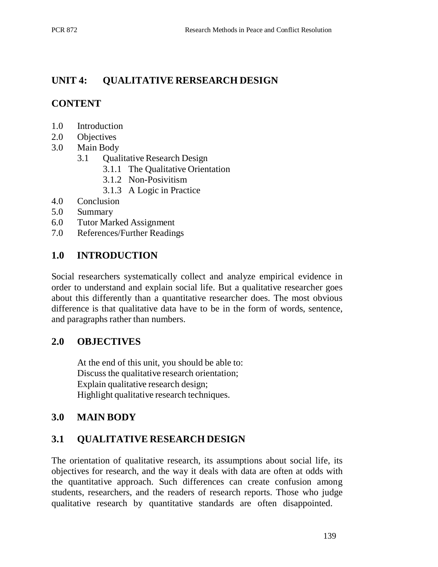# **UNIT 4: QUALITATIVE RERSEARCH DESIGN**

## **CONTENT**

- 1.0 Introduction
- 2.0 Objectives
- 3.0 Main Body
	- 3.1 Qualitative Research Design
		- 3.1.1 The Qualitative Orientation
		- 3.1.2 Non-Posivitism
		- 3.1.3 A Logic in Practice
- 4.0 Conclusion
- 5.0 Summary
- 6.0 Tutor Marked Assignment
- 7.0 References/Further Readings

### **1.0 INTRODUCTION**

Social researchers systematically collect and analyze empirical evidence in order to understand and explain social life. But a qualitative researcher goes about this differently than a quantitative researcher does. The most obvious difference is that qualitative data have to be in the form of words, sentence, and paragraphs rather than numbers.

#### **2.0 OBJECTIVES**

At the end of this unit, you should be able to: Discuss the qualitative research orientation; Explain qualitative research design; Highlight qualitative research techniques.

## **3.0 MAIN BODY**

#### **3.1 QUALITATIVE RESEARCH DESIGN**

The orientation of qualitative research, its assumptions about social life, its objectives for research, and the way it deals with data are often at odds with the quantitative approach. Such differences can create confusion among students, researchers, and the readers of research reports. Those who judge qualitative research by quantitative standards are often disappointed.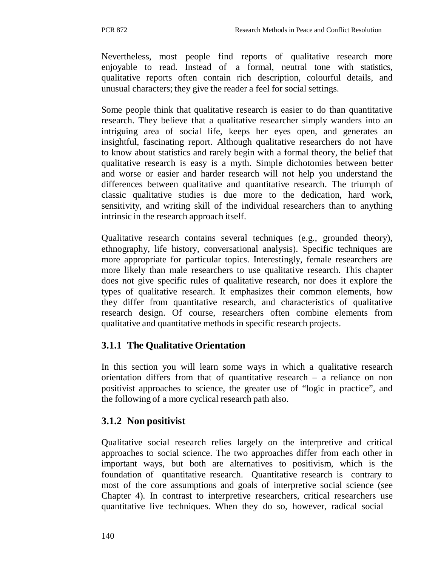Nevertheless, most people find reports of qualitative research more enjoyable to read. Instead of a formal, neutral tone with statistics, qualitative reports often contain rich description, colourful details, and unusual characters; they give the reader a feel for social settings.

Some people think that qualitative research is easier to do than quantitative research. They believe that a qualitative researcher simply wanders into an intriguing area of social life, keeps her eyes open, and generates an insightful, fascinating report. Although qualitative researchers do not have to know about statistics and rarely begin with a formal theory, the belief that qualitative research is easy is a myth. Simple dichotomies between better and worse or easier and harder research will not help you understand the differences between qualitative and quantitative research. The triumph of classic qualitative studies is due more to the dedication, hard work, sensitivity, and writing skill of the individual researchers than to anything intrinsic in the research approach itself.

Qualitative research contains several techniques (e.g., grounded theory), ethnography, life history, conversational analysis). Specific techniques are more appropriate for particular topics. Interestingly, female researchers are more likely than male researchers to use qualitative research. This chapter does not give specific rules of qualitative research, nor does it explore the types of qualitative research. It emphasizes their common elements, how they differ from quantitative research, and characteristics of qualitative research design. Of course, researchers often combine elements from qualitative and quantitative methods in specific research projects.

#### **3.1.1 The Qualitative Orientation**

In this section you will learn some ways in which a qualitative research orientation differs from that of quantitative research – a reliance on non positivist approaches to science, the greater use of "logic in practice", and the following of a more cyclical research path also.

## **3.1.2 Non positivist**

Qualitative social research relies largely on the interpretive and critical approaches to social science. The two approaches differ from each other in important ways, but both are alternatives to positivism, which is the foundation of quantitative research. Quantitative research is contrary to most of the core assumptions and goals of interpretive social science (see Chapter 4). In contrast to interpretive researchers, critical researchers use quantitative live techniques. When they do so, however, radical social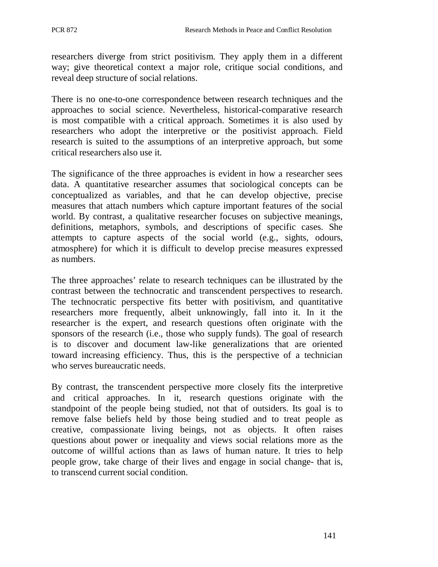researchers diverge from strict positivism. They apply them in a different way; give theoretical context a major role, critique social conditions, and reveal deep structure of social relations.

There is no one-to-one correspondence between research techniques and the approaches to social science. Nevertheless, historical-comparative research is most compatible with a critical approach. Sometimes it is also used by researchers who adopt the interpretive or the positivist approach. Field research is suited to the assumptions of an interpretive approach, but some critical researchers also use it.

The significance of the three approaches is evident in how a researcher sees data. A quantitative researcher assumes that sociological concepts can be conceptualized as variables, and that he can develop objective, precise measures that attach numbers which capture important features of the social world. By contrast, a qualitative researcher focuses on subjective meanings, definitions, metaphors, symbols, and descriptions of specific cases. She attempts to capture aspects of the social world (e.g., sights, odours, atmosphere) for which it is difficult to develop precise measures expressed as numbers.

The three approaches' relate to research techniques can be illustrated by the contrast between the technocratic and transcendent perspectives to research. The technocratic perspective fits better with positivism, and quantitative researchers more frequently, albeit unknowingly, fall into it. In it the researcher is the expert, and research questions often originate with the sponsors of the research (i.e., those who supply funds). The goal of research is to discover and document law-like generalizations that are oriented toward increasing efficiency. Thus, this is the perspective of a technician who serves bureaucratic needs.

By contrast, the transcendent perspective more closely fits the interpretive and critical approaches. In it, research questions originate with the standpoint of the people being studied, not that of outsiders. Its goal is to remove false beliefs held by those being studied and to treat people as creative, compassionate living beings, not as objects. It often raises questions about power or inequality and views social relations more as the outcome of willful actions than as laws of human nature. It tries to help people grow, take charge of their lives and engage in social change- that is, to transcend current social condition.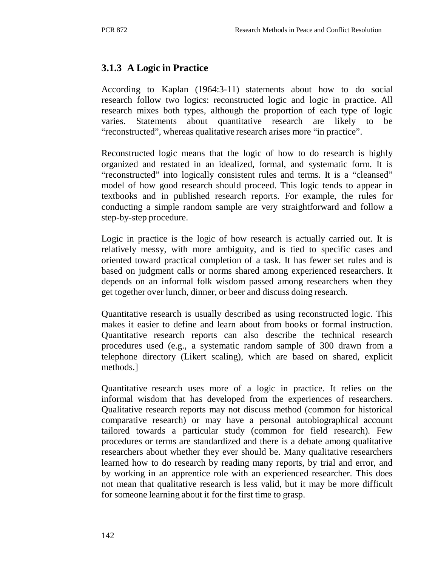# **3.1.3 A Logic in Practice**

According to Kaplan (1964:3-11) statements about how to do social research follow two logics: reconstructed logic and logic in practice. All research mixes both types, although the proportion of each type of logic varies. Statements about quantitative research are likely to be "reconstructed", whereas qualitative research arises more "in practice".

Reconstructed logic means that the logic of how to do research is highly organized and restated in an idealized, formal, and systematic form. It is "reconstructed" into logically consistent rules and terms. It is a "cleansed" model of how good research should proceed. This logic tends to appear in textbooks and in published research reports. For example, the rules for conducting a simple random sample are very straightforward and follow a step-by-step procedure.

Logic in practice is the logic of how research is actually carried out. It is relatively messy, with more ambiguity, and is tied to specific cases and oriented toward practical completion of a task. It has fewer set rules and is based on judgment calls or norms shared among experienced researchers. It depends on an informal folk wisdom passed among researchers when they get together over lunch, dinner, or beer and discuss doing research.

Quantitative research is usually described as using reconstructed logic. This makes it easier to define and learn about from books or formal instruction. Quantitative research reports can also describe the technical research procedures used (e.g., a systematic random sample of 300 drawn from a telephone directory (Likert scaling), which are based on shared, explicit methods.]

Quantitative research uses more of a logic in practice. It relies on the informal wisdom that has developed from the experiences of researchers. Qualitative research reports may not discuss method (common for historical comparative research) or may have a personal autobiographical account tailored towards a particular study (common for field research). Few procedures or terms are standardized and there is a debate among qualitative researchers about whether they ever should be. Many qualitative researchers learned how to do research by reading many reports, by trial and error, and by working in an apprentice role with an experienced researcher. This does not mean that qualitative research is less valid, but it may be more difficult for someone learning about it for the first time to grasp.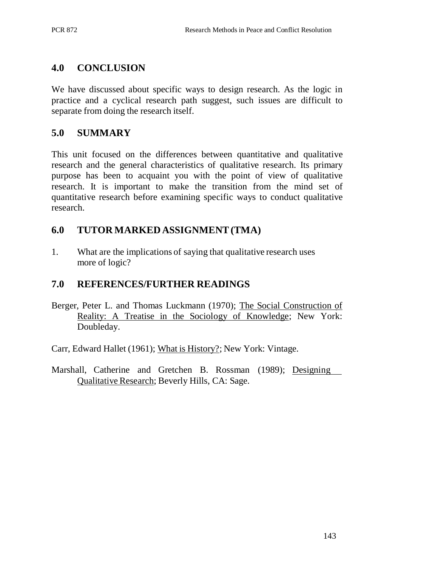## **4.0 CONCLUSION**

We have discussed about specific ways to design research. As the logic in practice and a cyclical research path suggest, such issues are difficult to separate from doing the research itself.

# **5.0 SUMMARY**

This unit focused on the differences between quantitative and qualitative research and the general characteristics of qualitative research. Its primary purpose has been to acquaint you with the point of view of qualitative research. It is important to make the transition from the mind set of quantitative research before examining specific ways to conduct qualitative research.

# **6.0 TUTOR MARKED ASSIGNMENT (TMA)**

1. What are the implications of saying that qualitative research uses more of logic?

## **7.0 REFERENCES/FURTHER READINGS**

Berger, Peter L. and Thomas Luckmann (1970); The Social Construction of Reality: A Treatise in the Sociology of Knowledge; New York: Doubleday.

Carr, Edward Hallet (1961); What is History?; New York: Vintage.

Marshall, Catherine and Gretchen B. Rossman (1989); Designing Qualitative Research; Beverly Hills, CA: Sage.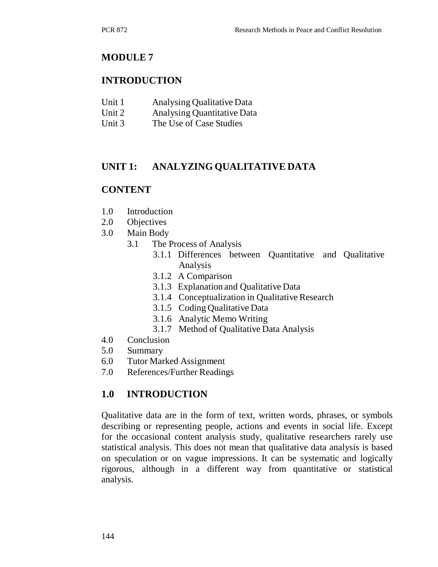## **MODULE 7**

## **INTRODUCTION**

- Unit 1 Analysing Qualitative Data
- Unit 2 Analysing Quantitative Data
- Unit 3 The Use of Case Studies

## **UNIT 1: ANALYZING QUALITATIVE DATA**

## **CONTENT**

- 1.0 Introduction
- 2.0 Objectives
- 3.0 Main Body
	- 3.1 The Process of Analysis
		- 3.1.1 Differences between Quantitative and Qualitative Analysis
		- 3.1.2 A Comparison
		- 3.1.3 Explanation and Qualitative Data
		- 3.1.4 Conceptualization in Qualitative Research
		- 3.1.5 Coding Qualitative Data
		- 3.1.6 Analytic Memo Writing
		- 3.1.7 Method of Qualitative Data Analysis
- 4.0 Conclusion
- 5.0 Summary
- 6.0 Tutor Marked Assignment
- 7.0 References/Further Readings

# **1.0 INTRODUCTION**

Qualitative data are in the form of text, written words, phrases, or symbols describing or representing people, actions and events in social life. Except for the occasional content analysis study, qualitative researchers rarely use statistical analysis. This does not mean that qualitative data analysis is based on speculation or on vague impressions. It can be systematic and logically rigorous, although in a different way from quantitative or statistical analysis.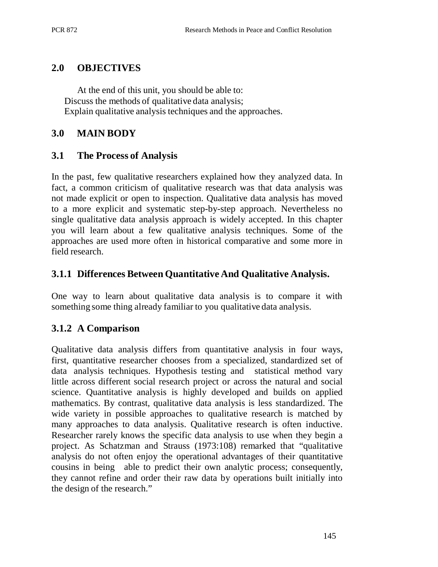## **2.0 OBJECTIVES**

At the end of this unit, you should be able to: Discuss the methods of qualitative data analysis; Explain qualitative analysis techniques and the approaches.

## **3.0 MAIN BODY**

### **3.1 The Process of Analysis**

In the past, few qualitative researchers explained how they analyzed data. In fact, a common criticism of qualitative research was that data analysis was not made explicit or open to inspection. Qualitative data analysis has moved to a more explicit and systematic step-by-step approach. Nevertheless no single qualitative data analysis approach is widely accepted. In this chapter you will learn about a few qualitative analysis techniques. Some of the approaches are used more often in historical comparative and some more in field research.

## **3.1.1 Differences Between Quantitative And Qualitative Analysis.**

One way to learn about qualitative data analysis is to compare it with something some thing already familiar to you qualitative data analysis.

# **3.1.2 A Comparison**

Qualitative data analysis differs from quantitative analysis in four ways, first, quantitative researcher chooses from a specialized, standardized set of data analysis techniques. Hypothesis testing and statistical method vary little across different social research project or across the natural and social science. Quantitative analysis is highly developed and builds on applied mathematics. By contrast, qualitative data analysis is less standardized. The wide variety in possible approaches to qualitative research is matched by many approaches to data analysis. Qualitative research is often inductive. Researcher rarely knows the specific data analysis to use when they begin a project. As Schatzman and Strauss (1973:108) remarked that "qualitative analysis do not often enjoy the operational advantages of their quantitative cousins in being able to predict their own analytic process; consequently, they cannot refine and order their raw data by operations built initially into the design of the research."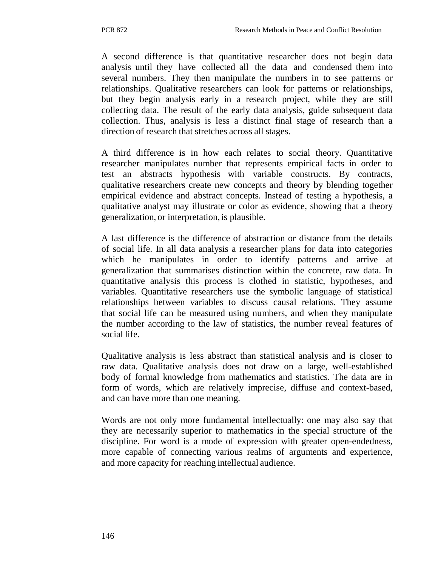A second difference is that quantitative researcher does not begin data analysis until they have collected all the data and condensed them into several numbers. They then manipulate the numbers in to see patterns or relationships. Qualitative researchers can look for patterns or relationships, but they begin analysis early in a research project, while they are still collecting data. The result of the early data analysis, guide subsequent data collection. Thus, analysis is less a distinct final stage of research than a direction of research that stretches across all stages.

A third difference is in how each relates to social theory. Quantitative researcher manipulates number that represents empirical facts in order to test an abstracts hypothesis with variable constructs. By contracts, qualitative researchers create new concepts and theory by blending together empirical evidence and abstract concepts. Instead of testing a hypothesis, a qualitative analyst may illustrate or color as evidence, showing that a theory generalization, or interpretation, is plausible.

A last difference is the difference of abstraction or distance from the details of social life. In all data analysis a researcher plans for data into categories which he manipulates in order to identify patterns and arrive at generalization that summarises distinction within the concrete, raw data. In quantitative analysis this process is clothed in statistic, hypotheses, and variables. Quantitative researchers use the symbolic language of statistical relationships between variables to discuss causal relations. They assume that social life can be measured using numbers, and when they manipulate the number according to the law of statistics, the number reveal features of social life.

Qualitative analysis is less abstract than statistical analysis and is closer to raw data. Qualitative analysis does not draw on a large, well-established body of formal knowledge from mathematics and statistics. The data are in form of words, which are relatively imprecise, diffuse and context-based, and can have more than one meaning.

Words are not only more fundamental intellectually: one may also say that they are necessarily superior to mathematics in the special structure of the discipline. For word is a mode of expression with greater open-endedness, more capable of connecting various realms of arguments and experience, and more capacity for reaching intellectual audience.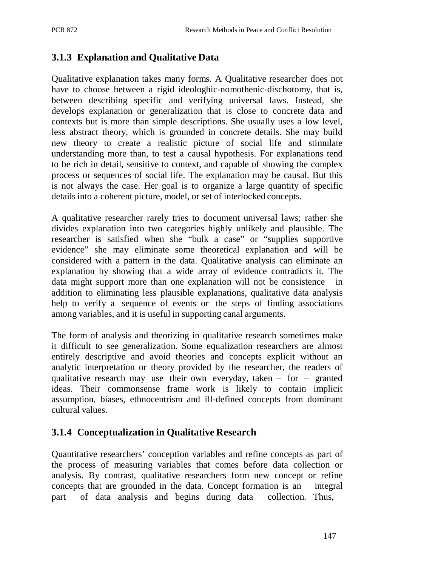#### **3.1.3 Explanation and Qualitative Data**

Qualitative explanation takes many forms. A Qualitative researcher does not have to choose between a rigid ideologhic-nomothenic-dischotomy, that is, between describing specific and verifying universal laws. Instead, she develops explanation or generalization that is close to concrete data and contexts but is more than simple descriptions. She usually uses a low level, less abstract theory, which is grounded in concrete details. She may build new theory to create a realistic picture of social life and stimulate understanding more than, to test a causal hypothesis. For explanations tend to be rich in detail, sensitive to context, and capable of showing the complex process or sequences of social life. The explanation may be causal. But this is not always the case. Her goal is to organize a large quantity of specific details into a coherent picture, model, or set of interlocked concepts.

A qualitative researcher rarely tries to document universal laws; rather she divides explanation into two categories highly unlikely and plausible. The researcher is satisfied when she "bulk a case" or "supplies supportive evidence" she may eliminate some theoretical explanation and will be considered with a pattern in the data. Qualitative analysis can eliminate an explanation by showing that a wide array of evidence contradicts it. The data might support more than one explanation will not be consistence in addition to eliminating less plausible explanations, qualitative data analysis help to verify a sequence of events or the steps of finding associations among variables, and it is useful in supporting canal arguments.

The form of analysis and theorizing in qualitative research sometimes make it difficult to see generalization. Some equalization researchers are almost entirely descriptive and avoid theories and concepts explicit without an analytic interpretation or theory provided by the researcher, the readers of qualitative research may use their own everyday, taken – for – granted ideas. Their commonsense frame work is likely to contain implicit assumption, biases, ethnocentrism and ill-defined concepts from dominant cultural values.

#### **3.1.4 Conceptualization in Qualitative Research**

Quantitative researchers' conception variables and refine concepts as part of the process of measuring variables that comes before data collection or analysis. By contrast, qualitative researchers form new concept or refine concepts that are grounded in the data. Concept formation is an integral part of data analysis and begins during data collection. Thus,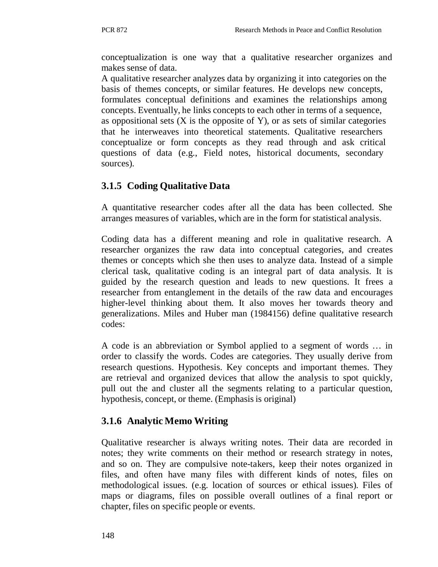conceptualization is one way that a qualitative researcher organizes and makes sense of data.

A qualitative researcher analyzes data by organizing it into categories on the basis of themes concepts, or similar features. He develops new concepts, formulates conceptual definitions and examines the relationships among concepts. Eventually, he links concepts to each other in terms of a sequence, as oppositional sets  $(X$  is the opposite of  $Y$ ), or as sets of similar categories that he interweaves into theoretical statements. Qualitative researchers conceptualize or form concepts as they read through and ask critical questions of data (e.g., Field notes, historical documents, secondary sources).

## **3.1.5 Coding Qualitative Data**

A quantitative researcher codes after all the data has been collected. She arranges measures of variables, which are in the form for statistical analysis.

Coding data has a different meaning and role in qualitative research. A researcher organizes the raw data into conceptual categories, and creates themes or concepts which she then uses to analyze data. Instead of a simple clerical task, qualitative coding is an integral part of data analysis. It is guided by the research question and leads to new questions. It frees a researcher from entanglement in the details of the raw data and encourages higher-level thinking about them. It also moves her towards theory and generalizations. Miles and Huber man (1984156) define qualitative research codes:

A code is an abbreviation or Symbol applied to a segment of words … in order to classify the words. Codes are categories. They usually derive from research questions. Hypothesis. Key concepts and important themes. They are retrieval and organized devices that allow the analysis to spot quickly, pull out the and cluster all the segments relating to a particular question, hypothesis, concept, or theme. (Emphasis is original)

## **3.1.6 Analytic Memo Writing**

Qualitative researcher is always writing notes. Their data are recorded in notes; they write comments on their method or research strategy in notes, and so on. They are compulsive note-takers, keep their notes organized in files, and often have many files with different kinds of notes, files on methodological issues. (e.g. location of sources or ethical issues). Files of maps or diagrams, files on possible overall outlines of a final report or chapter, files on specific people or events.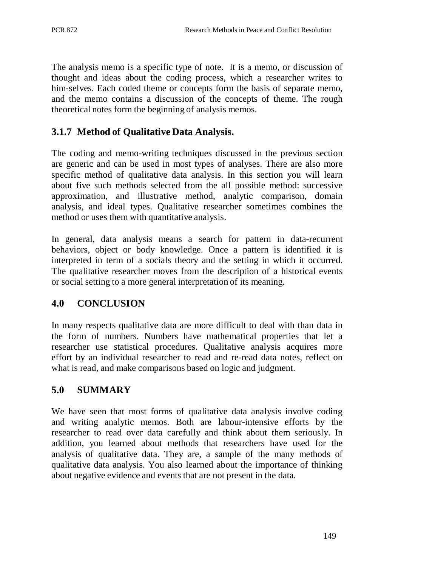The analysis memo is a specific type of note. It is a memo, or discussion of thought and ideas about the coding process, which a researcher writes to him-selves. Each coded theme or concepts form the basis of separate memo, and the memo contains a discussion of the concepts of theme. The rough theoretical notes form the beginning of analysis memos.

#### **3.1.7 Method of Qualitative Data Analysis.**

The coding and memo-writing techniques discussed in the previous section are generic and can be used in most types of analyses. There are also more specific method of qualitative data analysis. In this section you will learn about five such methods selected from the all possible method: successive approximation, and illustrative method, analytic comparison, domain analysis, and ideal types. Qualitative researcher sometimes combines the method or uses them with quantitative analysis.

In general, data analysis means a search for pattern in data-recurrent behaviors, object or body knowledge. Once a pattern is identified it is interpreted in term of a socials theory and the setting in which it occurred. The qualitative researcher moves from the description of a historical events or social setting to a more general interpretation of its meaning.

#### **4.0 CONCLUSION**

In many respects qualitative data are more difficult to deal with than data in the form of numbers. Numbers have mathematical properties that let a researcher use statistical procedures. Qualitative analysis acquires more effort by an individual researcher to read and re-read data notes, reflect on what is read, and make comparisons based on logic and judgment.

#### **5.0 SUMMARY**

We have seen that most forms of qualitative data analysis involve coding and writing analytic memos. Both are labour-intensive efforts by the researcher to read over data carefully and think about them seriously. In addition, you learned about methods that researchers have used for the analysis of qualitative data. They are, a sample of the many methods of qualitative data analysis. You also learned about the importance of thinking about negative evidence and events that are not present in the data.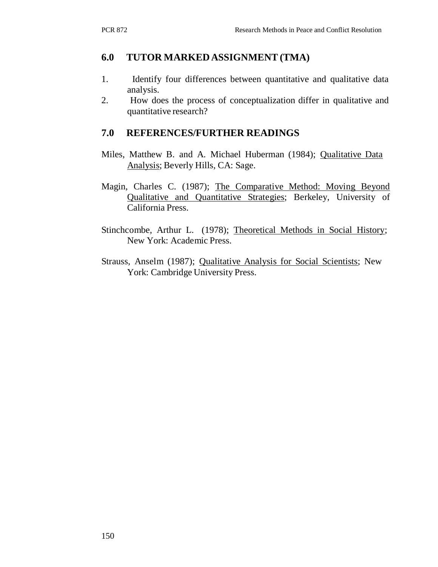## **6.0 TUTOR MARKED ASSIGNMENT (TMA)**

- 1. Identify four differences between quantitative and qualitative data analysis.
- 2. How does the process of conceptualization differ in qualitative and quantitative research?

### **7.0 REFERENCES/FURTHER READINGS**

- Miles, Matthew B. and A. Michael Huberman (1984); Qualitative Data Analysis; Beverly Hills, CA: Sage.
- Magin, Charles C. (1987); The Comparative Method: Moving Beyond Qualitative and Quantitative Strategies; Berkeley, University of California Press.
- Stinchcombe, Arthur L. (1978); Theoretical Methods in Social History; New York: Academic Press.
- Strauss, Anselm (1987); Qualitative Analysis for Social Scientists; New York: Cambridge University Press.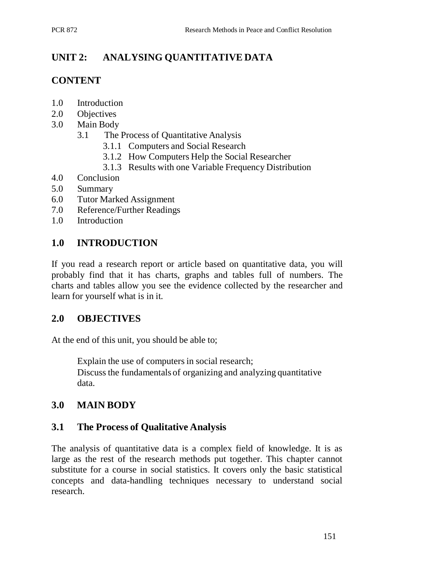# **UNIT 2: ANALYSING QUANTITATIVE DATA**

# **CONTENT**

- 1.0 Introduction
- 2.0 Objectives
- 3.0 Main Body
	- 3.1 The Process of Quantitative Analysis
		- 3.1.1 Computers and Social Research
		- 3.1.2 How Computers Help the Social Researcher
		- 3.1.3 Results with one Variable Frequency Distribution
- 4.0 Conclusion
- 5.0 Summary
- 6.0 Tutor Marked Assignment
- 7.0 Reference/Further Readings
- 1.0 Introduction

# **1.0 INTRODUCTION**

If you read a research report or article based on quantitative data, you will probably find that it has charts, graphs and tables full of numbers. The charts and tables allow you see the evidence collected by the researcher and learn for yourself what is in it.

# **2.0 OBJECTIVES**

At the end of this unit, you should be able to;

Explain the use of computers in social research; Discuss the fundamentals of organizing and analyzing quantitative data.

# **3.0 MAIN BODY**

## **3.1 The Process of Qualitative Analysis**

The analysis of quantitative data is a complex field of knowledge. It is as large as the rest of the research methods put together. This chapter cannot substitute for a course in social statistics. It covers only the basic statistical concepts and data-handling techniques necessary to understand social research.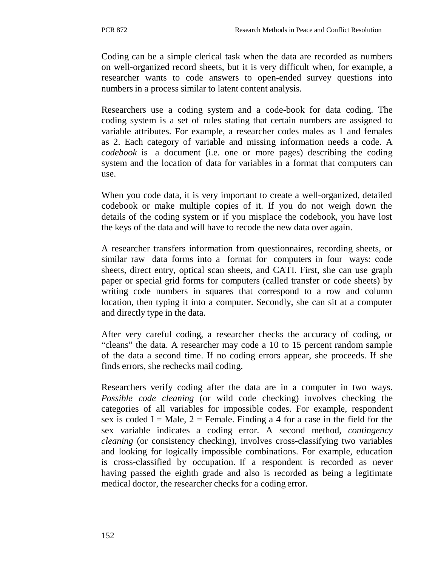Coding can be a simple clerical task when the data are recorded as numbers on well-organized record sheets, but it is very difficult when, for example, a researcher wants to code answers to open-ended survey questions into numbers in a process similar to latent content analysis.

Researchers use a coding system and a code-book for data coding. The coding system is a set of rules stating that certain numbers are assigned to variable attributes. For example, a researcher codes males as 1 and females as 2. Each category of variable and missing information needs a code. A *codebook* is a document (i.e. one or more pages) describing the coding system and the location of data for variables in a format that computers can use.

When you code data, it is very important to create a well-organized, detailed codebook or make multiple copies of it. If you do not weigh down the details of the coding system or if you misplace the codebook, you have lost the keys of the data and will have to recode the new data over again.

A researcher transfers information from questionnaires, recording sheets, or similar raw data forms into a format for computers in four ways: code sheets, direct entry, optical scan sheets, and CATI. First, she can use graph paper or special grid forms for computers (called transfer or code sheets) by writing code numbers in squares that correspond to a row and column location, then typing it into a computer. Secondly, she can sit at a computer and directly type in the data.

After very careful coding, a researcher checks the accuracy of coding, or "cleans" the data. A researcher may code a 10 to 15 percent random sample of the data a second time. If no coding errors appear, she proceeds. If she finds errors, she rechecks mail coding.

Researchers verify coding after the data are in a computer in two ways. *Possible code cleaning* (or wild code checking) involves checking the categories of all variables for impossible codes. For example, respondent sex is coded I = Male,  $2$  = Female. Finding a 4 for a case in the field for the sex variable indicates a coding error. A second method, *contingency cleaning* (or consistency checking), involves cross-classifying two variables and looking for logically impossible combinations. For example, education is cross-classified by occupation. If a respondent is recorded as never having passed the eighth grade and also is recorded as being a legitimate medical doctor, the researcher checks for a coding error.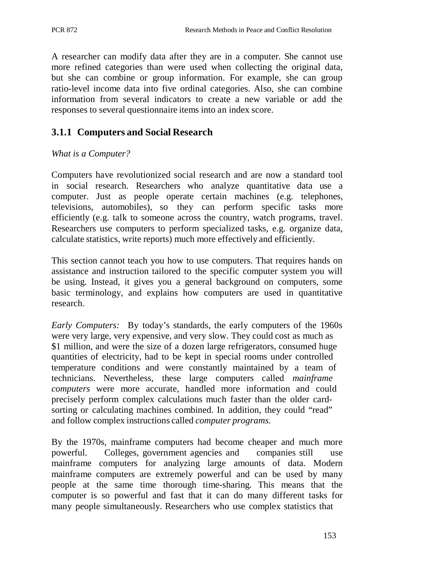A researcher can modify data after they are in a computer. She cannot use more refined categories than were used when collecting the original data, but she can combine or group information. For example, she can group ratio-level income data into five ordinal categories. Also, she can combine information from several indicators to create a new variable or add the responses to several questionnaire items into an index score.

### **3.1.1 Computers and Social Research**

#### *What is a Computer?*

Computers have revolutionized social research and are now a standard tool in social research. Researchers who analyze quantitative data use a computer. Just as people operate certain machines (e.g. telephones, televisions, automobiles), so they can perform specific tasks more efficiently (e.g. talk to someone across the country, watch programs, travel. Researchers use computers to perform specialized tasks, e.g. organize data, calculate statistics, write reports) much more effectively and efficiently.

This section cannot teach you how to use computers. That requires hands on assistance and instruction tailored to the specific computer system you will be using. Instead, it gives you a general background on computers, some basic terminology, and explains how computers are used in quantitative research.

*Early Computers:* By today's standards, the early computers of the 1960s were very large, very expensive, and very slow. They could cost as much as \$1 million, and were the size of a dozen large refrigerators, consumed huge quantities of electricity, had to be kept in special rooms under controlled temperature conditions and were constantly maintained by a team of technicians. Nevertheless, these large computers called *mainframe computers* were more accurate, handled more information and could precisely perform complex calculations much faster than the older cardsorting or calculating machines combined. In addition, they could "read" and follow complex instructions called *computer programs.*

By the 1970s, mainframe computers had become cheaper and much more powerful. Colleges, government agencies and companies still use mainframe computers for analyzing large amounts of data. Modern mainframe computers are extremely powerful and can be used by many people at the same time thorough time-sharing. This means that the computer is so powerful and fast that it can do many different tasks for many people simultaneously. Researchers who use complex statistics that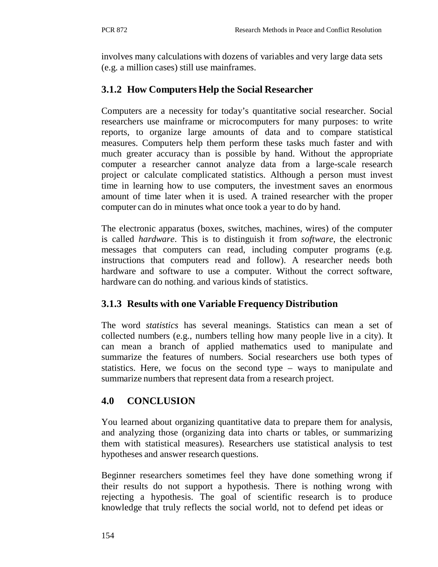involves many calculations with dozens of variables and very large data sets (e.g. a million cases) still use mainframes.

## **3.1.2 How Computers Help the Social Researcher**

Computers are a necessity for today's quantitative social researcher. Social researchers use mainframe or microcomputers for many purposes: to write reports, to organize large amounts of data and to compare statistical measures. Computers help them perform these tasks much faster and with much greater accuracy than is possible by hand. Without the appropriate computer a researcher cannot analyze data from a large-scale research project or calculate complicated statistics. Although a person must invest time in learning how to use computers, the investment saves an enormous amount of time later when it is used. A trained researcher with the proper computer can do in minutes what once took a year to do by hand.

The electronic apparatus (boxes, switches, machines, wires) of the computer is called *hardware*. This is to distinguish it from *software*, the electronic messages that computers can read, including computer programs (e.g. instructions that computers read and follow). A researcher needs both hardware and software to use a computer. Without the correct software, hardware can do nothing. and various kinds of statistics.

## **3.1.3 Results with one Variable Frequency Distribution**

The word *statistics* has several meanings. Statistics can mean a set of collected numbers (e.g., numbers telling how many people live in a city). It can mean a branch of applied mathematics used to manipulate and summarize the features of numbers. Social researchers use both types of statistics. Here, we focus on the second type – ways to manipulate and summarize numbers that represent data from a research project.

## **4.0 CONCLUSION**

You learned about organizing quantitative data to prepare them for analysis, and analyzing those (organizing data into charts or tables, or summarizing them with statistical measures). Researchers use statistical analysis to test hypotheses and answer research questions.

Beginner researchers sometimes feel they have done something wrong if their results do not support a hypothesis. There is nothing wrong with rejecting a hypothesis. The goal of scientific research is to produce knowledge that truly reflects the social world, not to defend pet ideas or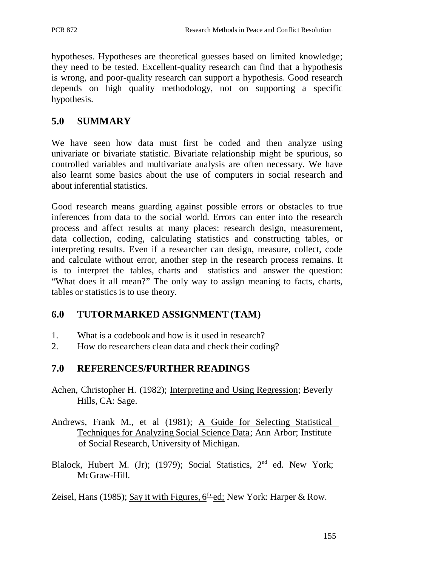hypotheses. Hypotheses are theoretical guesses based on limited knowledge; they need to be tested. Excellent-quality research can find that a hypothesis is wrong, and poor-quality research can support a hypothesis. Good research depends on high quality methodology, not on supporting a specific hypothesis.

# **5.0 SUMMARY**

We have seen how data must first be coded and then analyze using univariate or bivariate statistic. Bivariate relationship might be spurious, so controlled variables and multivariate analysis are often necessary. We have also learnt some basics about the use of computers in social research and about inferential statistics.

Good research means guarding against possible errors or obstacles to true inferences from data to the social world. Errors can enter into the research process and affect results at many places: research design, measurement, data collection, coding, calculating statistics and constructing tables, or interpreting results. Even if a researcher can design, measure, collect, code and calculate without error, another step in the research process remains. It is to interpret the tables, charts and statistics and answer the question: "What does it all mean?" The only way to assign meaning to facts, charts, tables or statistics is to use theory.

## **6.0 TUTOR MARKED ASSIGNMENT (TAM)**

- 1. What is a codebook and how is it used in research?
- 2. How do researchers clean data and check their coding?

## **7.0 REFERENCES/FURTHER READINGS**

- Achen, Christopher H. (1982); Interpreting and Using Regression; Beverly Hills, CA: Sage.
- Andrews, Frank M., et al (1981); A Guide for Selecting Statistical Techniques for Analyzing Social Science Data; Ann Arbor; Institute of Social Research, University of Michigan.
- Blalock, Hubert M. (Jr); (1979); Social Statistics, 2<sup>nd</sup> ed. New York; McGraw-Hill.

Zeisel, Hans (1985); Say it with Figures,  $6<sup>th</sup>$ ed; New York: Harper & Row.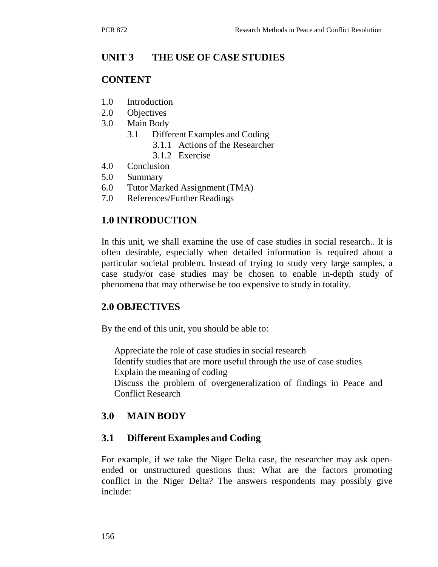# **UNIT 3 THE USE OF CASE STUDIES**

## **CONTENT**

- 1.0 Introduction
- 2.0 Objectives
- 3.0 Main Body
	- 3.1 Different Examples and Coding
		- 3.1.1 Actions of the Researcher
		- 3.1.2 Exercise
- 4.0 Conclusion
- 5.0 Summary
- 6.0 Tutor Marked Assignment (TMA)
- 7.0 References/Further Readings

## **1.0 INTRODUCTION**

In this unit, we shall examine the use of case studies in social research.. It is often desirable, especially when detailed information is required about a particular societal problem. Instead of trying to study very large samples, a case study/or case studies may be chosen to enable in-depth study of phenomena that may otherwise be too expensive to study in totality.

## **2.0 OBJECTIVES**

By the end of this unit, you should be able to:

Appreciate the role of case studies in social research Identify studies that are more useful through the use of case studies Explain the meaning of coding Discuss the problem of overgeneralization of findings in Peace and Conflict Research

## **3.0 MAIN BODY**

## **3.1 Different Examples and Coding**

For example, if we take the Niger Delta case, the researcher may ask openended or unstructured questions thus: What are the factors promoting conflict in the Niger Delta? The answers respondents may possibly give include: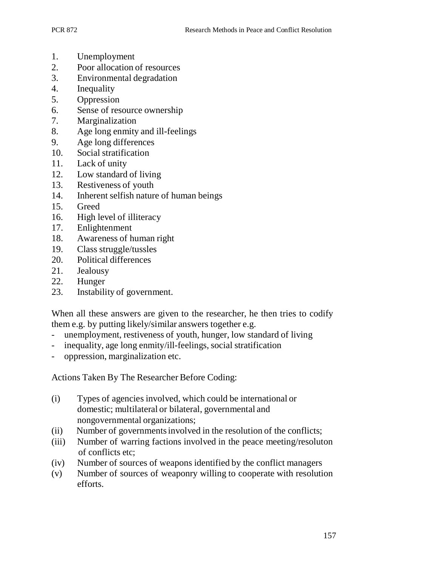- 1. Unemployment
- 2. Poor allocation of resources
- 3. Environmental degradation
- 4. Inequality
- 5. Oppression
- 6. Sense of resource ownership
- 7. Marginalization
- 8. Age long enmity and ill-feelings
- 9. Age long differences
- 10. Social stratification
- 11. Lack of unity
- 12. Low standard of living
- 13. Restiveness of youth
- 14. Inherent selfish nature of human beings
- 15. Greed
- 16. High level of illiteracy
- 17. Enlightenment
- 18. Awareness of human right
- 19. Class struggle/tussles
- 20. Political differences
- 21. Jealousy
- 22. Hunger
- 23. Instability of government.

When all these answers are given to the researcher, he then tries to codify them e.g. by putting likely/similar answers together e.g.

- unemployment, restiveness of youth, hunger, low standard of living
- inequality, age long enmity/ill-feelings, social stratification
- oppression, marginalization etc.

Actions Taken By The Researcher Before Coding:

- (i) Types of agencies involved, which could be international or domestic; multilateral or bilateral, governmental and nongovernmental organizations;
- (ii) Number of governments involved in the resolution of the conflicts;
- (iii) Number of warring factions involved in the peace meeting/resoluton of conflicts etc;
- (iv) Number of sources of weapons identified by the conflict managers
- (v) Number of sources of weaponry willing to cooperate with resolution efforts.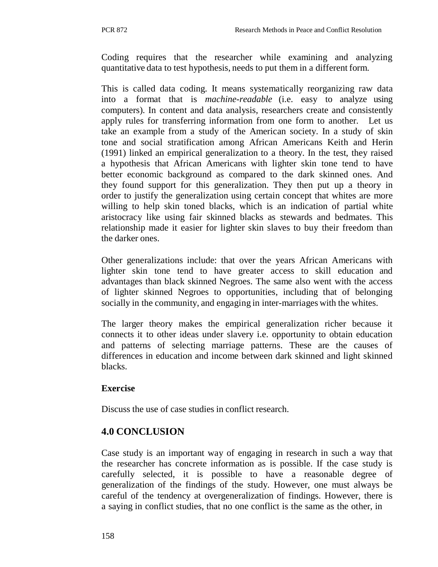Coding requires that the researcher while examining and analyzing quantitative data to test hypothesis, needs to put them in a different form.

This is called data coding. It means systematically reorganizing raw data into a format that is *machine-readable* (i.e. easy to analyze using computers). In content and data analysis, researchers create and consistently apply rules for transferring information from one form to another. Let us take an example from a study of the American society. In a study of skin tone and social stratification among African Americans Keith and Herin (1991) linked an empirical generalization to a theory. In the test, they raised a hypothesis that African Americans with lighter skin tone tend to have better economic background as compared to the dark skinned ones. And they found support for this generalization. They then put up a theory in order to justify the generalization using certain concept that whites are more willing to help skin toned blacks, which is an indication of partial white aristocracy like using fair skinned blacks as stewards and bedmates. This relationship made it easier for lighter skin slaves to buy their freedom than the darker ones.

Other generalizations include: that over the years African Americans with lighter skin tone tend to have greater access to skill education and advantages than black skinned Negroes. The same also went with the access of lighter skinned Negroes to opportunities, including that of belonging socially in the community, and engaging in inter-marriages with the whites.

The larger theory makes the empirical generalization richer because it connects it to other ideas under slavery i.e. opportunity to obtain education and patterns of selecting marriage patterns. These are the causes of differences in education and income between dark skinned and light skinned blacks.

#### **Exercise**

Discuss the use of case studies in conflict research.

## **4.0 CONCLUSION**

Case study is an important way of engaging in research in such a way that the researcher has concrete information as is possible. If the case study is carefully selected, it is possible to have a reasonable degree of generalization of the findings of the study. However, one must always be careful of the tendency at overgeneralization of findings. However, there is a saying in conflict studies, that no one conflict is the same as the other, in